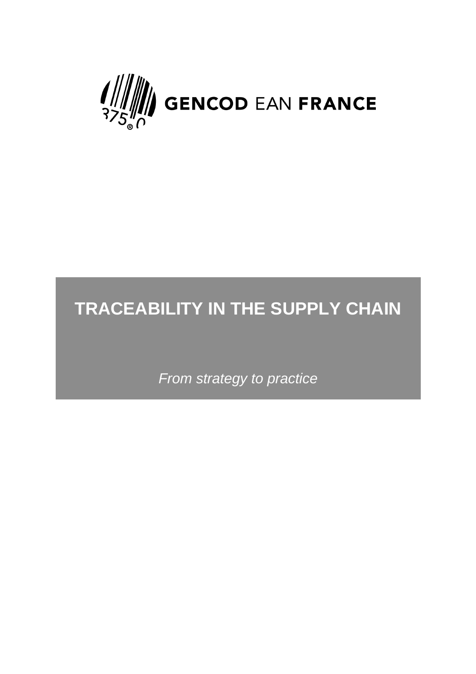

# **TRACEABILITY IN THE SUPPLY CHAIN**

*From strategy to practice*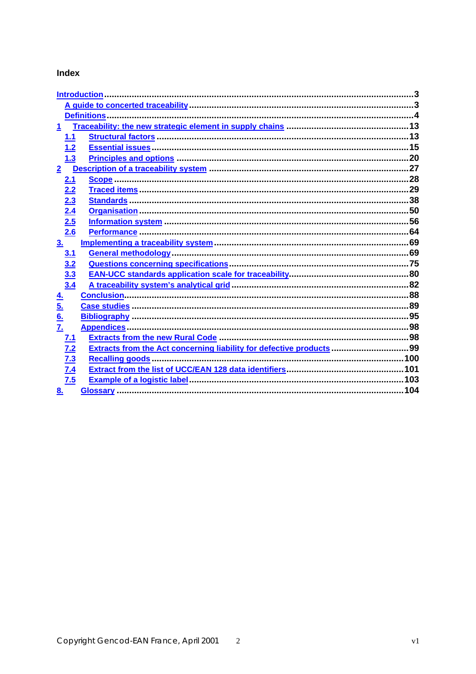#### **Index**

|                   | Introduction |                                                                      |  |  |  |
|-------------------|--------------|----------------------------------------------------------------------|--|--|--|
|                   |              |                                                                      |  |  |  |
|                   |              |                                                                      |  |  |  |
|                   |              |                                                                      |  |  |  |
|                   | 1.1          |                                                                      |  |  |  |
|                   | 1.2          |                                                                      |  |  |  |
|                   | 1.3          |                                                                      |  |  |  |
|                   |              |                                                                      |  |  |  |
|                   | 2.1          |                                                                      |  |  |  |
|                   | 2.2          |                                                                      |  |  |  |
|                   | 2.3          |                                                                      |  |  |  |
|                   | 2.4          |                                                                      |  |  |  |
|                   | 2.5          |                                                                      |  |  |  |
|                   | 2.6          |                                                                      |  |  |  |
| 3 <sub>1</sub>    |              |                                                                      |  |  |  |
|                   | 3.1          |                                                                      |  |  |  |
|                   | 3.2          |                                                                      |  |  |  |
|                   | 3.3          |                                                                      |  |  |  |
|                   | 3.4          |                                                                      |  |  |  |
| $\underline{4}$   |              |                                                                      |  |  |  |
| <u>5.</u>         |              |                                                                      |  |  |  |
| $\underline{6}$ . |              |                                                                      |  |  |  |
| Z.                |              |                                                                      |  |  |  |
|                   | 7.1          |                                                                      |  |  |  |
|                   | 7.2          | Extracts from the Act concerning liability for defective products 99 |  |  |  |
|                   | 7.3          |                                                                      |  |  |  |
|                   | 7.4          |                                                                      |  |  |  |
|                   | 7.5          |                                                                      |  |  |  |
| 8.                |              |                                                                      |  |  |  |
|                   |              |                                                                      |  |  |  |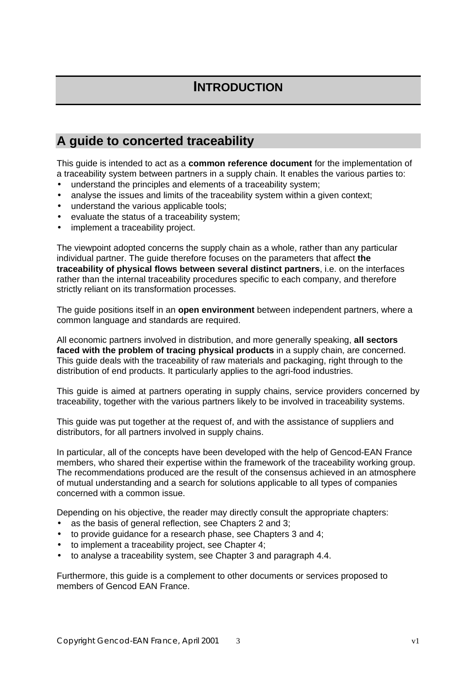## **INTRODUCTION**

## **A guide to concerted traceability**

This guide is intended to act as a **common reference document** for the implementation of a traceability system between partners in a supply chain. It enables the various parties to:

- understand the principles and elements of a traceability system;
- analyse the issues and limits of the traceability system within a given context;
- understand the various applicable tools:
- evaluate the status of a traceability system;
- implement a traceability project.

The viewpoint adopted concerns the supply chain as a whole, rather than any particular individual partner. The guide therefore focuses on the parameters that affect **the traceability of physical flows between several distinct partners**, i.e. on the interfaces rather than the internal traceability procedures specific to each company, and therefore strictly reliant on its transformation processes.

The guide positions itself in an **open environment** between independent partners, where a common language and standards are required.

All economic partners involved in distribution, and more generally speaking, **all sectors faced with the problem of tracing physical products** in a supply chain, are concerned. This guide deals with the traceability of raw materials and packaging, right through to the distribution of end products. It particularly applies to the agri-food industries.

This guide is aimed at partners operating in supply chains, service providers concerned by traceability, together with the various partners likely to be involved in traceability systems.

This guide was put together at the request of, and with the assistance of suppliers and distributors, for all partners involved in supply chains.

In particular, all of the concepts have been developed with the help of Gencod-EAN France members, who shared their expertise within the framework of the traceability working group. The recommendations produced are the result of the consensus achieved in an atmosphere of mutual understanding and a search for solutions applicable to all types of companies concerned with a common issue.

Depending on his objective, the reader may directly consult the appropriate chapters:

- as the basis of general reflection, see Chapters 2 and 3;
- to provide guidance for a research phase, see Chapters 3 and 4;
- to implement a traceability project, see Chapter 4;
- to analyse a traceability system, see Chapter 3 and paragraph 4.4.

Furthermore, this guide is a complement to other documents or services proposed to members of Gencod EAN France.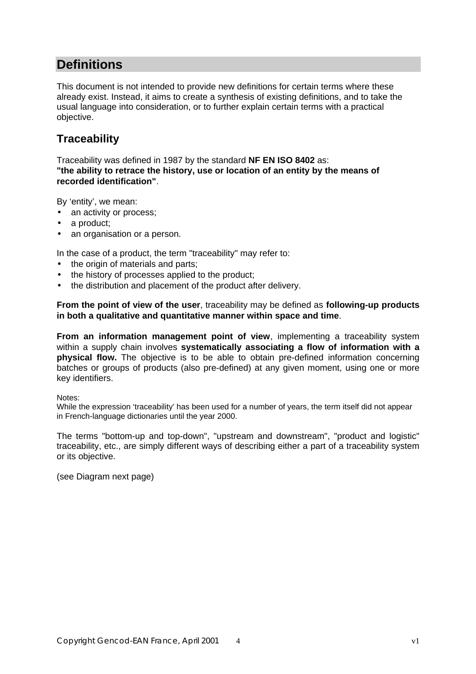## **Definitions**

This document is not intended to provide new definitions for certain terms where these already exist. Instead, it aims to create a synthesis of existing definitions, and to take the usual language into consideration, or to further explain certain terms with a practical objective.

## **Traceability**

Traceability was defined in 1987 by the standard **NF EN ISO 8402** as: **"the ability to retrace the history, use or location of an entity by the means of recorded identification"**.

By 'entity', we mean:

- an activity or process;
- a product;
- an organisation or a person.

In the case of a product, the term "traceability" may refer to:

- the origin of materials and parts;
- the history of processes applied to the product;
- the distribution and placement of the product after delivery.

**From the point of view of the user**, traceability may be defined as **following-up products in both a qualitative and quantitative manner within space and time**.

**From an information management point of view, implementing a traceability system** within a supply chain involves **systematically associating a flow of information with a physical flow.** The objective is to be able to obtain pre-defined information concerning batches or groups of products (also pre-defined) at any given moment, using one or more key identifiers.

Notes:

While the expression 'traceability' has been used for a number of years, the term itself did not appear in French-language dictionaries until the year 2000.

The terms "bottom-up and top-down", "upstream and downstream", "product and logistic" traceability, etc., are simply different ways of describing either a part of a traceability system or its objective.

(see Diagram next page)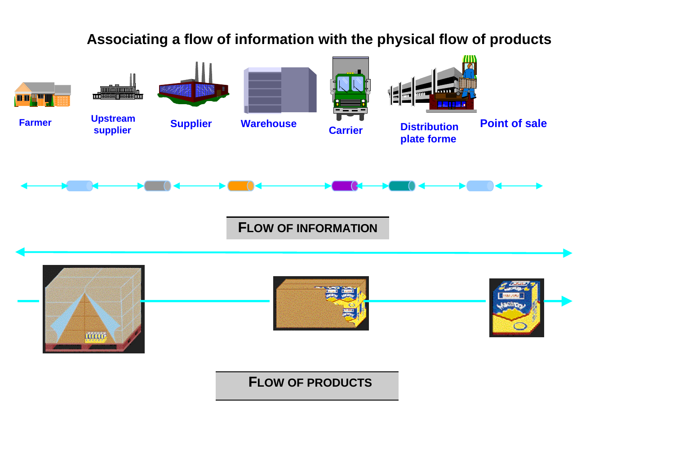

## **Associating a flow of information with the physical flow of products**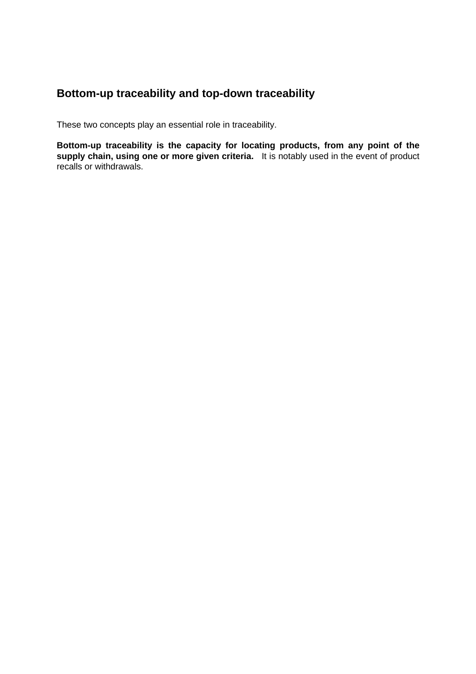### **Bottom-up traceability and top-down traceability**

These two concepts play an essential role in traceability.

**Bottom-up traceability is the capacity for locating products, from any point of the supply chain, using one or more given criteria.** It is notably used in the event of product recalls or withdrawals.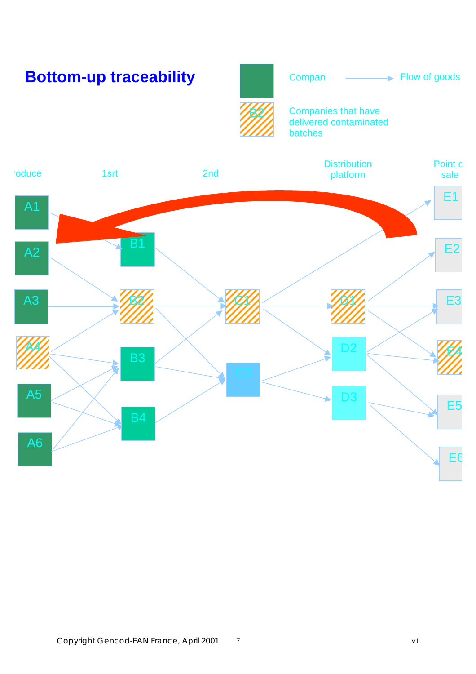# **Bottom-up traceability**





Companies that have delivered contaminated batches

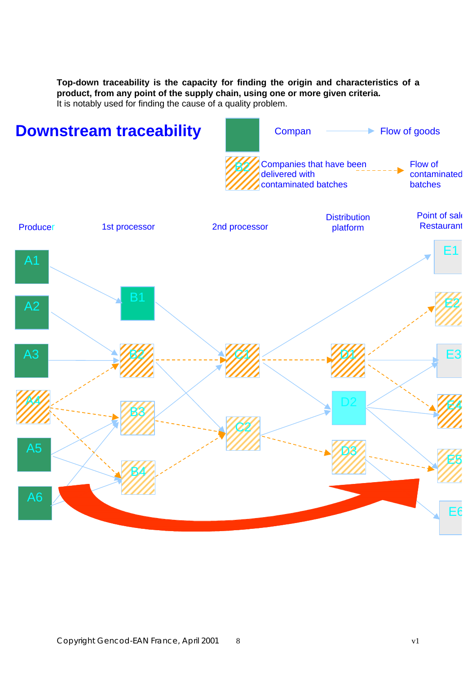**Top-down traceability is the capacity for finding the origin and characteristics of a product, from any point of the supply chain, using one or more given criteria.** It is notably used for finding the cause of a quality problem.

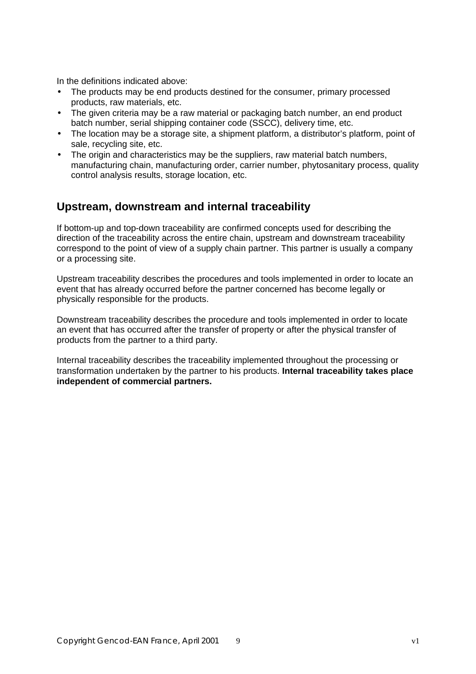In the definitions indicated above:

- The products may be end products destined for the consumer, primary processed products, raw materials, etc.
- The given criteria may be a raw material or packaging batch number, an end product batch number, serial shipping container code (SSCC), delivery time, etc.
- The location may be a storage site, a shipment platform, a distributor's platform, point of sale, recycling site, etc.
- The origin and characteristics may be the suppliers, raw material batch numbers, manufacturing chain, manufacturing order, carrier number, phytosanitary process, quality control analysis results, storage location, etc.

#### **Upstream, downstream and internal traceability**

If bottom-up and top-down traceability are confirmed concepts used for describing the direction of the traceability across the entire chain, upstream and downstream traceability correspond to the point of view of a supply chain partner. This partner is usually a company or a processing site.

Upstream traceability describes the procedures and tools implemented in order to locate an event that has already occurred before the partner concerned has become legally or physically responsible for the products.

Downstream traceability describes the procedure and tools implemented in order to locate an event that has occurred after the transfer of property or after the physical transfer of products from the partner to a third party.

Internal traceability describes the traceability implemented throughout the processing or transformation undertaken by the partner to his products. **Internal traceability takes place independent of commercial partners.**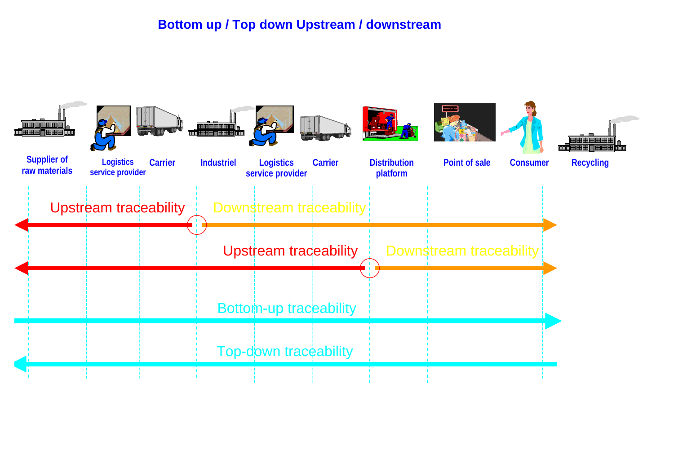## **Bottom up / Top down Upstream / downstream**

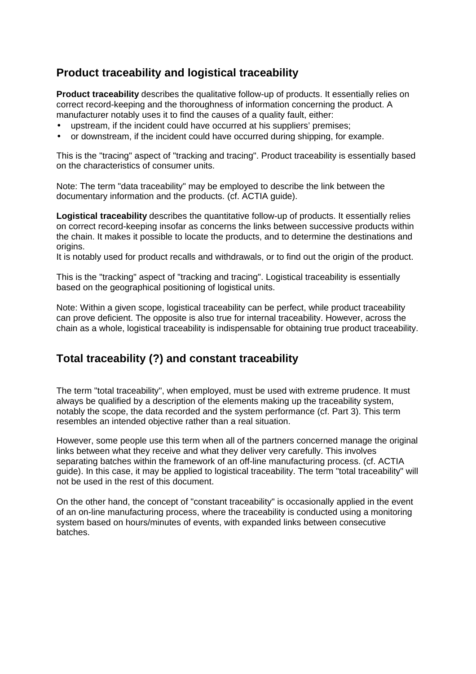## **Product traceability and logistical traceability**

**Product traceability** describes the qualitative follow-up of products. It essentially relies on correct record-keeping and the thoroughness of information concerning the product. A manufacturer notably uses it to find the causes of a quality fault, either:

- upstream, if the incident could have occurred at his suppliers' premises;
- or downstream, if the incident could have occurred during shipping, for example.

This is the "tracing" aspect of "tracking and tracing". Product traceability is essentially based on the characteristics of consumer units.

Note: The term "data traceability" may be employed to describe the link between the documentary information and the products. (cf. ACTIA guide).

**Logistical traceability** describes the quantitative follow-up of products. It essentially relies on correct record-keeping insofar as concerns the links between successive products within the chain. It makes it possible to locate the products, and to determine the destinations and origins.

It is notably used for product recalls and withdrawals, or to find out the origin of the product.

This is the "tracking" aspect of "tracking and tracing". Logistical traceability is essentially based on the geographical positioning of logistical units.

Note: Within a given scope, logistical traceability can be perfect, while product traceability can prove deficient. The opposite is also true for internal traceability. However, across the chain as a whole, logistical traceability is indispensable for obtaining true product traceability.

### **Total traceability (?) and constant traceability**

The term "total traceability", when employed, must be used with extreme prudence. It must always be qualified by a description of the elements making up the traceability system, notably the scope, the data recorded and the system performance (cf. Part 3). This term resembles an intended objective rather than a real situation.

However, some people use this term when all of the partners concerned manage the original links between what they receive and what they deliver very carefully. This involves separating batches within the framework of an off-line manufacturing process. (cf. ACTIA guide). In this case, it may be applied to logistical traceability. The term "total traceability" will not be used in the rest of this document.

On the other hand, the concept of "constant traceability" is occasionally applied in the event of an on-line manufacturing process, where the traceability is conducted using a monitoring system based on hours/minutes of events, with expanded links between consecutive batches.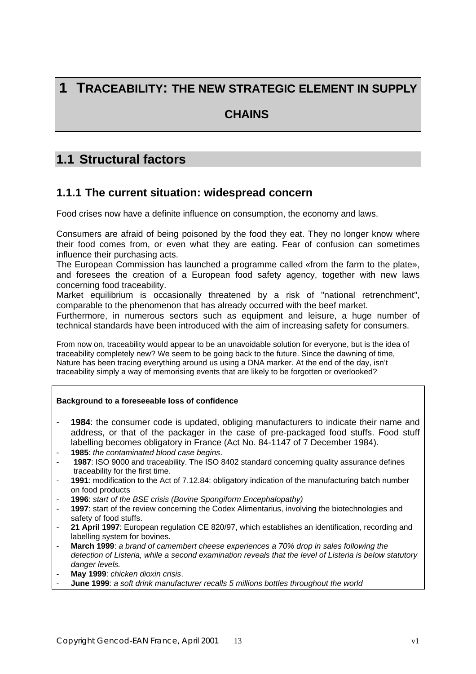## **1 TRACEABILITY: THE NEW STRATEGIC ELEMENT IN SUPPLY**

#### **CHAINS**

## **1.1 Structural factors**

#### **1.1.1 The current situation: widespread concern**

Food crises now have a definite influence on consumption, the economy and laws.

Consumers are afraid of being poisoned by the food they eat. They no longer know where their food comes from, or even what they are eating. Fear of confusion can sometimes influence their purchasing acts.

The European Commission has launched a programme called «from the farm to the plate», and foresees the creation of a European food safety agency, together with new laws concerning food traceability.

Market equilibrium is occasionally threatened by a risk of "national retrenchment", comparable to the phenomenon that has already occurred with the beef market.

Furthermore, in numerous sectors such as equipment and leisure, a huge number of technical standards have been introduced with the aim of increasing safety for consumers.

From now on, traceability would appear to be an unavoidable solution for everyone, but is the idea of traceability completely new? We seem to be going back to the future. Since the dawning of time, Nature has been tracing everything around us using a DNA marker. At the end of the day, isn't traceability simply a way of memorising events that are likely to be forgotten or overlooked?

#### **Background to a foreseeable loss of confidence**

- **1984**: the consumer code is updated, obliging manufacturers to indicate their name and address, or that of the packager in the case of pre-packaged food stuffs. Food stuff labelling becomes obligatory in France (Act No. 84-1147 of 7 December 1984).
- **1985**: *the contaminated blood case begins*.
- **1987**: ISO 9000 and traceability. The ISO 8402 standard concerning quality assurance defines traceability for the first time.
- **1991**: modification to the Act of 7.12.84: obligatory indication of the manufacturing batch number on food products
- **1996**: *start of the BSE crisis (Bovine Spongiform Encephalopathy)*
- 1997: start of the review concerning the Codex Alimentarius, involving the biotechnologies and safety of food stuffs.
- 21 April 1997: European regulation CE 820/97, which establishes an identification, recording and labelling system for bovines.
- **March 1999**: *a brand of camembert cheese experiences a 70% drop in sales following the detection of Listeria, while a second examination reveals that the level of Listeria is below statutory danger levels.*
- **May 1999**: *chicken dioxin crisis*.
- **June 1999**: *a soft drink manufacturer recalls 5 millions bottles throughout the world*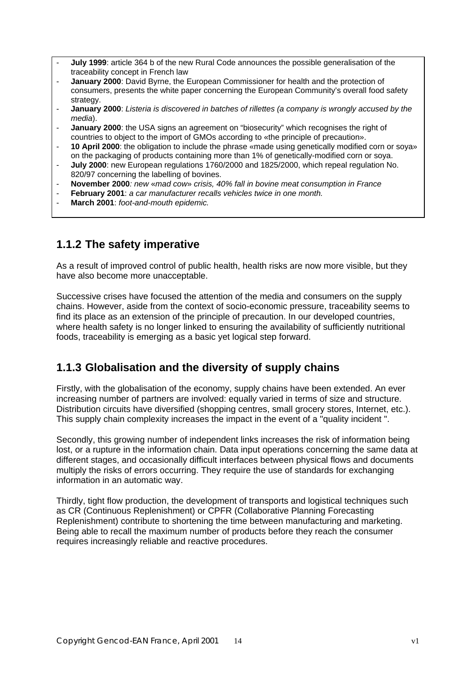- **July 1999**: article 364 b of the new Rural Code announces the possible generalisation of the traceability concept in French law
- **January 2000**: David Byrne, the European Commissioner for health and the protection of consumers, presents the white paper concerning the European Community's overall food safety strategy.
- **January 2000**: *Listeria is discovered in batches of rillettes (a company is wrongly accused by the media*).
- **January 2000**: the USA signs an agreement on "biosecurity" which recognises the right of countries to object to the import of GMOs according to «the principle of precaution».
- **10 April 2000**: the obligation to include the phrase «made using genetically modified corn or soya» on the packaging of products containing more than 1% of genetically-modified corn or soya.
- **July 2000**: new European regulations 1760/2000 and 1825/2000, which repeal regulation No. 820/97 concerning the labelling of bovines.
- **November 2000***: new* «*mad cow*» *crisis, 40% fall in bovine meat consumption in France*
- **February 2001**: a car manufacturer recalls vehicles twice in one month.
- **March 2001**: *foot-and-mouth epidemic.*

#### **1.1.2 The safety imperative**

As a result of improved control of public health, health risks are now more visible, but they have also become more unacceptable.

Successive crises have focused the attention of the media and consumers on the supply chains. However, aside from the context of socio-economic pressure, traceability seems to find its place as an extension of the principle of precaution. In our developed countries, where health safety is no longer linked to ensuring the availability of sufficiently nutritional foods, traceability is emerging as a basic yet logical step forward.

### **1.1.3 Globalisation and the diversity of supply chains**

Firstly, with the globalisation of the economy, supply chains have been extended. An ever increasing number of partners are involved: equally varied in terms of size and structure. Distribution circuits have diversified (shopping centres, small grocery stores, Internet, etc.). This supply chain complexity increases the impact in the event of a "quality incident ".

Secondly, this growing number of independent links increases the risk of information being lost, or a rupture in the information chain. Data input operations concerning the same data at different stages, and occasionally difficult interfaces between physical flows and documents multiply the risks of errors occurring. They require the use of standards for exchanging information in an automatic way.

Thirdly, tight flow production, the development of transports and logistical techniques such as CR (Continuous Replenishment) or CPFR (Collaborative Planning Forecasting Replenishment) contribute to shortening the time between manufacturing and marketing. Being able to recall the maximum number of products before they reach the consumer requires increasingly reliable and reactive procedures.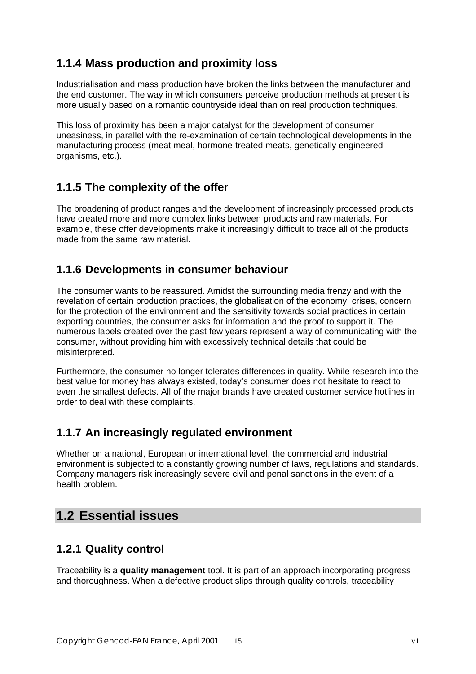## **1.1.4 Mass production and proximity loss**

Industrialisation and mass production have broken the links between the manufacturer and the end customer. The way in which consumers perceive production methods at present is more usually based on a romantic countryside ideal than on real production techniques.

This loss of proximity has been a major catalyst for the development of consumer uneasiness, in parallel with the re-examination of certain technological developments in the manufacturing process (meat meal, hormone-treated meats, genetically engineered organisms, etc.).

### **1.1.5 The complexity of the offer**

The broadening of product ranges and the development of increasingly processed products have created more and more complex links between products and raw materials. For example, these offer developments make it increasingly difficult to trace all of the products made from the same raw material.

## **1.1.6 Developments in consumer behaviour**

The consumer wants to be reassured. Amidst the surrounding media frenzy and with the revelation of certain production practices, the globalisation of the economy, crises, concern for the protection of the environment and the sensitivity towards social practices in certain exporting countries, the consumer asks for information and the proof to support it. The numerous labels created over the past few years represent a way of communicating with the consumer, without providing him with excessively technical details that could be misinterpreted.

Furthermore, the consumer no longer tolerates differences in quality. While research into the best value for money has always existed, today's consumer does not hesitate to react to even the smallest defects. All of the major brands have created customer service hotlines in order to deal with these complaints.

### **1.1.7 An increasingly regulated environment**

Whether on a national, European or international level, the commercial and industrial environment is subjected to a constantly growing number of laws, regulations and standards. Company managers risk increasingly severe civil and penal sanctions in the event of a health problem.

## **1.2 Essential issues**

## **1.2.1 Quality control**

Traceability is a **quality management** tool. It is part of an approach incorporating progress and thoroughness. When a defective product slips through quality controls, traceability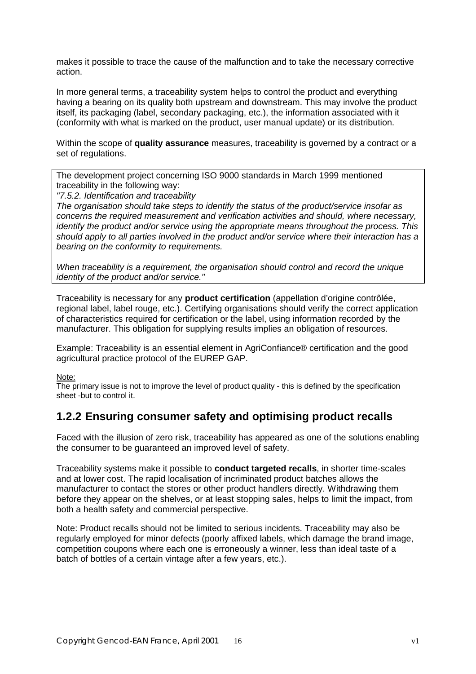makes it possible to trace the cause of the malfunction and to take the necessary corrective action.

In more general terms, a traceability system helps to control the product and everything having a bearing on its quality both upstream and downstream. This may involve the product itself, its packaging (label, secondary packaging, etc.), the information associated with it (conformity with what is marked on the product, user manual update) or its distribution.

Within the scope of **quality assurance** measures, traceability is governed by a contract or a set of regulations.

The development project concerning ISO 9000 standards in March 1999 mentioned traceability in the following way:

*"7.5.2. Identification and traceability*

*The organisation should take steps to identify the status of the product/service insofar as concerns the required measurement and verification activities and should, where necessary, identify the product and/or service using the appropriate means throughout the process. This should apply to all parties involved in the product and/or service where their interaction has a bearing on the conformity to requirements.*

*When traceability is a requirement, the organisation should control and record the unique identity of the product and/or service."*

Traceability is necessary for any **product certification** (appellation d'origine contrôlée, regional label, label rouge, etc.). Certifying organisations should verify the correct application of characteristics required for certification or the label, using information recorded by the manufacturer. This obligation for supplying results implies an obligation of resources.

Example: Traceability is an essential element in AgriConfiance® certification and the good agricultural practice protocol of the EUREP GAP.

Note:

The primary issue is not to improve the level of product quality - this is defined by the specification sheet -but to control it.

### **1.2.2 Ensuring consumer safety and optimising product recalls**

Faced with the illusion of zero risk, traceability has appeared as one of the solutions enabling the consumer to be guaranteed an improved level of safety.

Traceability systems make it possible to **conduct targeted recalls**, in shorter time-scales and at lower cost. The rapid localisation of incriminated product batches allows the manufacturer to contact the stores or other product handlers directly. Withdrawing them before they appear on the shelves, or at least stopping sales, helps to limit the impact, from both a health safety and commercial perspective.

Note: Product recalls should not be limited to serious incidents. Traceability may also be regularly employed for minor defects (poorly affixed labels, which damage the brand image, competition coupons where each one is erroneously a winner, less than ideal taste of a batch of bottles of a certain vintage after a few years, etc.).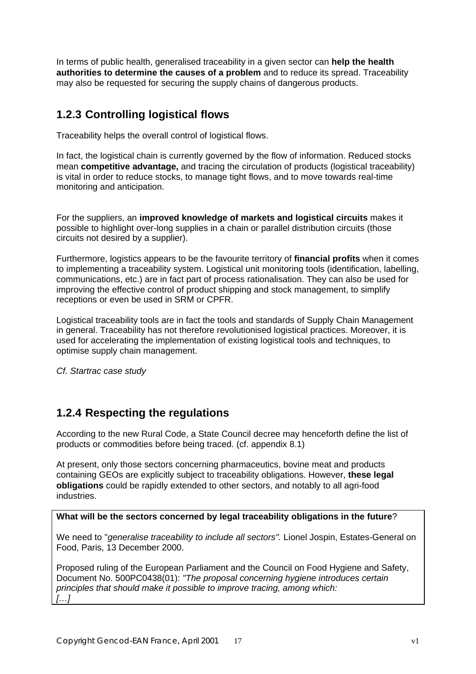In terms of public health, generalised traceability in a given sector can **help the health authorities to determine the causes of a problem** and to reduce its spread. Traceability may also be requested for securing the supply chains of dangerous products.

## **1.2.3 Controlling logistical flows**

Traceability helps the overall control of logistical flows.

In fact, the logistical chain is currently governed by the flow of information. Reduced stocks mean **competitive advantage,** and tracing the circulation of products (logistical traceability) is vital in order to reduce stocks, to manage tight flows, and to move towards real-time monitoring and anticipation.

For the suppliers, an **improved knowledge of markets and logistical circuits** makes it possible to highlight over-long supplies in a chain or parallel distribution circuits (those circuits not desired by a supplier).

Furthermore, logistics appears to be the favourite territory of **financial profits** when it comes to implementing a traceability system. Logistical unit monitoring tools (identification, labelling, communications, etc.) are in fact part of process rationalisation. They can also be used for improving the effective control of product shipping and stock management, to simplify receptions or even be used in SRM or CPFR.

Logistical traceability tools are in fact the tools and standards of Supply Chain Management in general. Traceability has not therefore revolutionised logistical practices. Moreover, it is used for accelerating the implementation of existing logistical tools and techniques, to optimise supply chain management.

*Cf. Startrac case study*

## **1.2.4 Respecting the regulations**

According to the new Rural Code, a State Council decree may henceforth define the list of products or commodities before being traced. (cf. appendix 8.1)

At present, only those sectors concerning pharmaceutics, bovine meat and products containing GEOs are explicitly subject to traceability obligations. However, **these legal obligations** could be rapidly extended to other sectors, and notably to all agri-food industries.

#### **What will be the sectors concerned by legal traceability obligations in the future**?

We need to "*generalise traceability to include all sectors".* Lionel Jospin, Estates-General on Food, Paris, 13 December 2000.

Proposed ruling of the European Parliament and the Council on Food Hygiene and Safety, Document No. 500PC0438(01): *"The proposal concerning hygiene introduces certain principles that should make it possible to improve tracing, among which: […]*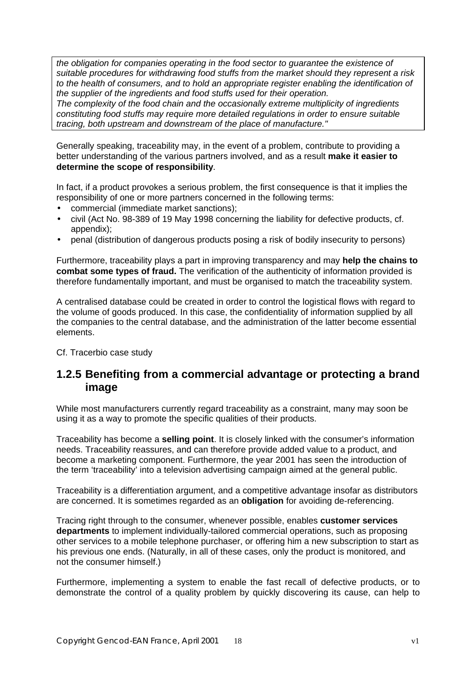*the obligation for companies operating in the food sector to guarantee the existence of suitable procedures for withdrawing food stuffs from the market should they represent a risk to the health of consumers, and to hold an appropriate register enabling the identification of the supplier of the ingredients and food stuffs used for their operation.*

*The complexity of the food chain and the occasionally extreme multiplicity of ingredients constituting food stuffs may require more detailed regulations in order to ensure suitable tracing, both upstream and downstream of the place of manufacture."*

Generally speaking, traceability may, in the event of a problem, contribute to providing a better understanding of the various partners involved, and as a result **make it easier to determine the scope of responsibility**.

In fact, if a product provokes a serious problem, the first consequence is that it implies the responsibility of one or more partners concerned in the following terms:

- commercial (immediate market sanctions);
- civil (Act No. 98-389 of 19 May 1998 concerning the liability for defective products, cf. appendix);
- penal (distribution of dangerous products posing a risk of bodily insecurity to persons)

Furthermore, traceability plays a part in improving transparency and may **help the chains to combat some types of fraud.** The verification of the authenticity of information provided is therefore fundamentally important, and must be organised to match the traceability system.

A centralised database could be created in order to control the logistical flows with regard to the volume of goods produced. In this case, the confidentiality of information supplied by all the companies to the central database, and the administration of the latter become essential elements.

Cf. Tracerbio case study

#### **1.2.5 Benefiting from a commercial advantage or protecting a brand image**

While most manufacturers currently regard traceability as a constraint, many may soon be using it as a way to promote the specific qualities of their products.

Traceability has become a **selling point**. It is closely linked with the consumer's information needs. Traceability reassures, and can therefore provide added value to a product, and become a marketing component. Furthermore, the year 2001 has seen the introduction of the term 'traceability' into a television advertising campaign aimed at the general public.

Traceability is a differentiation argument, and a competitive advantage insofar as distributors are concerned. It is sometimes regarded as an **obligation** for avoiding de-referencing.

Tracing right through to the consumer, whenever possible, enables **customer services departments** to implement individually-tailored commercial operations, such as proposing other services to a mobile telephone purchaser, or offering him a new subscription to start as his previous one ends. (Naturally, in all of these cases, only the product is monitored, and not the consumer himself.)

Furthermore, implementing a system to enable the fast recall of defective products, or to demonstrate the control of a quality problem by quickly discovering its cause, can help to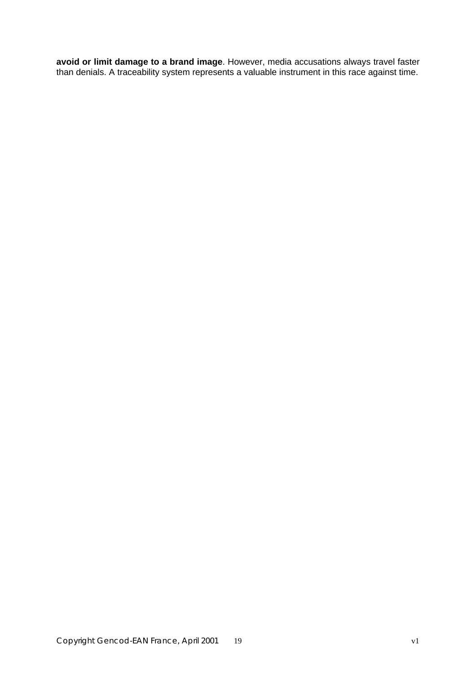**avoid or limit damage to a brand image**. However, media accusations always travel faster than denials. A traceability system represents a valuable instrument in this race against time.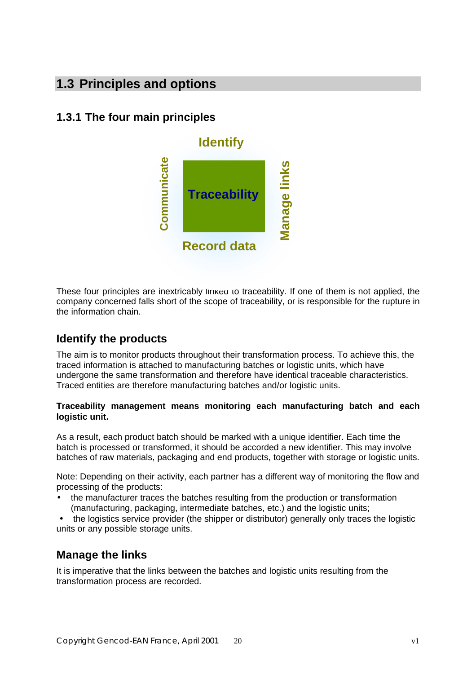## **1.3 Principles and options**

## **1.3.1 The four main principles**



These four principles are inextricably linked to traceability. If one of them is not applied, the company concerned falls short of the scope of traceability, or is responsible for the rupture in the information chain.

### **Identify the products**

The aim is to monitor products throughout their transformation process. To achieve this, the traced information is attached to manufacturing batches or logistic units, which have undergone the same transformation and therefore have identical traceable characteristics. Traced entities are therefore manufacturing batches and/or logistic units.

#### **Traceability management means monitoring each manufacturing batch and each logistic unit.**

As a result, each product batch should be marked with a unique identifier. Each time the batch is processed or transformed, it should be accorded a new identifier. This may involve batches of raw materials, packaging and end products, together with storage or logistic units.

Note: Depending on their activity, each partner has a different way of monitoring the flow and processing of the products:

• the manufacturer traces the batches resulting from the production or transformation (manufacturing, packaging, intermediate batches, etc.) and the logistic units;

• the logistics service provider (the shipper or distributor) generally only traces the logistic units or any possible storage units.

### **Manage the links**

It is imperative that the links between the batches and logistic units resulting from the transformation process are recorded.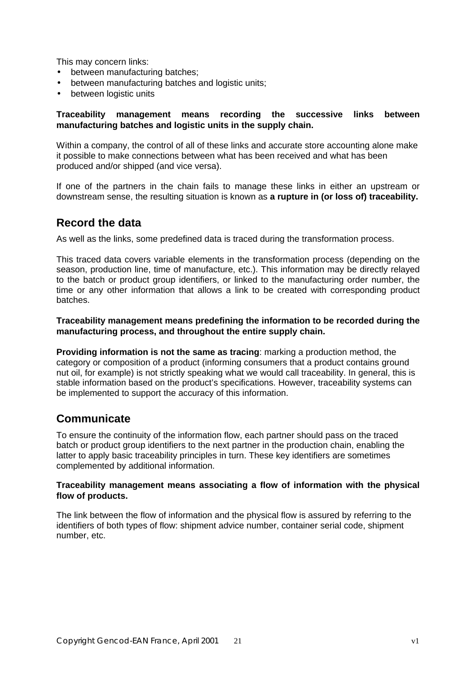This may concern links:

- between manufacturing batches;
- between manufacturing batches and logistic units;
- between logistic units

#### **Traceability management means recording the successive links between manufacturing batches and logistic units in the supply chain.**

Within a company, the control of all of these links and accurate store accounting alone make it possible to make connections between what has been received and what has been produced and/or shipped (and vice versa).

If one of the partners in the chain fails to manage these links in either an upstream or downstream sense, the resulting situation is known as **a rupture in (or loss of) traceability.**

#### **Record the data**

As well as the links, some predefined data is traced during the transformation process.

This traced data covers variable elements in the transformation process (depending on the season, production line, time of manufacture, etc.). This information may be directly relayed to the batch or product group identifiers, or linked to the manufacturing order number, the time or any other information that allows a link to be created with corresponding product batches.

**Traceability management means predefining the information to be recorded during the manufacturing process, and throughout the entire supply chain.**

**Providing information is not the same as tracing**: marking a production method, the category or composition of a product (informing consumers that a product contains ground nut oil, for example) is not strictly speaking what we would call traceability. In general, this is stable information based on the product's specifications. However, traceability systems can be implemented to support the accuracy of this information.

#### **Communicate**

To ensure the continuity of the information flow, each partner should pass on the traced batch or product group identifiers to the next partner in the production chain, enabling the latter to apply basic traceability principles in turn. These key identifiers are sometimes complemented by additional information.

#### **Traceability management means associating a flow of information with the physical flow of products.**

The link between the flow of information and the physical flow is assured by referring to the identifiers of both types of flow: shipment advice number, container serial code, shipment number, etc.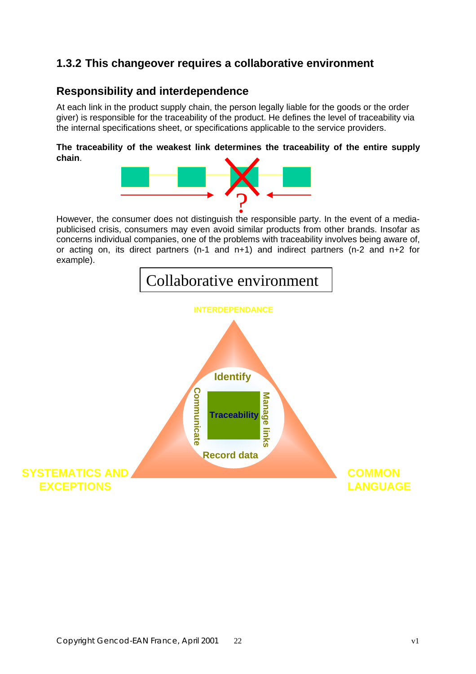## **1.3.2 This changeover requires a collaborative environment**

#### **Responsibility and interdependence**

At each link in the product supply chain, the person legally liable for the goods or the order giver) is responsible for the traceability of the product. He defines the level of traceability via the internal specifications sheet, or specifications applicable to the service providers.

#### **The traceability of the weakest link determines the traceability of the entire supply chain**.



publicised crisis, consumers may even avoid similar products from other brands. Insofar as concerns individual companies, one of the problems with traceability involves being aware of, or acting on, its direct partners (n-1 and n+1) and indirect partners (n-2 and n+2 for example).

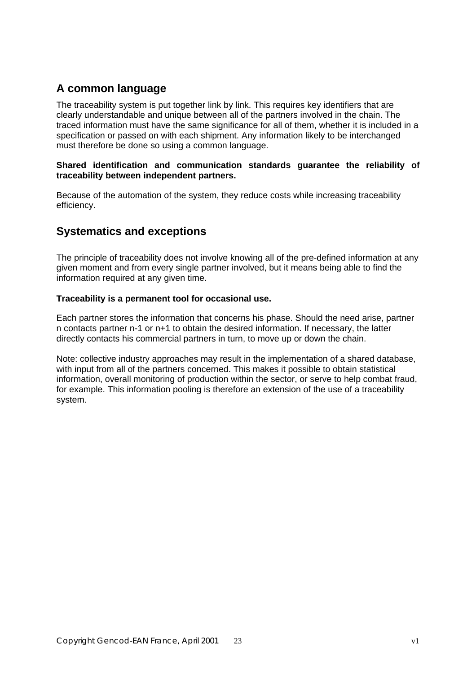## **A common language**

The traceability system is put together link by link. This requires key identifiers that are clearly understandable and unique between all of the partners involved in the chain. The traced information must have the same significance for all of them, whether it is included in a specification or passed on with each shipment. Any information likely to be interchanged must therefore be done so using a common language.

#### **Shared identification and communication standards guarantee the reliability of traceability between independent partners.**

Because of the automation of the system, they reduce costs while increasing traceability efficiency.

#### **Systematics and exceptions**

The principle of traceability does not involve knowing all of the pre-defined information at any given moment and from every single partner involved, but it means being able to find the information required at any given time.

#### **Traceability is a permanent tool for occasional use.**

Each partner stores the information that concerns his phase. Should the need arise, partner n contacts partner n-1 or n+1 to obtain the desired information. If necessary, the latter directly contacts his commercial partners in turn, to move up or down the chain.

Note: collective industry approaches may result in the implementation of a shared database, with input from all of the partners concerned. This makes it possible to obtain statistical information, overall monitoring of production within the sector, or serve to help combat fraud, for example. This information pooling is therefore an extension of the use of a traceability system.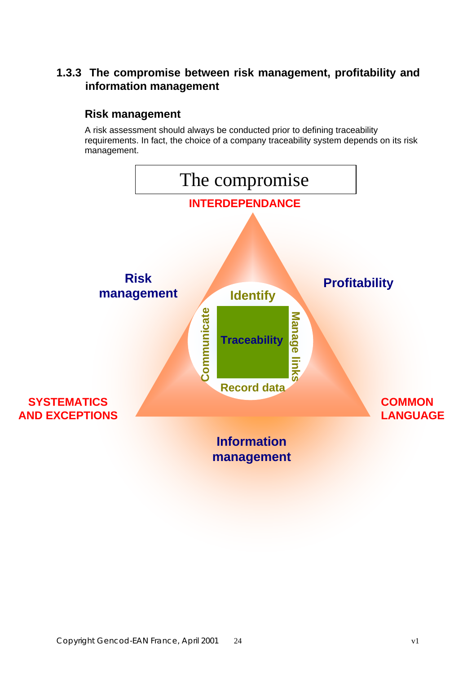## **1.3.3 The compromise between risk management, profitability and information management**

## **Risk management**

A risk assessment should always be conducted prior to defining traceability requirements. In fact, the choice of a company traceability system depends on its risk management.

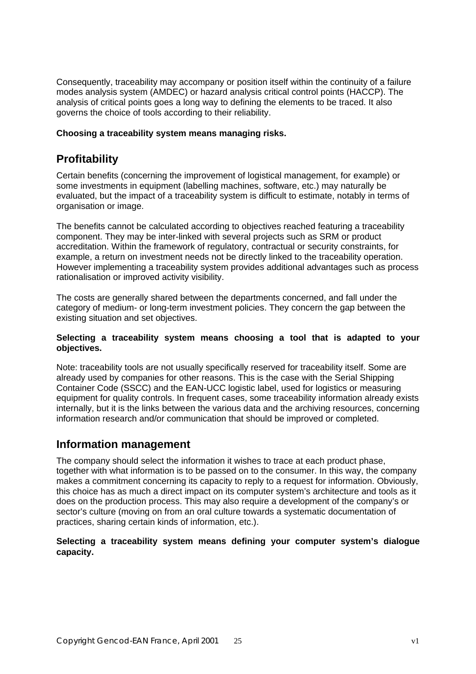Consequently, traceability may accompany or position itself within the continuity of a failure modes analysis system (AMDEC) or hazard analysis critical control points (HACCP). The analysis of critical points goes a long way to defining the elements to be traced. It also governs the choice of tools according to their reliability.

#### **Choosing a traceability system means managing risks.**

### **Profitability**

Certain benefits (concerning the improvement of logistical management, for example) or some investments in equipment (labelling machines, software, etc.) may naturally be evaluated, but the impact of a traceability system is difficult to estimate, notably in terms of organisation or image.

The benefits cannot be calculated according to objectives reached featuring a traceability component. They may be inter-linked with several projects such as SRM or product accreditation. Within the framework of regulatory, contractual or security constraints, for example, a return on investment needs not be directly linked to the traceability operation. However implementing a traceability system provides additional advantages such as process rationalisation or improved activity visibility.

The costs are generally shared between the departments concerned, and fall under the category of medium- or long-term investment policies. They concern the gap between the existing situation and set objectives.

#### **Selecting a traceability system means choosing a tool that is adapted to your objectives.**

Note: traceability tools are not usually specifically reserved for traceability itself. Some are already used by companies for other reasons. This is the case with the Serial Shipping Container Code (SSCC) and the EAN-UCC logistic label, used for logistics or measuring equipment for quality controls. In frequent cases, some traceability information already exists internally, but it is the links between the various data and the archiving resources, concerning information research and/or communication that should be improved or completed.

#### **Information management**

The company should select the information it wishes to trace at each product phase, together with what information is to be passed on to the consumer. In this way, the company makes a commitment concerning its capacity to reply to a request for information. Obviously, this choice has as much a direct impact on its computer system's architecture and tools as it does on the production process. This may also require a development of the company's or sector's culture (moving on from an oral culture towards a systematic documentation of practices, sharing certain kinds of information, etc.).

#### **Selecting a traceability system means defining your computer system's dialogue capacity.**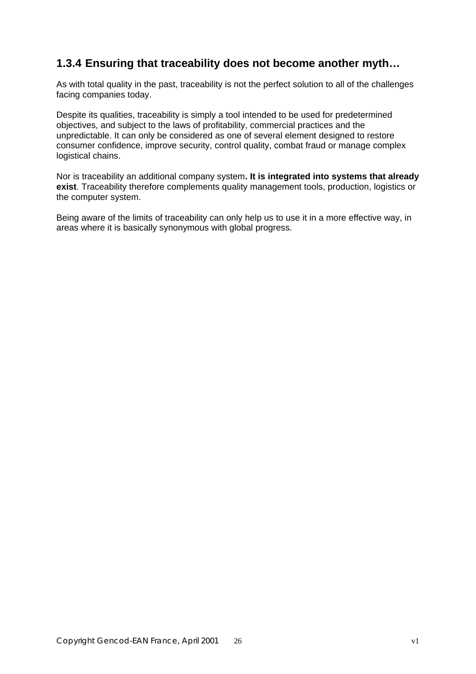### **1.3.4 Ensuring that traceability does not become another myth…**

As with total quality in the past, traceability is not the perfect solution to all of the challenges facing companies today.

Despite its qualities, traceability is simply a tool intended to be used for predetermined objectives, and subject to the laws of profitability, commercial practices and the unpredictable. It can only be considered as one of several element designed to restore consumer confidence, improve security, control quality, combat fraud or manage complex logistical chains.

Nor is traceability an additional company system**. It is integrated into systems that already exist**. Traceability therefore complements quality management tools, production, logistics or the computer system.

Being aware of the limits of traceability can only help us to use it in a more effective way, in areas where it is basically synonymous with global progress.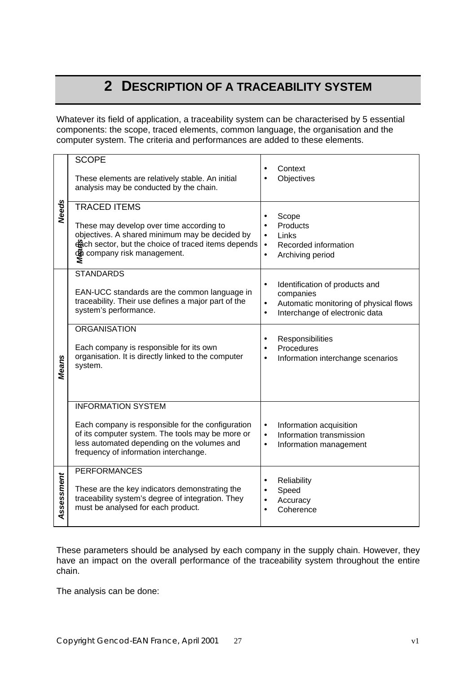## **2 DESCRIPTION OF A TRACEABILITY SYSTEM**

Whatever its field of application, a traceability system can be characterised by 5 essential components: the scope, traced elements, common language, the organisation and the computer system. The criteria and performances are added to these elements.

|              | <b>SCOPE</b><br>These elements are relatively stable. An initial                                                                                                                                                           |                                                  | Context<br>Objectives                                                                                                   |
|--------------|----------------------------------------------------------------------------------------------------------------------------------------------------------------------------------------------------------------------------|--------------------------------------------------|-------------------------------------------------------------------------------------------------------------------------|
|              | analysis may be conducted by the chain.<br><b>TRACED ITEMS</b>                                                                                                                                                             |                                                  |                                                                                                                         |
| <b>Needs</b> | These may develop over time according to<br>objectives. A shared minimum may be decided by<br>ech sector, but the choice of traced items depends<br><b>®</b> company risk management.                                      | $\bullet$<br>$\bullet$<br>$\bullet$<br>$\bullet$ | Scope<br>Products<br>Links<br>Recorded information<br>Archiving period                                                  |
|              | <b>STANDARDS</b><br>EAN-UCC standards are the common language in<br>traceability. Their use defines a major part of the<br>system's performance.                                                                           | $\bullet$<br>٠<br>$\bullet$                      | Identification of products and<br>companies<br>Automatic monitoring of physical flows<br>Interchange of electronic data |
| <b>Means</b> | <b>ORGANISATION</b><br>Each company is responsible for its own<br>organisation. It is directly linked to the computer<br>system.                                                                                           |                                                  | Responsibilities<br>Procedures<br>Information interchange scenarios                                                     |
|              | <b>INFORMATION SYSTEM</b><br>Each company is responsible for the configuration<br>of its computer system. The tools may be more or<br>less automated depending on the volumes and<br>frequency of information interchange. | $\bullet$<br>$\bullet$<br>$\bullet$              | Information acquisition<br>Information transmission<br>Information management                                           |
| Assessment   | <b>PERFORMANCES</b><br>These are the key indicators demonstrating the<br>traceability system's degree of integration. They<br>must be analysed for each product.                                                           | $\bullet$<br>$\bullet$<br>$\bullet$              | Reliability<br>Speed<br>Accuracy<br>Coherence                                                                           |

These parameters should be analysed by each company in the supply chain. However, they have an impact on the overall performance of the traceability system throughout the entire chain.

The analysis can be done: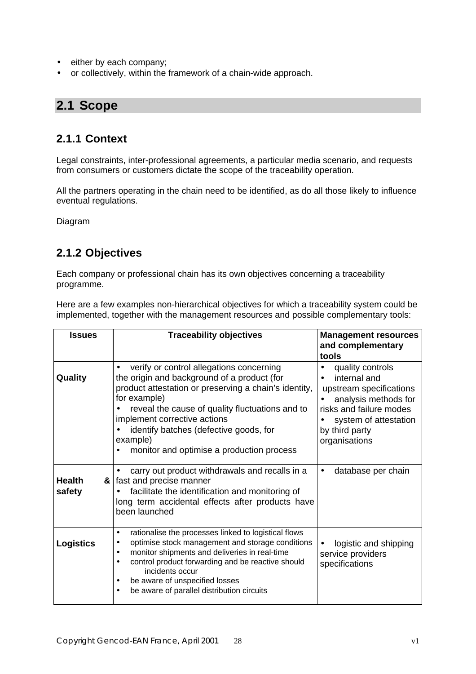- either by each company;
- or collectively, within the framework of a chain-wide approach.

## **2.1 Scope**

#### **2.1.1 Context**

Legal constraints, inter-professional agreements, a particular media scenario, and requests from consumers or customers dictate the scope of the traceability operation.

All the partners operating in the chain need to be identified, as do all those likely to influence eventual regulations.

Diagram

### **2.1.2 Objectives**

Each company or professional chain has its own objectives concerning a traceability programme.

Here are a few examples non-hierarchical objectives for which a traceability system could be implemented, together with the management resources and possible complementary tools:

| <b>Issues</b>                | <b>Traceability objectives</b>                                                                                                                                                                                                                                                                                                                         | <b>Management resources</b>                                                                                                                                                |
|------------------------------|--------------------------------------------------------------------------------------------------------------------------------------------------------------------------------------------------------------------------------------------------------------------------------------------------------------------------------------------------------|----------------------------------------------------------------------------------------------------------------------------------------------------------------------------|
|                              |                                                                                                                                                                                                                                                                                                                                                        | and complementary<br>tools                                                                                                                                                 |
| Quality                      | verify or control allegations concerning<br>the origin and background of a product (for<br>product attestation or preserving a chain's identity,<br>for example)<br>reveal the cause of quality fluctuations and to<br>implement corrective actions<br>identify batches (defective goods, for<br>example)<br>monitor and optimise a production process | quality controls<br>internal and<br>upstream specifications<br>analysis methods for<br>risks and failure modes<br>system of attestation<br>by third party<br>organisations |
| <b>Health</b><br>&<br>safety | carry out product withdrawals and recalls in a<br>fast and precise manner<br>facilitate the identification and monitoring of<br>long term accidental effects after products have<br>been launched                                                                                                                                                      | database per chain<br>$\bullet$                                                                                                                                            |
| <b>Logistics</b>             | rationalise the processes linked to logistical flows<br>optimise stock management and storage conditions<br>monitor shipments and deliveries in real-time<br>control product forwarding and be reactive should<br>incidents occur<br>be aware of unspecified losses<br>be aware of parallel distribution circuits<br>$\bullet$                         | logistic and shipping<br>service providers<br>specifications                                                                                                               |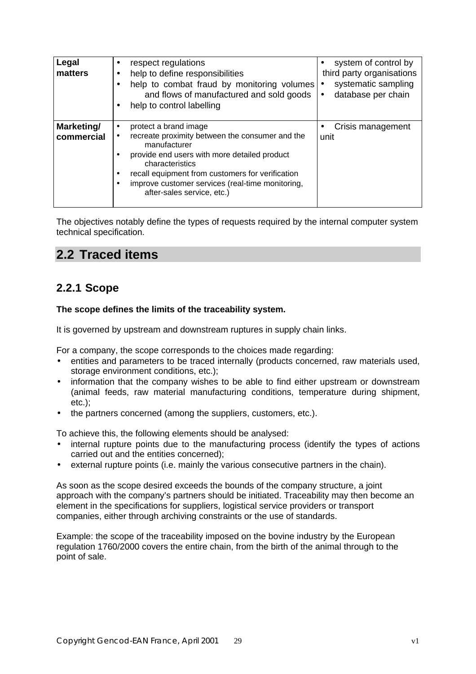| Legal<br>matters         | respect regulations<br>help to define responsibilities<br>help to combat fraud by monitoring volumes<br>and flows of manufactured and sold goods<br>help to control labelling                                                                                                                                  | system of control by<br>third party organisations<br>systematic sampling<br>$\bullet$<br>database per chain<br>$\bullet$ |
|--------------------------|----------------------------------------------------------------------------------------------------------------------------------------------------------------------------------------------------------------------------------------------------------------------------------------------------------------|--------------------------------------------------------------------------------------------------------------------------|
| Marketing/<br>commercial | protect a brand image<br>$\bullet$<br>recreate proximity between the consumer and the<br>manufacturer<br>provide end users with more detailed product<br>characteristics<br>recall equipment from customers for verification<br>improve customer services (real-time monitoring,<br>after-sales service, etc.) | Crisis management<br>unit                                                                                                |

The objectives notably define the types of requests required by the internal computer system technical specification.

## **2.2 Traced items**

## **2.2.1 Scope**

#### **The scope defines the limits of the traceability system.**

It is governed by upstream and downstream ruptures in supply chain links.

For a company, the scope corresponds to the choices made regarding:

- entities and parameters to be traced internally (products concerned, raw materials used, storage environment conditions, etc.);
- information that the company wishes to be able to find either upstream or downstream (animal feeds, raw material manufacturing conditions, temperature during shipment, etc.);
- the partners concerned (among the suppliers, customers, etc.).

To achieve this, the following elements should be analysed:

- internal rupture points due to the manufacturing process (identify the types of actions carried out and the entities concerned);
- external rupture points (i.e. mainly the various consecutive partners in the chain).

As soon as the scope desired exceeds the bounds of the company structure, a joint approach with the company's partners should be initiated. Traceability may then become an element in the specifications for suppliers, logistical service providers or transport companies, either through archiving constraints or the use of standards.

Example: the scope of the traceability imposed on the bovine industry by the European regulation 1760/2000 covers the entire chain, from the birth of the animal through to the point of sale.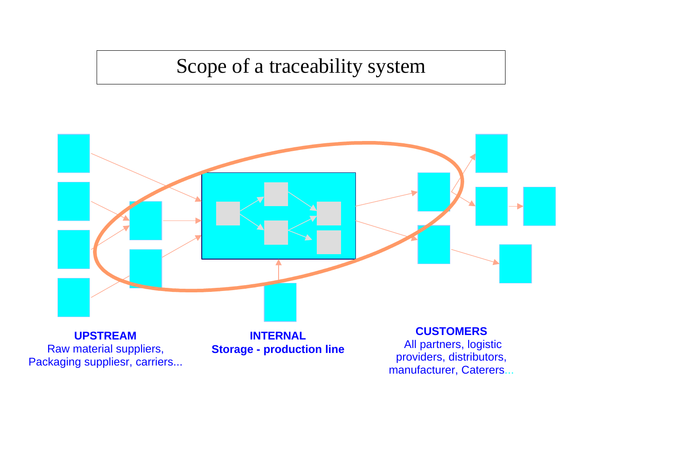# Scope of a traceability system

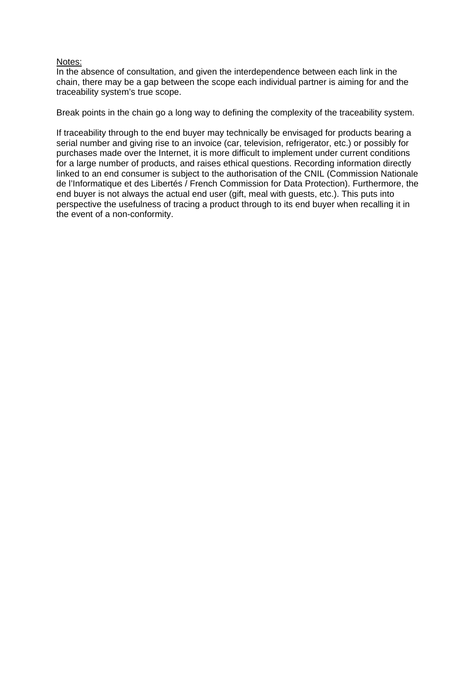#### Notes:

In the absence of consultation, and given the interdependence between each link in the chain, there may be a gap between the scope each individual partner is aiming for and the traceability system's true scope.

Break points in the chain go a long way to defining the complexity of the traceability system.

If traceability through to the end buyer may technically be envisaged for products bearing a serial number and giving rise to an invoice (car, television, refrigerator, etc.) or possibly for purchases made over the Internet, it is more difficult to implement under current conditions for a large number of products, and raises ethical questions. Recording information directly linked to an end consumer is subject to the authorisation of the CNIL (Commission Nationale de l'Informatique et des Libertés / French Commission for Data Protection). Furthermore, the end buyer is not always the actual end user (gift, meal with guests, etc.). This puts into perspective the usefulness of tracing a product through to its end buyer when recalling it in the event of a non-conformity.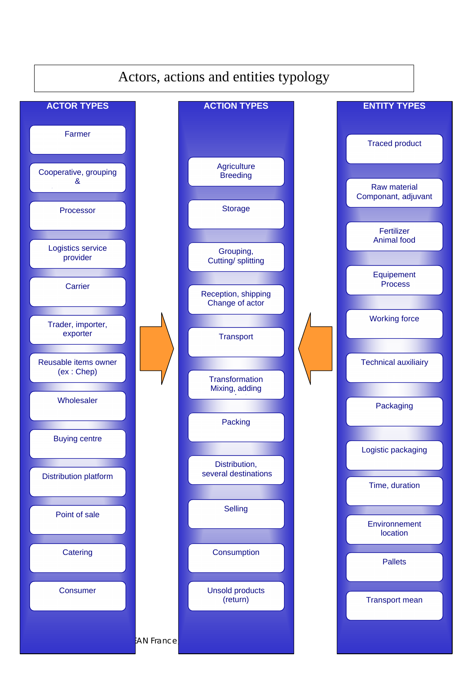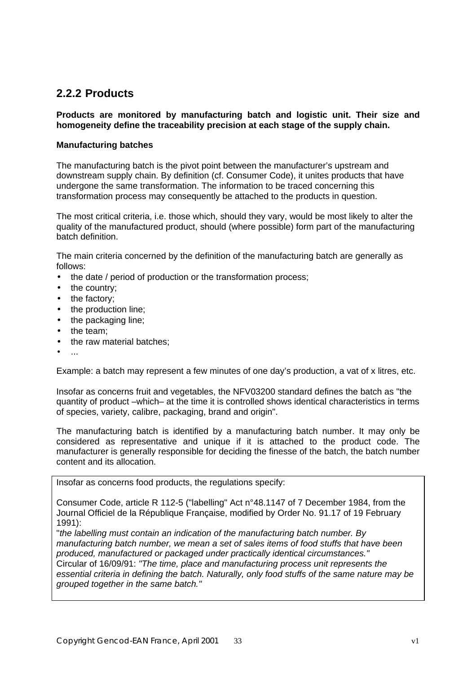#### **2.2.2 Products**

#### **Products are monitored by manufacturing batch and logistic unit. Their size and homogeneity define the traceability precision at each stage of the supply chain.**

#### **Manufacturing batches**

The manufacturing batch is the pivot point between the manufacturer's upstream and downstream supply chain. By definition (cf. Consumer Code), it unites products that have undergone the same transformation. The information to be traced concerning this transformation process may consequently be attached to the products in question.

The most critical criteria, i.e. those which, should they vary, would be most likely to alter the quality of the manufactured product, should (where possible) form part of the manufacturing batch definition.

The main criteria concerned by the definition of the manufacturing batch are generally as follows:

- the date / period of production or the transformation process;
- the country;
- the factory;
- the production line;
- the packaging line;
- the team:
- the raw material batches:
- $\mathcal{L}_{\mathcal{P}}$

Example: a batch may represent a few minutes of one day's production, a vat of x litres, etc.

Insofar as concerns fruit and vegetables, the NFV03200 standard defines the batch as "the quantity of product –which– at the time it is controlled shows identical characteristics in terms of species, variety, calibre, packaging, brand and origin".

The manufacturing batch is identified by a manufacturing batch number. It may only be considered as representative and unique if it is attached to the product code. The manufacturer is generally responsible for deciding the finesse of the batch, the batch number content and its allocation.

Insofar as concerns food products, the regulations specify:

Consumer Code, article R 112-5 ("labelling" Act n°48.1147 of 7 December 1984, from the Journal Officiel de la République Française, modified by Order No. 91.17 of 19 February 1991):

"*the labelling must contain an indication of the manufacturing batch number. By manufacturing batch number, we mean a set of sales items of food stuffs that have been produced, manufactured or packaged under practically identical circumstances."* Circular of 16/09/91: *"The time, place and manufacturing process unit represents the essential criteria in defining the batch. Naturally, only food stuffs of the same nature may be grouped together in the same batch."*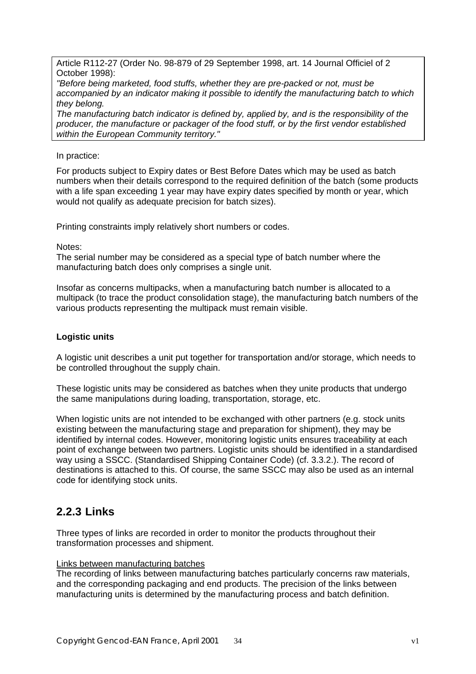Article R112-27 (Order No. 98-879 of 29 September 1998, art. 14 Journal Officiel of 2 October 1998):

*"Before being marketed, food stuffs, whether they are pre-packed or not, must be accompanied by an indicator making it possible to identify the manufacturing batch to which they belong.*

*The manufacturing batch indicator is defined by, applied by, and is the responsibility of the producer, the manufacture or packager of the food stuff, or by the first vendor established within the European Community territory."*

#### In practice:

For products subject to Expiry dates or Best Before Dates which may be used as batch numbers when their details correspond to the required definition of the batch (some products with a life span exceeding 1 year may have expiry dates specified by month or year, which would not qualify as adequate precision for batch sizes).

Printing constraints imply relatively short numbers or codes.

Notes:

The serial number may be considered as a special type of batch number where the manufacturing batch does only comprises a single unit.

Insofar as concerns multipacks, when a manufacturing batch number is allocated to a multipack (to trace the product consolidation stage), the manufacturing batch numbers of the various products representing the multipack must remain visible.

#### **Logistic units**

A logistic unit describes a unit put together for transportation and/or storage, which needs to be controlled throughout the supply chain.

These logistic units may be considered as batches when they unite products that undergo the same manipulations during loading, transportation, storage, etc.

When logistic units are not intended to be exchanged with other partners (e.g. stock units existing between the manufacturing stage and preparation for shipment), they may be identified by internal codes. However, monitoring logistic units ensures traceability at each point of exchange between two partners. Logistic units should be identified in a standardised way using a SSCC. (Standardised Shipping Container Code) (cf. 3.3.2.). The record of destinations is attached to this. Of course, the same SSCC may also be used as an internal code for identifying stock units.

#### **2.2.3 Links**

Three types of links are recorded in order to monitor the products throughout their transformation processes and shipment.

#### Links between manufacturing batches

The recording of links between manufacturing batches particularly concerns raw materials, and the corresponding packaging and end products. The precision of the links between manufacturing units is determined by the manufacturing process and batch definition.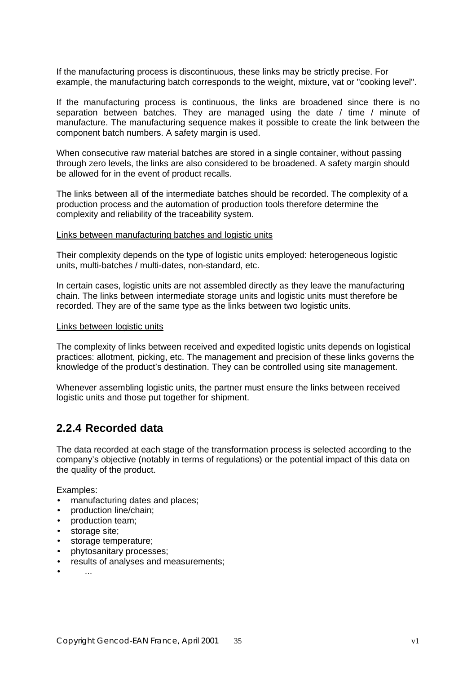If the manufacturing process is discontinuous, these links may be strictly precise. For example, the manufacturing batch corresponds to the weight, mixture, vat or "cooking level".

If the manufacturing process is continuous, the links are broadened since there is no separation between batches. They are managed using the date / time / minute of manufacture. The manufacturing sequence makes it possible to create the link between the component batch numbers. A safety margin is used.

When consecutive raw material batches are stored in a single container, without passing through zero levels, the links are also considered to be broadened. A safety margin should be allowed for in the event of product recalls.

The links between all of the intermediate batches should be recorded. The complexity of a production process and the automation of production tools therefore determine the complexity and reliability of the traceability system.

#### Links between manufacturing batches and logistic units

Their complexity depends on the type of logistic units employed: heterogeneous logistic units, multi-batches / multi-dates, non-standard, etc.

In certain cases, logistic units are not assembled directly as they leave the manufacturing chain. The links between intermediate storage units and logistic units must therefore be recorded. They are of the same type as the links between two logistic units.

#### Links between logistic units

The complexity of links between received and expedited logistic units depends on logistical practices: allotment, picking, etc. The management and precision of these links governs the knowledge of the product's destination. They can be controlled using site management.

Whenever assembling logistic units, the partner must ensure the links between received logistic units and those put together for shipment.

#### **2.2.4 Recorded data**

The data recorded at each stage of the transformation process is selected according to the company's objective (notably in terms of regulations) or the potential impact of this data on the quality of the product.

Examples:

- manufacturing dates and places;
- production line/chain;
- production team;
- storage site;
- storage temperature;
- phytosanitary processes;
- results of analyses and measurements;
- ...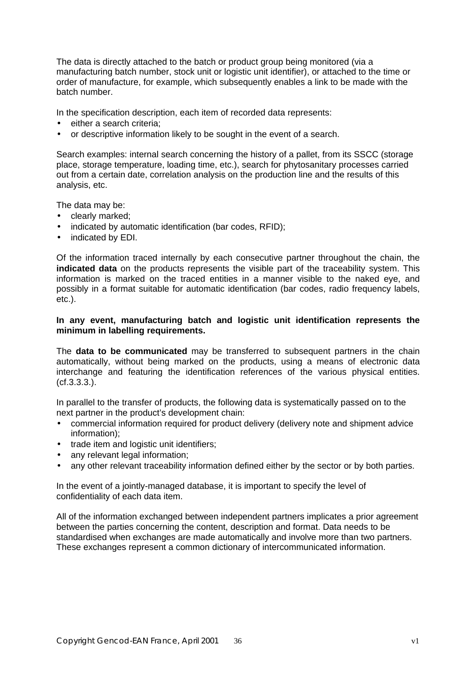The data is directly attached to the batch or product group being monitored (via a manufacturing batch number, stock unit or logistic unit identifier), or attached to the time or order of manufacture, for example, which subsequently enables a link to be made with the batch number.

In the specification description, each item of recorded data represents:

- either a search criteria:
- or descriptive information likely to be sought in the event of a search.

Search examples: internal search concerning the history of a pallet, from its SSCC (storage place, storage temperature, loading time, etc.), search for phytosanitary processes carried out from a certain date, correlation analysis on the production line and the results of this analysis, etc.

The data may be:

- clearly marked:
- indicated by automatic identification (bar codes, RFID);
- indicated by EDI.

Of the information traced internally by each consecutive partner throughout the chain, the **indicated data** on the products represents the visible part of the traceability system. This information is marked on the traced entities in a manner visible to the naked eye, and possibly in a format suitable for automatic identification (bar codes, radio frequency labels, etc.).

#### **In any event, manufacturing batch and logistic unit identification represents the minimum in labelling requirements.**

The **data to be communicated** may be transferred to subsequent partners in the chain automatically, without being marked on the products, using a means of electronic data interchange and featuring the identification references of the various physical entities. (cf.3.3.3.).

In parallel to the transfer of products, the following data is systematically passed on to the next partner in the product's development chain:

- commercial information required for product delivery (delivery note and shipment advice information);
- trade item and logistic unit identifiers:
- any relevant legal information:
- any other relevant traceability information defined either by the sector or by both parties.

In the event of a jointly-managed database, it is important to specify the level of confidentiality of each data item.

All of the information exchanged between independent partners implicates a prior agreement between the parties concerning the content, description and format. Data needs to be standardised when exchanges are made automatically and involve more than two partners. These exchanges represent a common dictionary of intercommunicated information.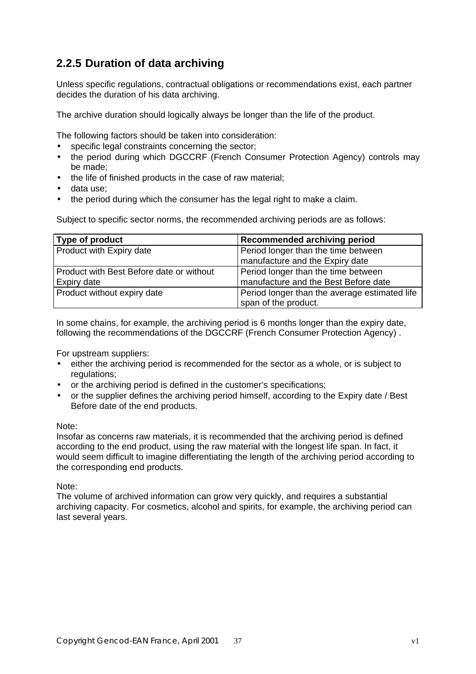# **2.2.5 Duration of data archiving**

Unless specific regulations, contractual obligations or recommendations exist, each partner decides the duration of his data archiving.

The archive duration should logically always be longer than the life of the product.

The following factors should be taken into consideration:

- specific legal constraints concerning the sector;
- the period during which DGCCRF (French Consumer Protection Agency) controls may be made;
- the life of finished products in the case of raw material:
- data use;
- the period during which the consumer has the legal right to make a claim.

Subject to specific sector norms, the recommended archiving periods are as follows:

| Type of product                                                        | Recommended archiving period                  |
|------------------------------------------------------------------------|-----------------------------------------------|
| <b>Product with Expiry date</b><br>Period longer than the time between |                                               |
|                                                                        | manufacture and the Expiry date               |
| Product with Best Before date or without                               | Period longer than the time between           |
| Expiry date                                                            | manufacture and the Best Before date          |
| Product without expiry date                                            | Period longer than the average estimated life |
|                                                                        | span of the product.                          |

In some chains, for example, the archiving period is 6 months longer than the expiry date, following the recommendations of the DGCCRF (French Consumer Protection Agency) .

For upstream suppliers:

- either the archiving period is recommended for the sector as a whole, or is subject to regulations:
- or the archiving period is defined in the customer's specifications;
- or the supplier defines the archiving period himself, according to the Expiry date / Best Before date of the end products.

### Note:

Insofar as concerns raw materials, it is recommended that the archiving period is defined according to the end product, using the raw material with the longest life span. In fact, it would seem difficult to imagine differentiating the length of the archiving period according to the corresponding end products.

Note:

The volume of archived information can grow very quickly, and requires a substantial archiving capacity. For cosmetics, alcohol and spirits, for example, the archiving period can last several years.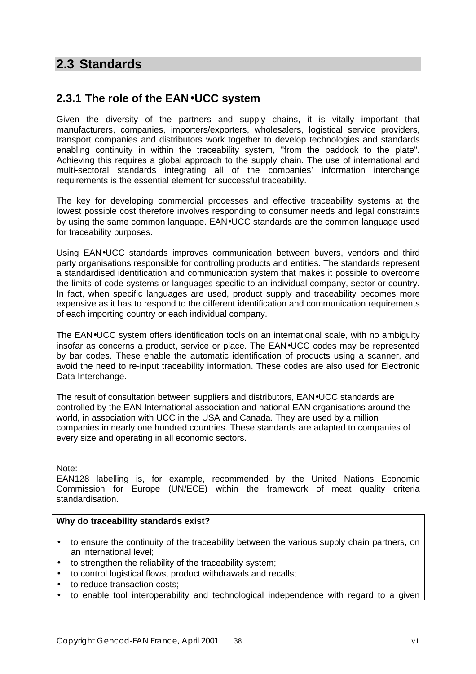# **2.3 Standards**

# **2.3.1 The role of the EAN·UCC system**

Given the diversity of the partners and supply chains, it is vitally important that manufacturers, companies, importers/exporters, wholesalers, logistical service providers, transport companies and distributors work together to develop technologies and standards enabling continuity in within the traceability system, "from the paddock to the plate". Achieving this requires a global approach to the supply chain. The use of international and multi-sectoral standards integrating all of the companies' information interchange requirements is the essential element for successful traceability.

The key for developing commercial processes and effective traceability systems at the lowest possible cost therefore involves responding to consumer needs and legal constraints by using the same common language. EAN•UCC standards are the common language used for traceability purposes.

Using EAN•UCC standards improves communication between buyers, vendors and third party organisations responsible for controlling products and entities. The standards represent a standardised identification and communication system that makes it possible to overcome the limits of code systems or languages specific to an individual company, sector or country. In fact, when specific languages are used, product supply and traceability becomes more expensive as it has to respond to the different identification and communication requirements of each importing country or each individual company.

The EAN•UCC system offers identification tools on an international scale, with no ambiguity insofar as concerns a product, service or place. The EAN•UCC codes may be represented by bar codes. These enable the automatic identification of products using a scanner, and avoid the need to re-input traceability information. These codes are also used for Electronic Data Interchange.

The result of consultation between suppliers and distributors, EAN•UCC standards are controlled by the EAN International association and national EAN organisations around the world, in association with UCC in the USA and Canada. They are used by a million companies in nearly one hundred countries. These standards are adapted to companies of every size and operating in all economic sectors.

Note:

EAN128 labelling is, for example, recommended by the United Nations Economic Commission for Europe (UN/ECE) within the framework of meat quality criteria standardisation.

### **Why do traceability standards exist?**

- to ensure the continuity of the traceability between the various supply chain partners, on an international level;
- to strengthen the reliability of the traceability system;
- to control logistical flows, product withdrawals and recalls;
- to reduce transaction costs:
- to enable tool interoperability and technological independence with regard to a given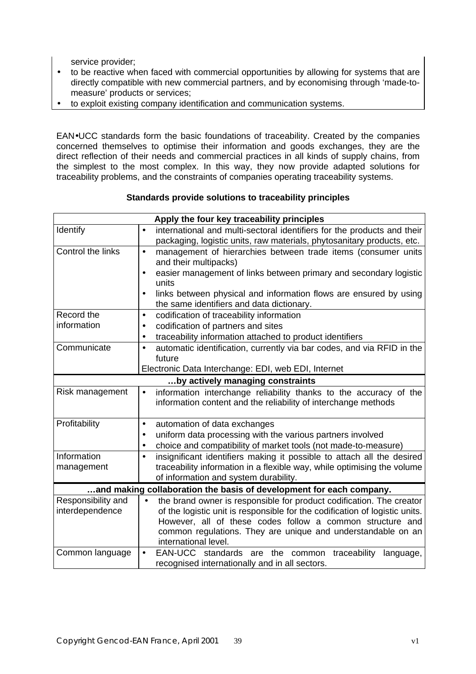service provider;

- to be reactive when faced with commercial opportunities by allowing for systems that are directly compatible with new commercial partners, and by economising through 'made-tomeasure' products or services;
- to exploit existing company identification and communication systems.

EAN•UCC standards form the basic foundations of traceability. Created by the companies concerned themselves to optimise their information and goods exchanges, they are the direct reflection of their needs and commercial practices in all kinds of supply chains, from the simplest to the most complex. In this way, they now provide adapted solutions for traceability problems, and the constraints of companies operating traceability systems.

| Apply the four key traceability principles                                                      |                                                                                      |  |
|-------------------------------------------------------------------------------------------------|--------------------------------------------------------------------------------------|--|
| Identify                                                                                        | international and multi-sectoral identifiers for the products and their<br>$\bullet$ |  |
|                                                                                                 | packaging, logistic units, raw materials, phytosanitary products, etc.               |  |
| Control the links<br>management of hierarchies between trade items (consumer units<br>$\bullet$ |                                                                                      |  |
|                                                                                                 | and their multipacks)                                                                |  |
|                                                                                                 | easier management of links between primary and secondary logistic                    |  |
|                                                                                                 | units                                                                                |  |
|                                                                                                 | links between physical and information flows are ensured by using<br>$\bullet$       |  |
|                                                                                                 | the same identifiers and data dictionary.                                            |  |
| Record the<br>information                                                                       | codification of traceability information<br>$\bullet$                                |  |
|                                                                                                 | codification of partners and sites<br>$\bullet$                                      |  |
|                                                                                                 | traceability information attached to product identifiers<br>٠                        |  |
| Communicate                                                                                     | automatic identification, currently via bar codes, and via RFID in the<br>$\bullet$  |  |
|                                                                                                 | future                                                                               |  |
| Electronic Data Interchange: EDI, web EDI, Internet                                             |                                                                                      |  |
| by actively managing constraints                                                                |                                                                                      |  |
| Risk management                                                                                 | information interchange reliability thanks to the accuracy of the<br>$\bullet$       |  |
|                                                                                                 | information content and the reliability of interchange methods                       |  |
|                                                                                                 |                                                                                      |  |
| Profitability                                                                                   | automation of data exchanges<br>$\bullet$                                            |  |
| uniform data processing with the various partners involved<br>$\bullet$                         |                                                                                      |  |
|                                                                                                 | choice and compatibility of market tools (not made-to-measure)<br>٠<br>$\bullet$     |  |
| Information                                                                                     | insignificant identifiers making it possible to attach all the desired               |  |
| management                                                                                      | traceability information in a flexible way, while optimising the volume              |  |
|                                                                                                 | of information and system durability.                                                |  |
|                                                                                                 | and making collaboration the basis of development for each company.                  |  |
| Responsibility and                                                                              | the brand owner is responsible for product codification. The creator<br>$\bullet$    |  |
| interdependence                                                                                 | of the logistic unit is responsible for the codification of logistic units.          |  |
|                                                                                                 | However, all of these codes follow a common structure and                            |  |
|                                                                                                 | common regulations. They are unique and understandable on an                         |  |
|                                                                                                 | international level.                                                                 |  |
| Common language                                                                                 | EAN-UCC standards are<br>the common<br>traceability<br>language,<br>$\bullet$        |  |
|                                                                                                 | recognised internationally and in all sectors.                                       |  |

### **Standards provide solutions to traceability principles**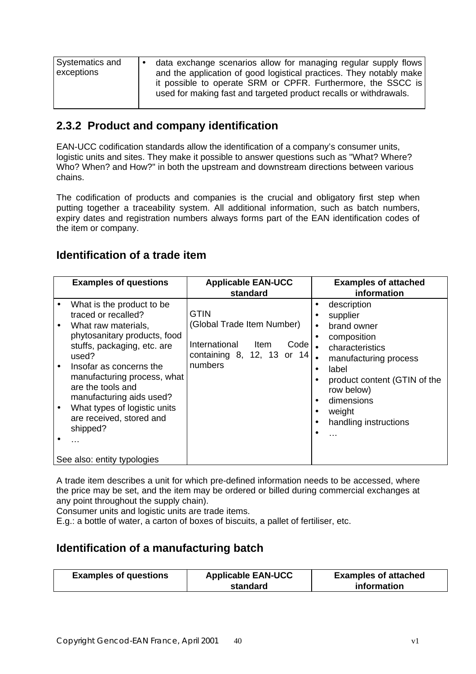| used for making fast and targeted product recalls or withdrawals. | <b>Systematics and</b><br>exceptions | data exchange scenarios allow for managing regular supply flows<br>and the application of good logistical practices. They notably make<br>it possible to operate SRM or CPFR. Furthermore, the SSCC is |
|-------------------------------------------------------------------|--------------------------------------|--------------------------------------------------------------------------------------------------------------------------------------------------------------------------------------------------------|
|-------------------------------------------------------------------|--------------------------------------|--------------------------------------------------------------------------------------------------------------------------------------------------------------------------------------------------------|

# **2.3.2 Product and company identification**

EAN-UCC codification standards allow the identification of a company's consumer units, logistic units and sites. They make it possible to answer questions such as "What? Where? Who? When? and How?" in both the upstream and downstream directions between various chains.

The codification of products and companies is the crucial and obligatory first step when putting together a traceability system. All additional information, such as batch numbers, expiry dates and registration numbers always forms part of the EAN identification codes of the item or company.

### **Identification of a trade item**

| <b>Examples of questions</b>                                                                                                                                                                                                                                                                                                                    | <b>Applicable EAN-UCC</b><br>standard                                                                                              | <b>Examples of attached</b><br>information                                                                                                                                                                                                                    |
|-------------------------------------------------------------------------------------------------------------------------------------------------------------------------------------------------------------------------------------------------------------------------------------------------------------------------------------------------|------------------------------------------------------------------------------------------------------------------------------------|---------------------------------------------------------------------------------------------------------------------------------------------------------------------------------------------------------------------------------------------------------------|
| What is the product to be<br>traced or recalled?<br>What raw materials,<br>$\bullet$<br>phytosanitary products, food<br>stuffs, packaging, etc. are<br>used?<br>Insofar as concerns the<br>manufacturing process, what<br>are the tools and<br>manufacturing aids used?<br>What types of logistic units<br>are received, stored and<br>shipped? | <b>GTIN</b><br>(Global Trade Item Number)<br>International<br>Code <sub>1</sub><br>Item<br>containing 8, 12, 13 or $14$<br>numbers | description<br>$\bullet$<br>supplier<br>brand owner<br>$\bullet$<br>composition<br>$\bullet$<br>characteristics<br>manufacturing process<br>label<br>$\bullet$<br>product content (GTIN of the<br>row below)<br>dimensions<br>weight<br>handling instructions |
| See also: entity typologies                                                                                                                                                                                                                                                                                                                     |                                                                                                                                    |                                                                                                                                                                                                                                                               |

A trade item describes a unit for which pre-defined information needs to be accessed, where the price may be set, and the item may be ordered or billed during commercial exchanges at any point throughout the supply chain).

Consumer units and logistic units are trade items.

E.g.: a bottle of water, a carton of boxes of biscuits, a pallet of fertiliser, etc.

### **Identification of a manufacturing batch**

| <b>Examples of questions</b> | <b>Applicable EAN-UCC</b> | <b>Examples of attached</b> |
|------------------------------|---------------------------|-----------------------------|
|                              | standard                  | information                 |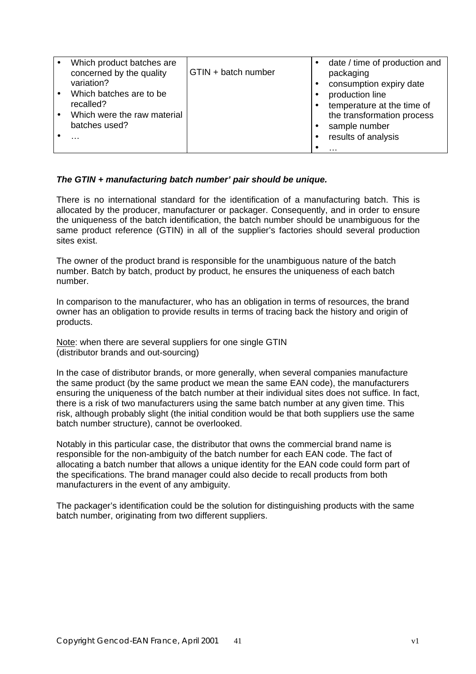|           | Which product batches are<br>concerned by the quality | GTIN + batch number | date / time of production and<br>packaging |
|-----------|-------------------------------------------------------|---------------------|--------------------------------------------|
|           | variation?                                            |                     | consumption expiry date                    |
| $\bullet$ | Which batches are to be                               |                     | production line                            |
|           | recalled?                                             |                     | temperature at the time of                 |
|           | Which were the raw material                           |                     | the transformation process                 |
|           | batches used?                                         |                     | sample number                              |
|           | $\cdot$                                               |                     | results of analysis                        |
|           |                                                       |                     | $\cdots$                                   |

### *The GTIN + manufacturing batch number' pair should be unique.*

There is no international standard for the identification of a manufacturing batch. This is allocated by the producer, manufacturer or packager. Consequently, and in order to ensure the uniqueness of the batch identification, the batch number should be unambiguous for the same product reference (GTIN) in all of the supplier's factories should several production sites exist.

The owner of the product brand is responsible for the unambiguous nature of the batch number. Batch by batch, product by product, he ensures the uniqueness of each batch number.

In comparison to the manufacturer, who has an obligation in terms of resources, the brand owner has an obligation to provide results in terms of tracing back the history and origin of products.

Note: when there are several suppliers for one single GTIN (distributor brands and out-sourcing)

In the case of distributor brands, or more generally, when several companies manufacture the same product (by the same product we mean the same EAN code), the manufacturers ensuring the uniqueness of the batch number at their individual sites does not suffice. In fact, there is a risk of two manufacturers using the same batch number at any given time. This risk, although probably slight (the initial condition would be that both suppliers use the same batch number structure), cannot be overlooked.

Notably in this particular case, the distributor that owns the commercial brand name is responsible for the non-ambiguity of the batch number for each EAN code. The fact of allocating a batch number that allows a unique identity for the EAN code could form part of the specifications. The brand manager could also decide to recall products from both manufacturers in the event of any ambiguity.

The packager's identification could be the solution for distinguishing products with the same batch number, originating from two different suppliers.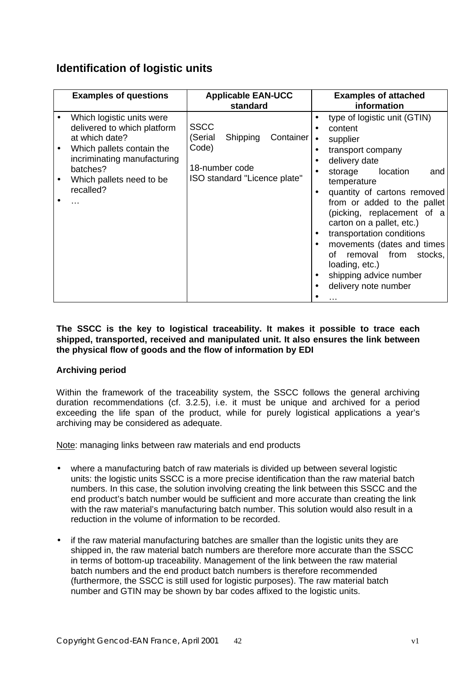## **Identification of logistic units**

|                        | <b>Examples of questions</b>                                                                                                                                                                | <b>Applicable EAN-UCC</b><br>standard                                                                      | <b>Examples of attached</b><br>information                                                                                                                                                                                                                                                                                                                                                                                                                                                                         |
|------------------------|---------------------------------------------------------------------------------------------------------------------------------------------------------------------------------------------|------------------------------------------------------------------------------------------------------------|--------------------------------------------------------------------------------------------------------------------------------------------------------------------------------------------------------------------------------------------------------------------------------------------------------------------------------------------------------------------------------------------------------------------------------------------------------------------------------------------------------------------|
| $\bullet$<br>$\bullet$ | Which logistic units were<br>delivered to which platform<br>at which date?<br>Which pallets contain the<br>incriminating manufacturing<br>batches?<br>Which pallets need to be<br>recalled? | <b>SSCC</b><br>(Serial<br>Shipping<br>Container<br>Code)<br>18-number code<br>ISO standard "Licence plate" | type of logistic unit (GTIN)<br>content<br>supplier<br>$\bullet$<br>transport company<br>delivery date<br>$\bullet$<br>location<br>storage<br>and<br>temperature<br>quantity of cartons removed<br>$\bullet$<br>from or added to the pallet<br>(picking, replacement of a<br>carton on a pallet, etc.)<br>transportation conditions<br>$\bullet$<br>movements (dates and times<br>$\bullet$<br>removal from<br>οf<br>stocks,<br>loading, etc.)<br>shipping advice number<br>$\bullet$<br>delivery note number<br>. |

### **The SSCC is the key to logistical traceability. It makes it possible to trace each shipped, transported, received and manipulated unit. It also ensures the link between the physical flow of goods and the flow of information by EDI**

### **Archiving period**

Within the framework of the traceability system, the SSCC follows the general archiving duration recommendations (cf. 3.2.5), i.e. it must be unique and archived for a period exceeding the life span of the product, while for purely logistical applications a year's archiving may be considered as adequate.

Note: managing links between raw materials and end products

- where a manufacturing batch of raw materials is divided up between several logistic units: the logistic units SSCC is a more precise identification than the raw material batch numbers. In this case, the solution involving creating the link between this SSCC and the end product's batch number would be sufficient and more accurate than creating the link with the raw material's manufacturing batch number. This solution would also result in a reduction in the volume of information to be recorded.
- if the raw material manufacturing batches are smaller than the logistic units they are shipped in, the raw material batch numbers are therefore more accurate than the SSCC in terms of bottom-up traceability. Management of the link between the raw material batch numbers and the end product batch numbers is therefore recommended (furthermore, the SSCC is still used for logistic purposes). The raw material batch number and GTIN may be shown by bar codes affixed to the logistic units.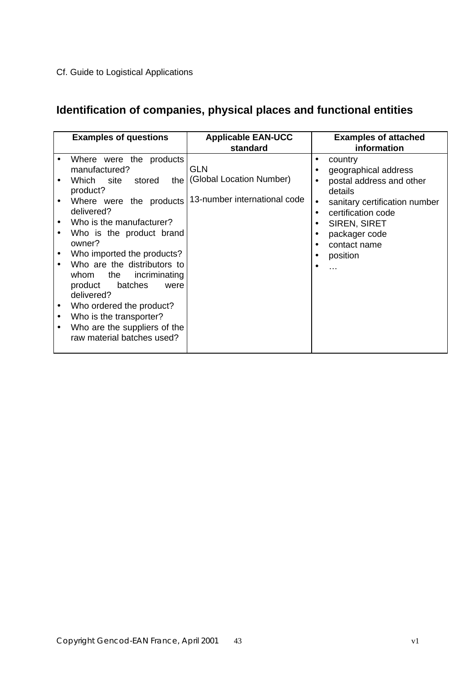# Cf. Guide to Logistical Applications

# **Identification of companies, physical places and functional entities**

| <b>Examples of questions</b>                                                                                                                                                                                                                                                                                                                                                                                                                                                                   | <b>Applicable EAN-UCC</b><br>standard                                        | <b>Examples of attached</b><br>information                                                                                                                                                                                                                                                   |
|------------------------------------------------------------------------------------------------------------------------------------------------------------------------------------------------------------------------------------------------------------------------------------------------------------------------------------------------------------------------------------------------------------------------------------------------------------------------------------------------|------------------------------------------------------------------------------|----------------------------------------------------------------------------------------------------------------------------------------------------------------------------------------------------------------------------------------------------------------------------------------------|
| Where were the products<br>manufactured?<br>stored<br>Which site<br>product?<br>Where were the products<br>$\bullet$<br>delivered?<br>Who is the manufacturer?<br>Who is the product brand<br>owner?<br>Who imported the products?<br>Who are the distributors to<br>whom the<br>incriminating<br>product<br>batches<br>were<br>delivered?<br>Who ordered the product?<br>٠<br>Who is the transporter?<br>$\bullet$<br>Who are the suppliers of the<br>$\bullet$<br>raw material batches used? | <b>GLN</b><br>the   (Global Location Number)<br>13-number international code | country<br>$\bullet$<br>geographical address<br>$\bullet$<br>postal address and other<br>$\bullet$<br>details<br>sanitary certification number<br>$\bullet$<br>certification code<br>$\bullet$<br><b>SIREN, SIRET</b><br>$\bullet$<br>packager code<br>contact name<br>position<br>$\ddotsc$ |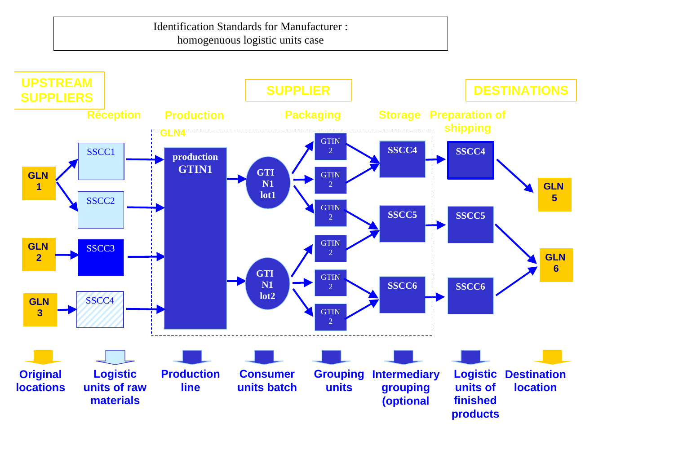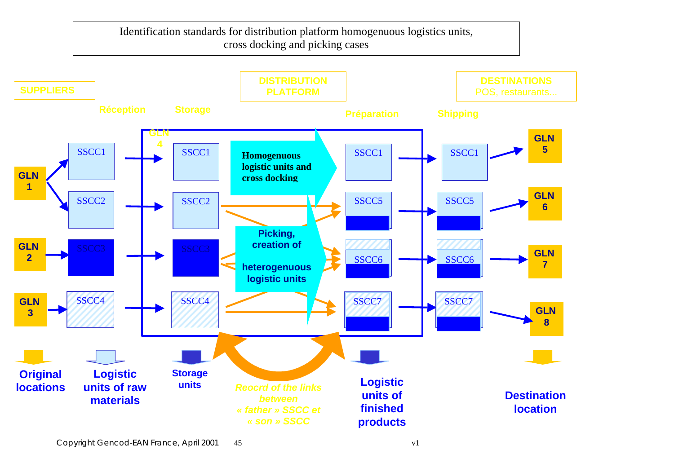Identification standards for distribution platform homogenuous logistics units, cross docking and picking cases

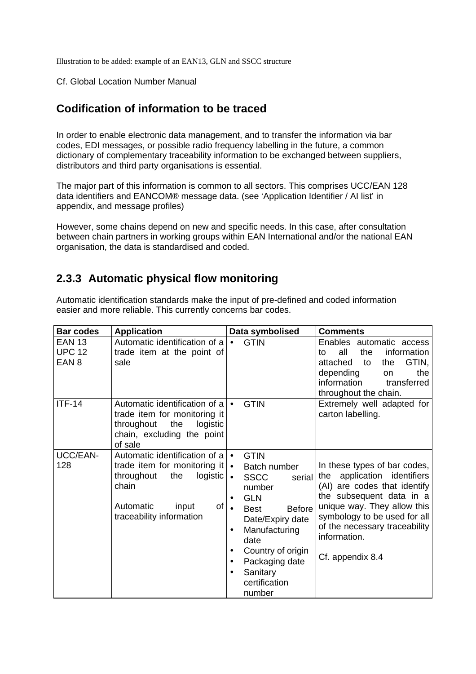Illustration to be added: example of an EAN13, GLN and SSCC structure

#### Cf. Global Location Number Manual

### **Codification of information to be traced**

In order to enable electronic data management, and to transfer the information via bar codes, EDI messages, or possible radio frequency labelling in the future, a common dictionary of complementary traceability information to be exchanged between suppliers, distributors and third party organisations is essential.

The major part of this information is common to all sectors. This comprises UCC/EAN 128 data identifiers and EANCOM® message data. (see 'Application Identifier / AI list' in appendix, and message profiles)

However, some chains depend on new and specific needs. In this case, after consultation between chain partners in working groups within EAN International and/or the national EAN organisation, the data is standardised and coded.

## **2.3.3 Automatic physical flow monitoring**

Automatic identification standards make the input of pre-defined and coded information easier and more reliable. This currently concerns bar codes.

| <b>Bar codes</b>                                   | <b>Application</b>                                                                                                                                                               | Data symbolised                                                                                                                                                                                                                                                                | <b>Comments</b>                                                                                                                                                                                                                                                |
|----------------------------------------------------|----------------------------------------------------------------------------------------------------------------------------------------------------------------------------------|--------------------------------------------------------------------------------------------------------------------------------------------------------------------------------------------------------------------------------------------------------------------------------|----------------------------------------------------------------------------------------------------------------------------------------------------------------------------------------------------------------------------------------------------------------|
| <b>EAN 13</b><br><b>UPC 12</b><br>EAN <sub>8</sub> | Automatic identification of a<br>trade item at the point of<br>sale                                                                                                              | <b>GTIN</b>                                                                                                                                                                                                                                                                    | Enables automatic access<br>all<br>the<br>information<br>to<br>GTIN,<br>attached<br>to<br>the<br>depending<br>the<br>on<br>information<br>transferred<br>throughout the chain.                                                                                 |
| $ITF-14$                                           | Automatic identification of $a \rvert \bullet$<br>trade item for monitoring it<br>throughout<br>the<br>logistic<br>chain, excluding the point<br>of sale                         | <b>GTIN</b>                                                                                                                                                                                                                                                                    | Extremely well adapted for<br>carton labelling.                                                                                                                                                                                                                |
| UCC/EAN-<br>128                                    | Automatic identification of $a \rvert \bullet$<br>trade item for monitoring it<br>logistic<br>throughout<br>the<br>chain<br>of<br>Automatic<br>input<br>traceability information | <b>GTIN</b><br>Batch number<br>$\bullet$<br><b>SSCC</b><br>serial<br>$\bullet$<br>number<br><b>GLN</b><br>$\bullet$<br><b>Before</b><br><b>Best</b><br>Date/Expiry date<br>Manufacturing<br>date<br>Country of origin<br>Packaging date<br>Sanitary<br>certification<br>number | In these types of bar codes,<br>application identifiers<br>the<br>(AI) are codes that identify<br>the subsequent data in a<br>unique way. They allow this<br>symbology to be used for all<br>of the necessary traceability<br>information.<br>Cf. appendix 8.4 |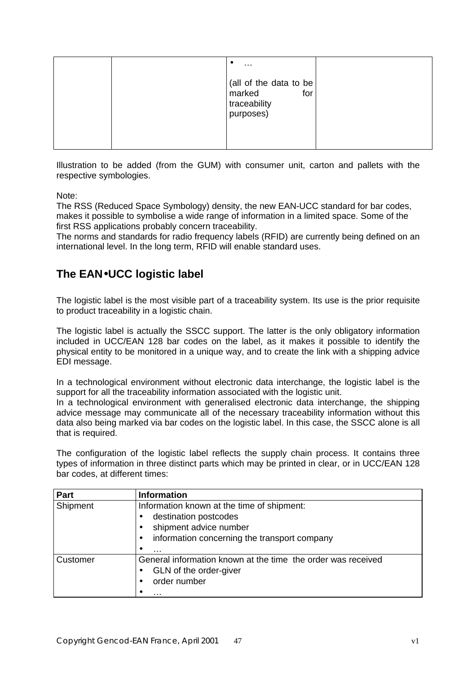|  | $\epsilon$<br>$\sim$ $\sim$                                          |  |
|--|----------------------------------------------------------------------|--|
|  | (all of the data to be<br>marked<br>for<br>traceability<br>purposes) |  |

Illustration to be added (from the GUM) with consumer unit, carton and pallets with the respective symbologies.

Note:

The RSS (Reduced Space Symbology) density, the new EAN-UCC standard for bar codes, makes it possible to symbolise a wide range of information in a limited space. Some of the first RSS applications probably concern traceability.

The norms and standards for radio frequency labels (RFID) are currently being defined on an international level. In the long term, RFID will enable standard uses.

# **The EAN·UCC logistic label**

The logistic label is the most visible part of a traceability system. Its use is the prior requisite to product traceability in a logistic chain.

The logistic label is actually the SSCC support. The latter is the only obligatory information included in UCC/EAN 128 bar codes on the label, as it makes it possible to identify the physical entity to be monitored in a unique way, and to create the link with a shipping advice EDI message.

In a technological environment without electronic data interchange, the logistic label is the support for all the traceability information associated with the logistic unit.

In a technological environment with generalised electronic data interchange, the shipping advice message may communicate all of the necessary traceability information without this data also being marked via bar codes on the logistic label. In this case, the SSCC alone is all that is required.

The configuration of the logistic label reflects the supply chain process. It contains three types of information in three distinct parts which may be printed in clear, or in UCC/EAN 128 bar codes, at different times:

| Part     | <b>Information</b>                                           |
|----------|--------------------------------------------------------------|
| Shipment | Information known at the time of shipment:                   |
|          | destination postcodes                                        |
|          | shipment advice number                                       |
|          | information concerning the transport company<br>$\bullet$    |
|          | ٠<br>$\cdots$                                                |
| Customer | General information known at the time the order was received |
|          | GLN of the order-giver                                       |
|          | order number                                                 |
|          | .                                                            |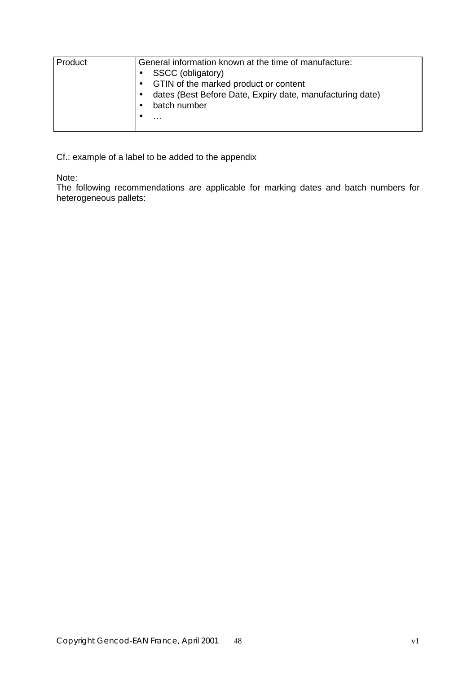| Product | General information known at the time of manufacture:<br>SSCC (obligatory)<br>• GTIN of the marked product or content<br>dates (Best Before Date, Expiry date, manufacturing date)<br>batch number<br>$\cdots$ |
|---------|----------------------------------------------------------------------------------------------------------------------------------------------------------------------------------------------------------------|
|---------|----------------------------------------------------------------------------------------------------------------------------------------------------------------------------------------------------------------|

Cf.: example of a label to be added to the appendix

Note:

The following recommendations are applicable for marking dates and batch numbers for heterogeneous pallets: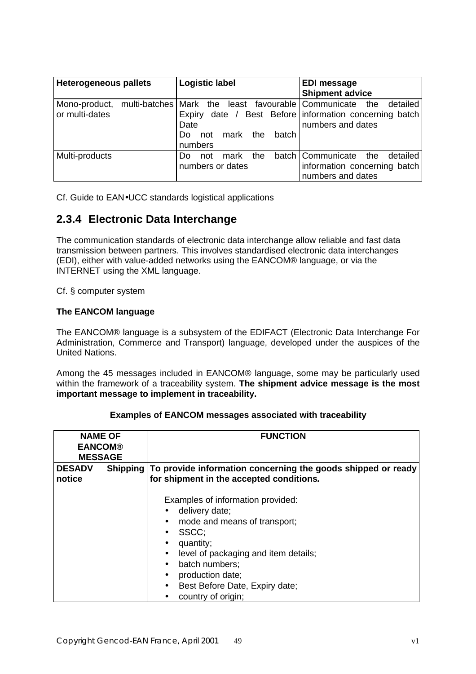| <b>Heterogeneous pallets</b> | <b>Logistic label</b> |                  |     |      |     | <b>EDI message</b> |                                                                  |          |
|------------------------------|-----------------------|------------------|-----|------|-----|--------------------|------------------------------------------------------------------|----------|
|                              |                       |                  |     |      |     |                    | <b>Shipment advice</b>                                           |          |
| Mono-product,                |                       |                  |     |      |     |                    | multi-batches Mark the least favourable Communicate the detailed |          |
| or multi-dates               |                       |                  |     |      |     |                    | Expiry date / Best Before information concerning batch           |          |
|                              |                       | Date             |     |      |     |                    | numbers and dates                                                |          |
|                              |                       | Do               | not | mark | the | batch              |                                                                  |          |
|                              |                       | numbers          |     |      |     |                    |                                                                  |          |
| Multi-products               |                       | Do               | not | mark | the |                    | batch Communicate the                                            | detailed |
|                              |                       | numbers or dates |     |      |     |                    | information concerning batch                                     |          |
|                              |                       |                  |     |      |     |                    | numbers and dates                                                |          |

Cf. Guide to EAN•UCC standards logistical applications

### **2.3.4 Electronic Data Interchange**

The communication standards of electronic data interchange allow reliable and fast data transmission between partners. This involves standardised electronic data interchanges (EDI), either with value-added networks using the EANCOM® language, or via the INTERNET using the XML language.

Cf. § computer system

### **The EANCOM language**

The EANCOM® language is a subsystem of the EDIFACT (Electronic Data Interchange For Administration, Commerce and Transport) language, developed under the auspices of the United Nations.

Among the 45 messages included in EANCOM® language, some may be particularly used within the framework of a traceability system. **The shipment advice message is the most important message to implement in traceability.**

| <b>NAME OF</b>          |  | <b>FUNCTION</b>                                                                                                   |  |  |  |  |
|-------------------------|--|-------------------------------------------------------------------------------------------------------------------|--|--|--|--|
| <b>EANCOM®</b>          |  |                                                                                                                   |  |  |  |  |
| <b>MESSAGE</b>          |  |                                                                                                                   |  |  |  |  |
| <b>DESADV</b><br>notice |  | Shipping To provide information concerning the goods shipped or ready<br>for shipment in the accepted conditions. |  |  |  |  |
|                         |  | Examples of information provided:<br>delivery date;<br>mode and means of transport;<br>SSCC;                      |  |  |  |  |

### **Examples of EANCOM messages associated with traceability**

- quantity;
- level of packaging and item details;
- batch numbers;
- production date;
- Best Before Date, Expiry date:
- country of origin;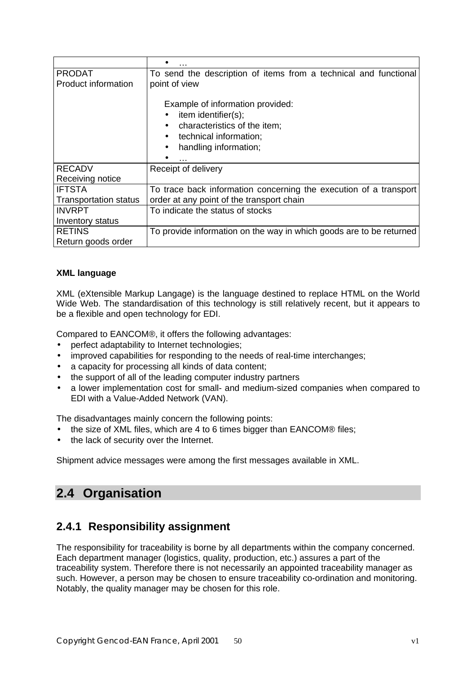| <b>PRODAT</b>                | To send the description of items from a technical and functional    |
|------------------------------|---------------------------------------------------------------------|
| Product information          | point of view                                                       |
|                              |                                                                     |
|                              | Example of information provided:                                    |
|                              | item identifier(s);                                                 |
|                              | characteristics of the item;                                        |
|                              | technical information;<br>$\bullet$                                 |
|                              | handling information;<br>$\bullet$                                  |
|                              | .                                                                   |
| <b>RECADV</b>                | Receipt of delivery                                                 |
| Receiving notice             |                                                                     |
| <b>IFTSTA</b>                | To trace back information concerning the execution of a transport   |
| <b>Transportation status</b> | order at any point of the transport chain                           |
| <b>INVRPT</b>                | To indicate the status of stocks                                    |
| Inventory status             |                                                                     |
| <b>RETINS</b>                | To provide information on the way in which goods are to be returned |
| Return goods order           |                                                                     |
|                              |                                                                     |

### **XML language**

XML (eXtensible Markup Langage) is the language destined to replace HTML on the World Wide Web. The standardisation of this technology is still relatively recent, but it appears to be a flexible and open technology for EDI.

Compared to EANCOM®, it offers the following advantages:

- perfect adaptability to Internet technologies;
- improved capabilities for responding to the needs of real-time interchanges;
- a capacity for processing all kinds of data content;
- the support of all of the leading computer industry partners
- a lower implementation cost for small- and medium-sized companies when compared to EDI with a Value-Added Network (VAN).

The disadvantages mainly concern the following points:

- the size of XML files, which are 4 to 6 times bigger than EANCOM® files;
- the lack of security over the Internet.

Shipment advice messages were among the first messages available in XML.

# **2.4 Organisation**

### **2.4.1 Responsibility assignment**

The responsibility for traceability is borne by all departments within the company concerned. Each department manager (logistics, quality, production, etc.) assures a part of the traceability system. Therefore there is not necessarily an appointed traceability manager as such. However, a person may be chosen to ensure traceability co-ordination and monitoring. Notably, the quality manager may be chosen for this role.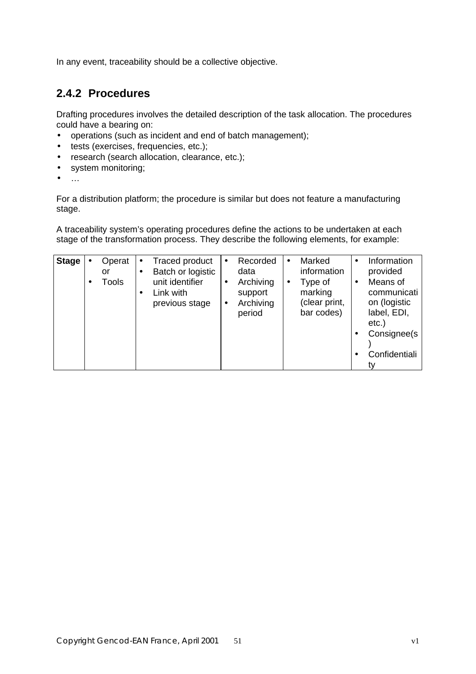In any event, traceability should be a collective objective.

# **2.4.2 Procedures**

Drafting procedures involves the detailed description of the task allocation. The procedures could have a bearing on:

- operations (such as incident and end of batch management);
- tests (exercises, frequencies, etc.);
- research (search allocation, clearance, etc.);
- system monitoring;
- …

For a distribution platform; the procedure is similar but does not feature a manufacturing stage.

A traceability system's operating procedures define the actions to be undertaken at each stage of the transformation process. They describe the following elements, for example:

| <b>Stage</b> |  | Operat<br>or<br>Tools | $\bullet$<br>$\bullet$ | <b>Traced product</b><br>Batch or logistic<br>unit identifier<br>Link with<br>previous stage | $\bullet$<br>٠<br>٠ | Recorded<br>data<br>Archiving<br>support<br>Archiving<br>period | $\bullet$<br>٠ | Marked<br>information<br>Type of<br>marking<br>(clear print,<br>bar codes) |  | Information<br>provided<br>Means of<br>communicati<br>on (logistic<br>label, EDI,<br>$etc.$ )<br>Consignee(s)<br>Confidentiali |
|--------------|--|-----------------------|------------------------|----------------------------------------------------------------------------------------------|---------------------|-----------------------------------------------------------------|----------------|----------------------------------------------------------------------------|--|--------------------------------------------------------------------------------------------------------------------------------|
|--------------|--|-----------------------|------------------------|----------------------------------------------------------------------------------------------|---------------------|-----------------------------------------------------------------|----------------|----------------------------------------------------------------------------|--|--------------------------------------------------------------------------------------------------------------------------------|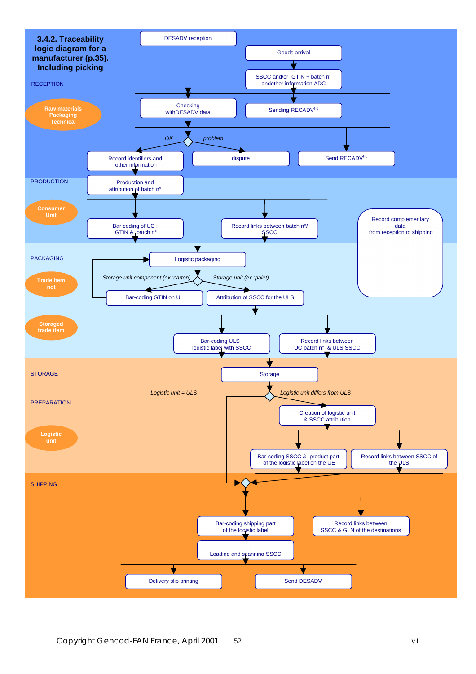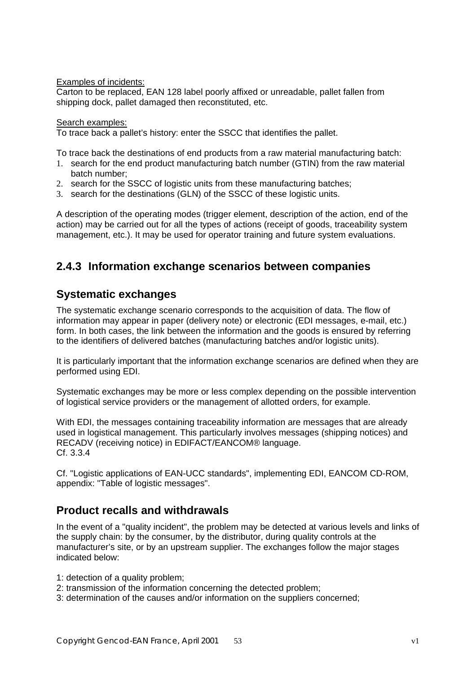Examples of incidents:

Carton to be replaced, EAN 128 label poorly affixed or unreadable, pallet fallen from shipping dock, pallet damaged then reconstituted, etc.

#### Search examples:

To trace back a pallet's history: enter the SSCC that identifies the pallet.

To trace back the destinations of end products from a raw material manufacturing batch:

- 1. search for the end product manufacturing batch number (GTIN) from the raw material batch number;
- 2. search for the SSCC of logistic units from these manufacturing batches;
- 3. search for the destinations (GLN) of the SSCC of these logistic units.

A description of the operating modes (trigger element, description of the action, end of the action) may be carried out for all the types of actions (receipt of goods, traceability system management, etc.). It may be used for operator training and future system evaluations.

## **2.4.3 Information exchange scenarios between companies**

### **Systematic exchanges**

The systematic exchange scenario corresponds to the acquisition of data. The flow of information may appear in paper (delivery note) or electronic (EDI messages, e-mail, etc.) form. In both cases, the link between the information and the goods is ensured by referring to the identifiers of delivered batches (manufacturing batches and/or logistic units).

It is particularly important that the information exchange scenarios are defined when they are performed using EDI.

Systematic exchanges may be more or less complex depending on the possible intervention of logistical service providers or the management of allotted orders, for example.

With EDI, the messages containing traceability information are messages that are already used in logistical management. This particularly involves messages (shipping notices) and RECADV (receiving notice) in EDIFACT/EANCOM® language. Cf. 3.3.4

Cf. "Logistic applications of EAN-UCC standards", implementing EDI, EANCOM CD-ROM, appendix: "Table of logistic messages".

### **Product recalls and withdrawals**

In the event of a "quality incident", the problem may be detected at various levels and links of the supply chain: by the consumer, by the distributor, during quality controls at the manufacturer's site, or by an upstream supplier. The exchanges follow the major stages indicated below:

1: detection of a quality problem;

- 2: transmission of the information concerning the detected problem;
- 3: determination of the causes and/or information on the suppliers concerned;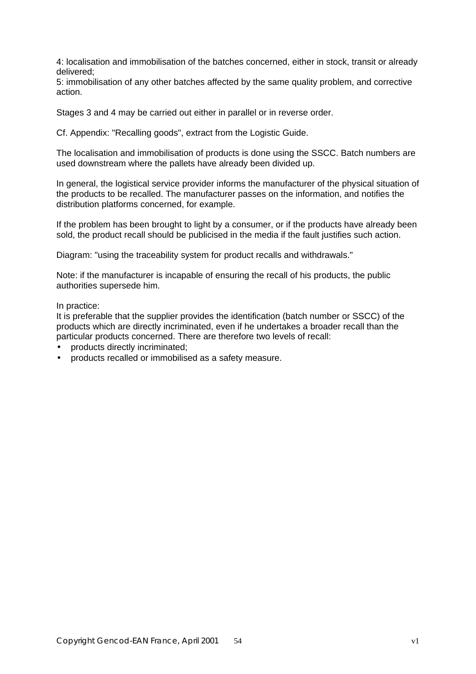4: localisation and immobilisation of the batches concerned, either in stock, transit or already delivered;

5: immobilisation of any other batches affected by the same quality problem, and corrective action.

Stages 3 and 4 may be carried out either in parallel or in reverse order.

Cf. Appendix: "Recalling goods", extract from the Logistic Guide.

The localisation and immobilisation of products is done using the SSCC. Batch numbers are used downstream where the pallets have already been divided up.

In general, the logistical service provider informs the manufacturer of the physical situation of the products to be recalled. The manufacturer passes on the information, and notifies the distribution platforms concerned, for example.

If the problem has been brought to light by a consumer, or if the products have already been sold, the product recall should be publicised in the media if the fault justifies such action.

Diagram: "using the traceability system for product recalls and withdrawals."

Note: if the manufacturer is incapable of ensuring the recall of his products, the public authorities supersede him.

In practice:

It is preferable that the supplier provides the identification (batch number or SSCC) of the products which are directly incriminated, even if he undertakes a broader recall than the particular products concerned. There are therefore two levels of recall:

- products directly incriminated;
- products recalled or immobilised as a safety measure.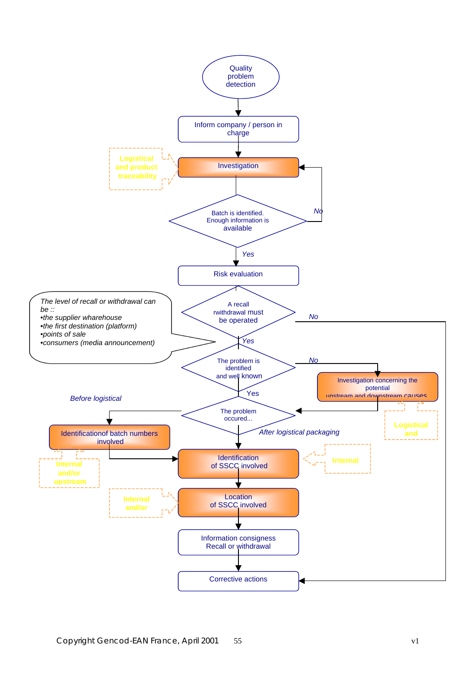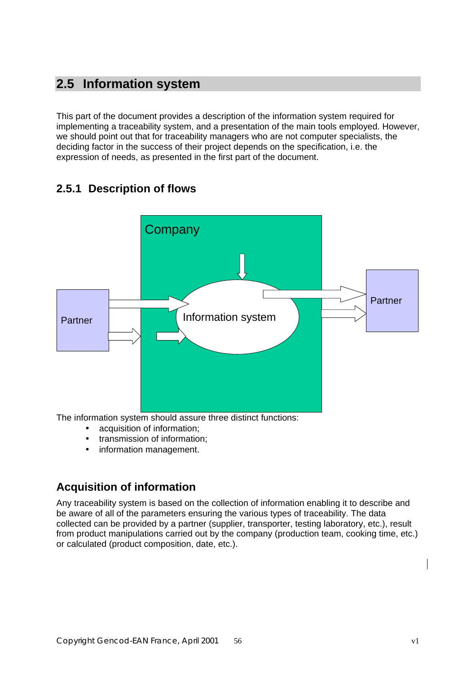# **2.5 Information system**

This part of the document provides a description of the information system required for implementing a traceability system, and a presentation of the main tools employed. However, we should point out that for traceability managers who are not computer specialists, the deciding factor in the success of their project depends on the specification, i.e. the expression of needs, as presented in the first part of the document.

# **2.5.1 Description of flows**



The information system should assure three distinct functions:

- acquisition of information;
- transmission of information;
- information management.

# **Acquisition of information**

Any traceability system is based on the collection of information enabling it to describe and be aware of all of the parameters ensuring the various types of traceability. The data collected can be provided by a partner (supplier, transporter, testing laboratory, etc.), result from product manipulations carried out by the company (production team, cooking time, etc.) or calculated (product composition, date, etc.).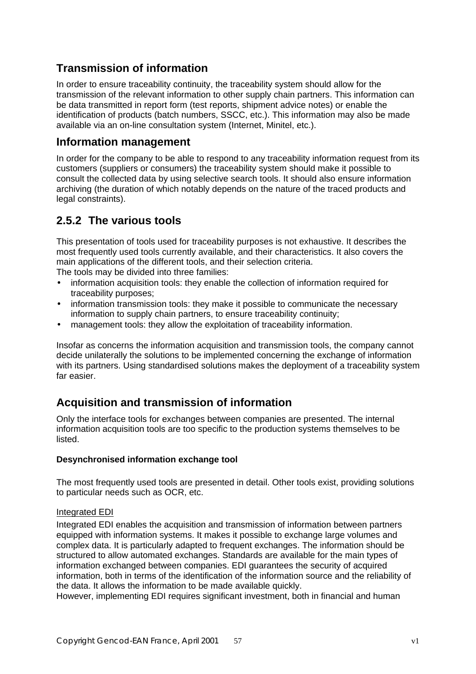# **Transmission of information**

In order to ensure traceability continuity, the traceability system should allow for the transmission of the relevant information to other supply chain partners. This information can be data transmitted in report form (test reports, shipment advice notes) or enable the identification of products (batch numbers, SSCC, etc.). This information may also be made available via an on-line consultation system (Internet, Minitel, etc.).

### **Information management**

In order for the company to be able to respond to any traceability information request from its customers (suppliers or consumers) the traceability system should make it possible to consult the collected data by using selective search tools. It should also ensure information archiving (the duration of which notably depends on the nature of the traced products and legal constraints).

# **2.5.2 The various tools**

This presentation of tools used for traceability purposes is not exhaustive. It describes the most frequently used tools currently available, and their characteristics. It also covers the main applications of the different tools, and their selection criteria. The tools may be divided into three families:

• information acquisition tools: they enable the collection of information required for traceability purposes;

- information transmission tools: they make it possible to communicate the necessary information to supply chain partners, to ensure traceability continuity;
- management tools: they allow the exploitation of traceability information.

Insofar as concerns the information acquisition and transmission tools, the company cannot decide unilaterally the solutions to be implemented concerning the exchange of information with its partners. Using standardised solutions makes the deployment of a traceability system far easier.

# **Acquisition and transmission of information**

Only the interface tools for exchanges between companies are presented. The internal information acquisition tools are too specific to the production systems themselves to be listed.

### **Desynchronised information exchange tool**

The most frequently used tools are presented in detail. Other tools exist, providing solutions to particular needs such as OCR, etc.

### Integrated EDI

Integrated EDI enables the acquisition and transmission of information between partners equipped with information systems. It makes it possible to exchange large volumes and complex data. It is particularly adapted to frequent exchanges. The information should be structured to allow automated exchanges. Standards are available for the main types of information exchanged between companies. EDI guarantees the security of acquired information, both in terms of the identification of the information source and the reliability of the data. It allows the information to be made available quickly.

However, implementing EDI requires significant investment, both in financial and human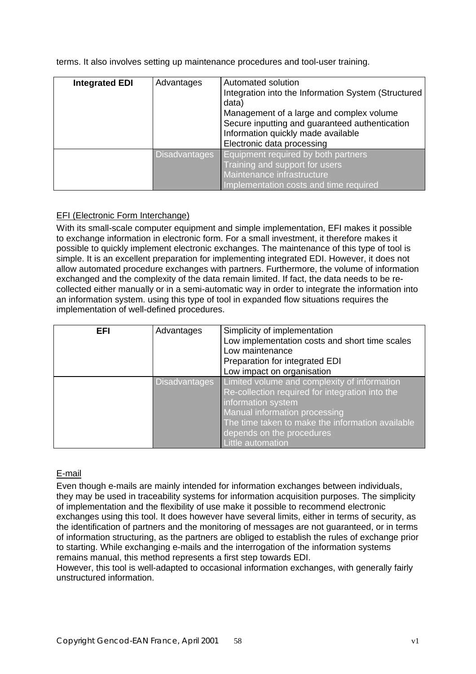terms. It also involves setting up maintenance procedures and tool-user training.

| <b>Integrated EDI</b> | Advantages           | Automated solution<br>Integration into the Information System (Structured<br>data)<br>Management of a large and complex volume<br>Secure inputting and guaranteed authentication<br>Information quickly made available<br>Electronic data processing |
|-----------------------|----------------------|------------------------------------------------------------------------------------------------------------------------------------------------------------------------------------------------------------------------------------------------------|
|                       | <b>Disadvantages</b> | Equipment required by both partners<br>Training and support for users<br>Maintenance infrastructure<br>Implementation costs and time required                                                                                                        |

### EFI (Electronic Form Interchange)

With its small-scale computer equipment and simple implementation, EFI makes it possible to exchange information in electronic form. For a small investment, it therefore makes it possible to quickly implement electronic exchanges. The maintenance of this type of tool is simple. It is an excellent preparation for implementing integrated EDI. However, it does not allow automated procedure exchanges with partners. Furthermore, the volume of information exchanged and the complexity of the data remain limited. If fact, the data needs to be recollected either manually or in a semi-automatic way in order to integrate the information into an information system. using this type of tool in expanded flow situations requires the implementation of well-defined procedures.

| EFI | Advantages           | Simplicity of implementation<br>Low implementation costs and short time scales<br>Low maintenance<br>Preparation for integrated EDI<br>Low impact on organisation                                                                                            |
|-----|----------------------|--------------------------------------------------------------------------------------------------------------------------------------------------------------------------------------------------------------------------------------------------------------|
|     | <b>Disadvantages</b> | Limited volume and complexity of information<br>Re-collection required for integration into the<br>information system<br>Manual information processing<br>The time taken to make the information available<br>depends on the procedures<br>Little automation |

### E-mail

Even though e-mails are mainly intended for information exchanges between individuals, they may be used in traceability systems for information acquisition purposes. The simplicity of implementation and the flexibility of use make it possible to recommend electronic exchanges using this tool. It does however have several limits, either in terms of security, as the identification of partners and the monitoring of messages are not guaranteed, or in terms of information structuring, as the partners are obliged to establish the rules of exchange prior to starting. While exchanging e-mails and the interrogation of the information systems remains manual, this method represents a first step towards EDI.

However, this tool is well-adapted to occasional information exchanges, with generally fairly unstructured information.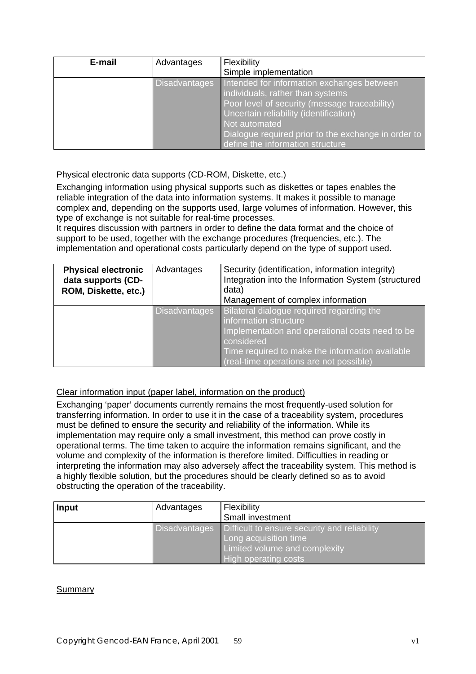| E-mail | Advantages           | Flexibility<br>Simple implementation                                                                                                                                                                                                                                                   |
|--------|----------------------|----------------------------------------------------------------------------------------------------------------------------------------------------------------------------------------------------------------------------------------------------------------------------------------|
|        | <b>Disadvantages</b> | Intended for information exchanges between<br>individuals, rather than systems<br>Poor level of security (message traceability),<br>Uncertain reliability (identification)<br>Not automated<br>Dialogue required prior to the exchange in order to<br>define the information structure |

### Physical electronic data supports (CD-ROM, Diskette, etc.)

Exchanging information using physical supports such as diskettes or tapes enables the reliable integration of the data into information systems. It makes it possible to manage complex and, depending on the supports used, large volumes of information. However, this type of exchange is not suitable for real-time processes.

It requires discussion with partners in order to define the data format and the choice of support to be used, together with the exchange procedures (frequencies, etc.). The implementation and operational costs particularly depend on the type of support used.

| <b>Physical electronic</b><br>data supports (CD-<br>ROM, Diskette, etc.) | Advantages           | Security (identification, information integrity)<br>Integration into the Information System (structured<br>data)<br>Management of complex information                                                                             |
|--------------------------------------------------------------------------|----------------------|-----------------------------------------------------------------------------------------------------------------------------------------------------------------------------------------------------------------------------------|
|                                                                          | <b>Disadvantages</b> | Bilateral dialogue required regarding the<br>information structure<br>Implementation and operational costs need to be<br>considered<br>Time required to make the information available<br>(real-time operations are not possible) |

### Clear information input (paper label, information on the product)

Exchanging 'paper' documents currently remains the most frequently-used solution for transferring information. In order to use it in the case of a traceability system, procedures must be defined to ensure the security and reliability of the information. While its implementation may require only a small investment, this method can prove costly in operational terms. The time taken to acquire the information remains significant, and the volume and complexity of the information is therefore limited. Difficulties in reading or interpreting the information may also adversely affect the traceability system. This method is a highly flexible solution, but the procedures should be clearly defined so as to avoid obstructing the operation of the traceability.

| <b>Input</b> | Advantages | Flexibility                                                                                                                                                  |
|--------------|------------|--------------------------------------------------------------------------------------------------------------------------------------------------------------|
|              |            | Small investment                                                                                                                                             |
|              |            | Disadvantages   Difficult to ensure security and reliability<br>Long acquisition time<br><b>Limited volume and complexity</b><br><b>High operating costs</b> |

### **Summary**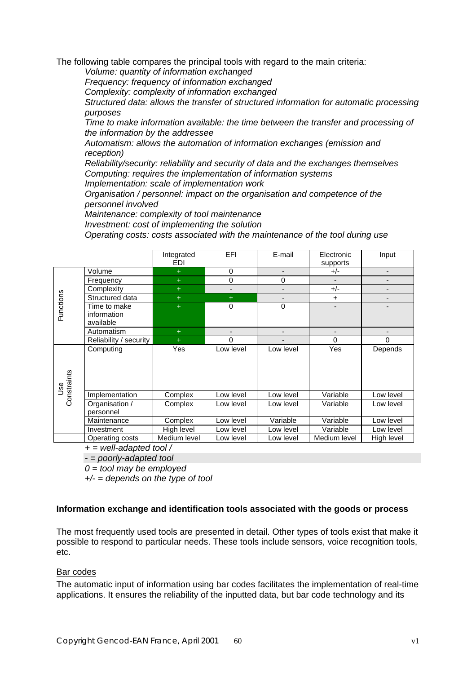The following table compares the principal tools with regard to the main criteria:

*Volume: quantity of information exchanged*

*Frequency: frequency of information exchanged*

*Complexity: complexity of information exchanged*

*Structured data: allows the transfer of structured information for automatic processing purposes*

*Time to make information available: the time between the transfer and processing of the information by the addressee*

*Automatism: allows the automation of information exchanges (emission and reception)*

*Reliability/security: reliability and security of data and the exchanges themselves Computing: requires the implementation of information systems Implementation: scale of implementation work*

*Organisation / personnel: impact on the organisation and competence of the personnel involved*

*Maintenance: complexity of tool maintenance*

*Investment: cost of implementing the solution*

*Operating costs: costs associated with the maintenance of the tool during use*

|                    |                                                                              | Integrated<br>EDI | <b>EFI</b>               | E-mail         | Electronic<br>supports | Input                        |
|--------------------|------------------------------------------------------------------------------|-------------------|--------------------------|----------------|------------------------|------------------------------|
|                    | Volume                                                                       | $+$               | $\mathbf 0$              |                | $+/-$                  | $\overline{\phantom{0}}$     |
|                    | Frequency                                                                    | $+$               | $\mathbf 0$              | 0              |                        | $\qquad \qquad \blacksquare$ |
|                    | Complexity                                                                   | $+$               | $\overline{\phantom{a}}$ | $\overline{a}$ | $+/-$                  | -                            |
|                    | Structured data                                                              | $+$               | $+$                      |                | $\ddot{}$              |                              |
| Functions          | Time to make<br>information<br>available                                     | $+$               | $\mathbf 0$              | 0              |                        |                              |
|                    | Automatism                                                                   | $+$               |                          |                |                        |                              |
|                    | Reliability / security                                                       | $+$               | $\Omega$                 |                | $\Omega$               | 0                            |
| Constraints<br>9se | Computing                                                                    | Yes               | Low level                | Low level      | <b>Yes</b>             | Depends                      |
|                    | Implementation                                                               | Complex           | Low level                | Low level      | Variable               | Low level                    |
|                    | Organisation /<br>personnel                                                  | Complex           | Low level                | Low level      | Variable               | Low level                    |
|                    | Maintenance                                                                  | Complex           | Low level                | Variable       | Variable               | Low level                    |
|                    | Investment                                                                   | High level        | Low level                | Low level      | Variable               | Low level                    |
|                    | Operating costs<br>$\mathbf{u}$ , $\mathbf{u}$ , $\mathbf{u}$ , $\mathbf{u}$ | Medium level      | Low level                | Low level      | Medium level           | High level                   |

*+ = well-adapted tool /*

*- = poorly-adapted tool*

*0 = tool may be employed*

*+/- = depends on the type of tool*

### **Information exchange and identification tools associated with the goods or process**

The most frequently used tools are presented in detail. Other types of tools exist that make it possible to respond to particular needs. These tools include sensors, voice recognition tools, etc.

#### Bar codes

The automatic input of information using bar codes facilitates the implementation of real-time applications. It ensures the reliability of the inputted data, but bar code technology and its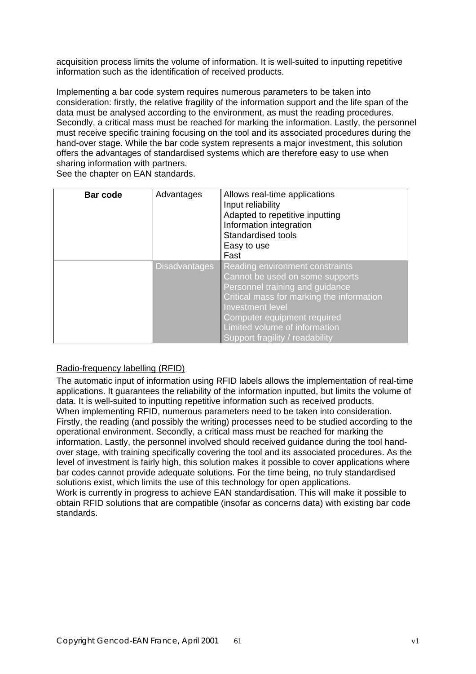acquisition process limits the volume of information. It is well-suited to inputting repetitive information such as the identification of received products.

Implementing a bar code system requires numerous parameters to be taken into consideration: firstly, the relative fragility of the information support and the life span of the data must be analysed according to the environment, as must the reading procedures. Secondly, a critical mass must be reached for marking the information. Lastly, the personnel must receive specific training focusing on the tool and its associated procedures during the hand-over stage. While the bar code system represents a major investment, this solution offers the advantages of standardised systems which are therefore easy to use when sharing information with partners.

See the chapter on EAN standards.

| Bar code | Advantages           | Allows real-time applications<br>Input reliability<br>Adapted to repetitive inputting<br>Information integration<br>Standardised tools<br>Easy to use<br>Fast                                                                                                             |
|----------|----------------------|---------------------------------------------------------------------------------------------------------------------------------------------------------------------------------------------------------------------------------------------------------------------------|
|          | <b>Disadvantages</b> | Reading environment constraints<br>Cannot be used on some supports<br>Personnel training and guidance<br>Critical mass for marking the information<br>Investment level<br>Computer equipment required<br>Limited volume of information<br>Support fragility / readability |

### Radio-frequency labelling (RFID)

The automatic input of information using RFID labels allows the implementation of real-time applications. It guarantees the reliability of the information inputted, but limits the volume of data. It is well-suited to inputting repetitive information such as received products. When implementing RFID, numerous parameters need to be taken into consideration. Firstly, the reading (and possibly the writing) processes need to be studied according to the operational environment. Secondly, a critical mass must be reached for marking the information. Lastly, the personnel involved should received guidance during the tool handover stage, with training specifically covering the tool and its associated procedures. As the level of investment is fairly high, this solution makes it possible to cover applications where bar codes cannot provide adequate solutions. For the time being, no truly standardised solutions exist, which limits the use of this technology for open applications. Work is currently in progress to achieve EAN standardisation. This will make it possible to obtain RFID solutions that are compatible (insofar as concerns data) with existing bar code standards.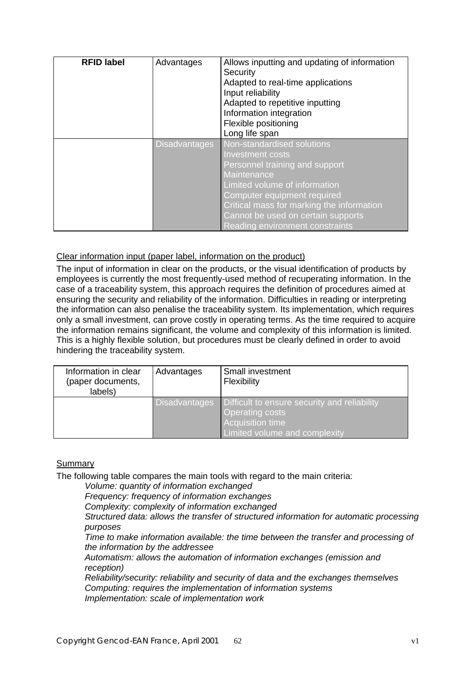| <b>RFID label</b> | Advantages           | Allows inputting and updating of information<br>Security<br>Adapted to real-time applications<br>Input reliability<br>Adapted to repetitive inputting<br>Information integration<br>Flexible positioning<br>Long life span                                                            |
|-------------------|----------------------|---------------------------------------------------------------------------------------------------------------------------------------------------------------------------------------------------------------------------------------------------------------------------------------|
|                   | <b>Disadvantages</b> | Non-standardised solutions<br>Investment costs<br>Personnel training and support<br>Maintenance<br>Limited volume of information<br>Computer equipment required<br>Critical mass for marking the information<br>Cannot be used on certain supports<br>Reading environment constraints |

### Clear information input (paper label, information on the product)

The input of information in clear on the products, or the visual identification of products by employees is currently the most frequently-used method of recuperating information. In the case of a traceability system, this approach requires the definition of procedures aimed at ensuring the security and reliability of the information. Difficulties in reading or interpreting the information can also penalise the traceability system. Its implementation, which requires only a small investment, can prove costly in operating terms. As the time required to acquire the information remains significant, the volume and complexity of this information is limited. This is a highly flexible solution, but procedures must be clearly defined in order to avoid hindering the traceability system.

| Information in clear<br>(paper documents,<br>labels) | Advantages           | Small investment<br>Flexibility                                                                                                    |
|------------------------------------------------------|----------------------|------------------------------------------------------------------------------------------------------------------------------------|
|                                                      | <b>Disadvantages</b> | Difficult to ensure security and reliability<br><b>Operating costs</b><br><b>Acquisition time</b><br>Limited volume and complexity |

### Summary

The following table compares the main tools with regard to the main criteria:

*Volume: quantity of information exchanged*

*Frequency: frequency of information exchanges*

*Complexity: complexity of information exchanged*

*Structured data: allows the transfer of structured information for automatic processing purposes*

*Time to make information available: the time between the transfer and processing of the information by the addressee*

*Automatism: allows the automation of information exchanges (emission and reception)*

*Reliability/security: reliability and security of data and the exchanges themselves Computing: requires the implementation of information systems Implementation: scale of implementation work*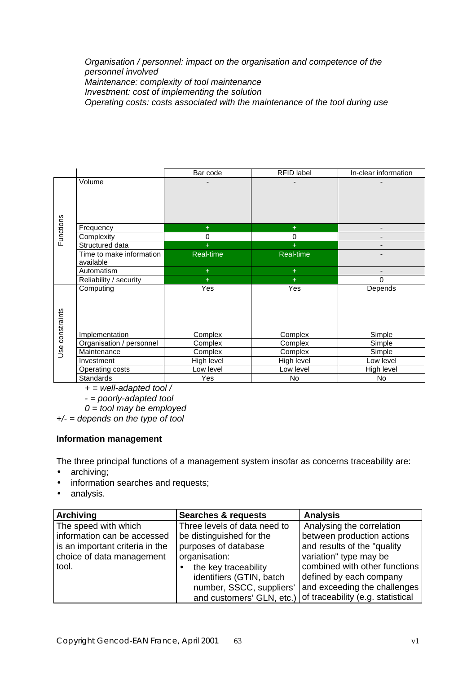*Organisation / personnel: impact on the organisation and competence of the personnel involved Maintenance: complexity of tool maintenance Investment: cost of implementing the solution Operating costs: costs associated with the maintenance of the tool during use*

|                 |                          | Bar code   | RFID label | In-clear information     |
|-----------------|--------------------------|------------|------------|--------------------------|
|                 | Volume                   |            |            |                          |
|                 |                          |            |            |                          |
|                 |                          |            |            |                          |
|                 |                          |            |            |                          |
|                 |                          |            |            |                          |
| Functions       | Frequency                | $\ddot{}$  | $+$        | $\overline{\phantom{a}}$ |
|                 | Complexity               | 0          | 0          |                          |
|                 | Structured data          |            | $+$        |                          |
|                 | Time to make information | Real-time  | Real-time  |                          |
|                 | available                |            |            |                          |
|                 | Automatism               | $\ddot{}$  | $+$        |                          |
|                 | Reliability / security   | $\ddot{}$  | $+$        | $\Omega$                 |
|                 | Computing                | Yes        | Yes        | Depends                  |
|                 |                          |            |            |                          |
|                 |                          |            |            |                          |
|                 |                          |            |            |                          |
|                 |                          |            |            |                          |
| Use constraints | Implementation           | Complex    | Complex    | Simple                   |
|                 | Organisation / personnel | Complex    | Complex    | Simple                   |
|                 | Maintenance              | Complex    | Complex    | Simple                   |
|                 | Investment               | High level | High level | Low level                |
|                 | Operating costs          | Low level  | Low level  | High level               |
|                 | <b>Standards</b>         | Yes        | No         | <b>No</b>                |

*+ = well-adapted tool /*

*- = poorly-adapted tool*

*0 = tool may be employed*

*+/- = depends on the type of tool*

### **Information management**

The three principal functions of a management system insofar as concerns traceability are:

- archiving;
- information searches and requests;
- analysis.

| <b>Archiving</b>                | <b>Searches &amp; requests</b> | <b>Analysis</b>                   |
|---------------------------------|--------------------------------|-----------------------------------|
| The speed with which            | Three levels of data need to   | Analysing the correlation         |
| information can be accessed     | be distinguished for the       | between production actions        |
| is an important criteria in the | purposes of database           | and results of the "quality       |
| choice of data management       | organisation:                  | variation" type may be            |
| tool.                           | the key traceability           | combined with other functions     |
|                                 | identifiers (GTIN, batch       | defined by each company           |
|                                 | number, SSCC, suppliers'       | and exceeding the challenges      |
|                                 | and customers' GLN, etc.)      | of traceability (e.g. statistical |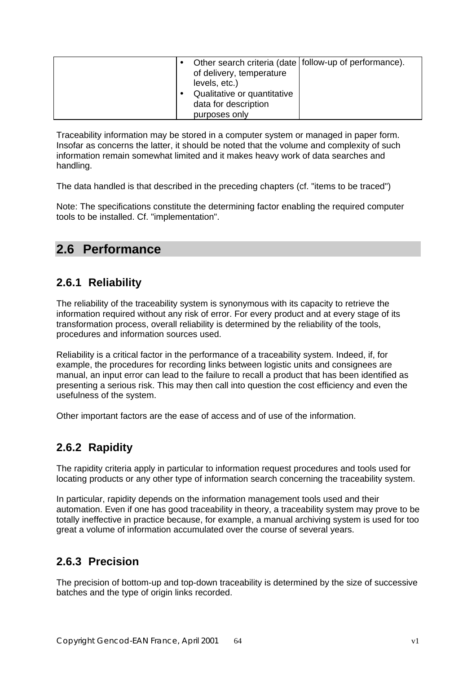|                      |                             | Other search criteria (date   follow-up of performance). |
|----------------------|-----------------------------|----------------------------------------------------------|
|                      | of delivery, temperature    |                                                          |
| levels, etc.)        |                             |                                                          |
|                      | Qualitative or quantitative |                                                          |
| data for description |                             |                                                          |
| purposes only        |                             |                                                          |

Traceability information may be stored in a computer system or managed in paper form. Insofar as concerns the latter, it should be noted that the volume and complexity of such information remain somewhat limited and it makes heavy work of data searches and handling.

The data handled is that described in the preceding chapters (cf. "items to be traced")

Note: The specifications constitute the determining factor enabling the required computer tools to be installed. Cf. "implementation".

# **2.6 Performance**

# **2.6.1 Reliability**

The reliability of the traceability system is synonymous with its capacity to retrieve the information required without any risk of error. For every product and at every stage of its transformation process, overall reliability is determined by the reliability of the tools, procedures and information sources used.

Reliability is a critical factor in the performance of a traceability system. Indeed, if, for example, the procedures for recording links between logistic units and consignees are manual, an input error can lead to the failure to recall a product that has been identified as presenting a serious risk. This may then call into question the cost efficiency and even the usefulness of the system.

Other important factors are the ease of access and of use of the information.

# **2.6.2 Rapidity**

The rapidity criteria apply in particular to information request procedures and tools used for locating products or any other type of information search concerning the traceability system.

In particular, rapidity depends on the information management tools used and their automation. Even if one has good traceability in theory, a traceability system may prove to be totally ineffective in practice because, for example, a manual archiving system is used for too great a volume of information accumulated over the course of several years.

# **2.6.3 Precision**

The precision of bottom-up and top-down traceability is determined by the size of successive batches and the type of origin links recorded.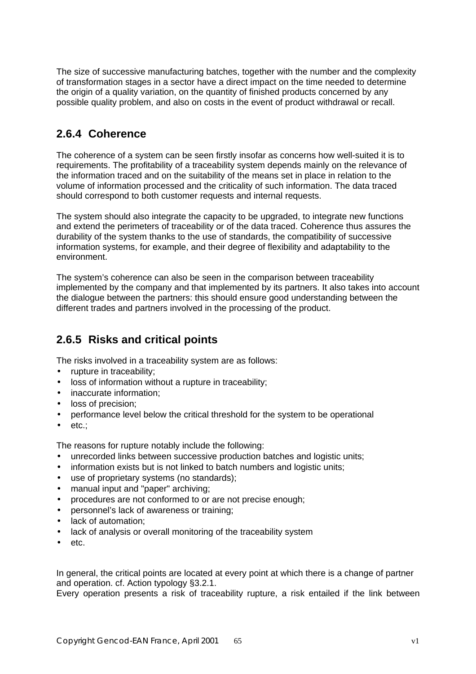The size of successive manufacturing batches, together with the number and the complexity of transformation stages in a sector have a direct impact on the time needed to determine the origin of a quality variation, on the quantity of finished products concerned by any possible quality problem, and also on costs in the event of product withdrawal or recall.

## **2.6.4 Coherence**

The coherence of a system can be seen firstly insofar as concerns how well-suited it is to requirements. The profitability of a traceability system depends mainly on the relevance of the information traced and on the suitability of the means set in place in relation to the volume of information processed and the criticality of such information. The data traced should correspond to both customer requests and internal requests.

The system should also integrate the capacity to be upgraded, to integrate new functions and extend the perimeters of traceability or of the data traced. Coherence thus assures the durability of the system thanks to the use of standards, the compatibility of successive information systems, for example, and their degree of flexibility and adaptability to the environment.

The system's coherence can also be seen in the comparison between traceability implemented by the company and that implemented by its partners. It also takes into account the dialogue between the partners: this should ensure good understanding between the different trades and partners involved in the processing of the product.

# **2.6.5 Risks and critical points**

The risks involved in a traceability system are as follows:

- rupture in traceability;
- loss of information without a rupture in traceability;
- inaccurate information:
- loss of precision;
- performance level below the critical threshold for the system to be operational
- etc.;

The reasons for rupture notably include the following:

- unrecorded links between successive production batches and logistic units;
- information exists but is not linked to batch numbers and logistic units;
- use of proprietary systems (no standards);
- manual input and "paper" archiving;
- procedures are not conformed to or are not precise enough;
- personnel's lack of awareness or training;
- lack of automation;
- lack of analysis or overall monitoring of the traceability system
- etc.

In general, the critical points are located at every point at which there is a change of partner and operation. cf. Action typology §3.2.1.

Every operation presents a risk of traceability rupture, a risk entailed if the link between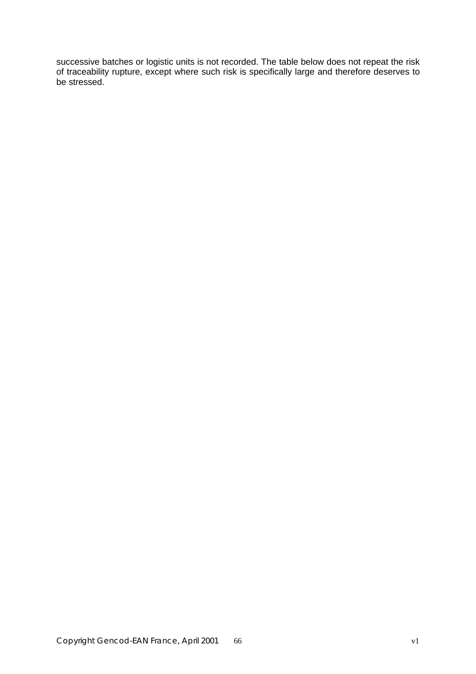successive batches or logistic units is not recorded. The table below does not repeat the risk of traceability rupture, except where such risk is specifically large and therefore deserves to be stressed.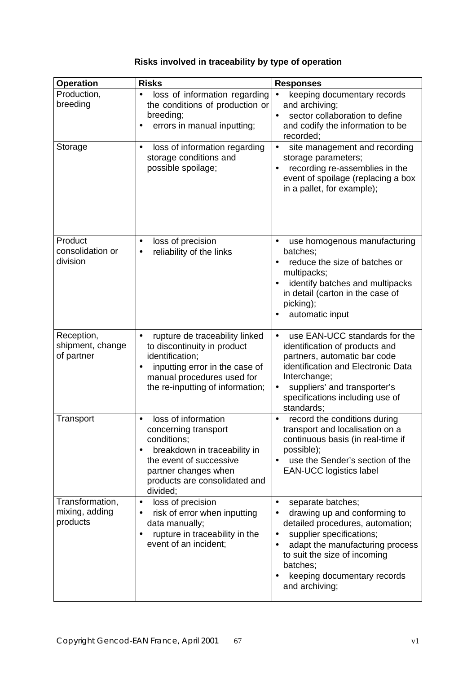# **Risks involved in traceability by type of operation**

| <b>Operation</b>                              | <b>Risks</b>                                                                                                                                                                                      | <b>Responses</b>                                                                                                                                                                                                                                               |
|-----------------------------------------------|---------------------------------------------------------------------------------------------------------------------------------------------------------------------------------------------------|----------------------------------------------------------------------------------------------------------------------------------------------------------------------------------------------------------------------------------------------------------------|
| Production,<br>breeding                       | $\bullet$<br>loss of information regarding<br>the conditions of production or<br>breeding;<br>errors in manual inputting;<br>$\bullet$                                                            | keeping documentary records<br>and archiving;<br>sector collaboration to define<br>$\bullet$<br>and codify the information to be<br>recorded;                                                                                                                  |
| Storage                                       | loss of information regarding<br>$\bullet$<br>storage conditions and<br>possible spoilage;                                                                                                        | site management and recording<br>$\bullet$<br>storage parameters;<br>recording re-assemblies in the<br>event of spoilage (replacing a box<br>in a pallet, for example);                                                                                        |
| Product<br>consolidation or<br>division       | loss of precision<br>$\bullet$<br>reliability of the links<br>$\bullet$                                                                                                                           | use homogenous manufacturing<br>$\bullet$<br>batches:<br>reduce the size of batches or<br>multipacks;<br>identify batches and multipacks<br>in detail (carton in the case of<br>picking);<br>automatic input                                                   |
| Reception,<br>shipment, change<br>of partner  | rupture de traceability linked<br>$\bullet$<br>to discontinuity in product<br>identification;<br>inputting error in the case of<br>manual procedures used for<br>the re-inputting of information; | use EAN-UCC standards for the<br>$\bullet$<br>identification of products and<br>partners, automatic bar code<br>identification and Electronic Data<br>Interchange;<br>suppliers' and transporter's<br>specifications including use of<br>standards;            |
| Transport                                     | loss of information<br>concerning transport<br>conditions;<br>breakdown in traceability in<br>the event of successive<br>partner changes when<br>products are consolidated and<br>divided;        | record the conditions during<br>transport and localisation on a<br>continuous basis (in real-time if<br>possible);<br>use the Sender's section of the<br><b>EAN-UCC logistics label</b>                                                                        |
| Transformation,<br>mixing, adding<br>products | loss of precision<br>$\bullet$<br>risk of error when inputting<br>data manually;<br>rupture in traceability in the<br>event of an incident;                                                       | separate batches;<br>$\bullet$<br>drawing up and conforming to<br>detailed procedures, automation;<br>supplier specifications;<br>adapt the manufacturing process<br>to suit the size of incoming<br>batches;<br>keeping documentary records<br>and archiving; |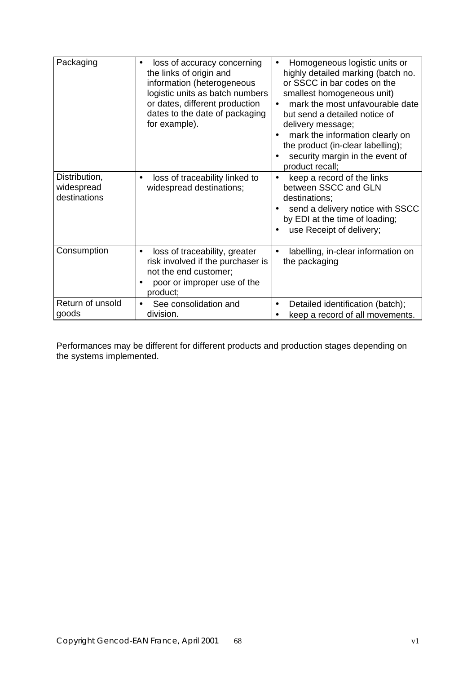| Packaging                                   | loss of accuracy concerning<br>the links of origin and<br>information (heterogeneous<br>logistic units as batch numbers<br>or dates, different production<br>dates to the date of packaging<br>for example). | Homogeneous logistic units or<br>highly detailed marking (batch no.<br>or SSCC in bar codes on the<br>smallest homogeneous unit)<br>mark the most unfavourable date<br>but send a detailed notice of<br>delivery message;<br>mark the information clearly on<br>the product (in-clear labelling);<br>security margin in the event of<br>product recall; |
|---------------------------------------------|--------------------------------------------------------------------------------------------------------------------------------------------------------------------------------------------------------------|---------------------------------------------------------------------------------------------------------------------------------------------------------------------------------------------------------------------------------------------------------------------------------------------------------------------------------------------------------|
| Distribution,<br>widespread<br>destinations | loss of traceability linked to<br>$\bullet$<br>widespread destinations;                                                                                                                                      | keep a record of the links<br>between SSCC and GLN<br>destinations;<br>send a delivery notice with SSCC<br>by EDI at the time of loading;<br>use Receipt of delivery;                                                                                                                                                                                   |
| Consumption                                 | loss of traceability, greater<br>risk involved if the purchaser is<br>not the end customer;<br>poor or improper use of the<br>product;                                                                       | labelling, in-clear information on<br>the packaging                                                                                                                                                                                                                                                                                                     |
| Return of unsold<br>goods                   | See consolidation and<br>$\bullet$<br>division.                                                                                                                                                              | Detailed identification (batch);<br>keep a record of all movements.                                                                                                                                                                                                                                                                                     |

Performances may be different for different products and production stages depending on the systems implemented.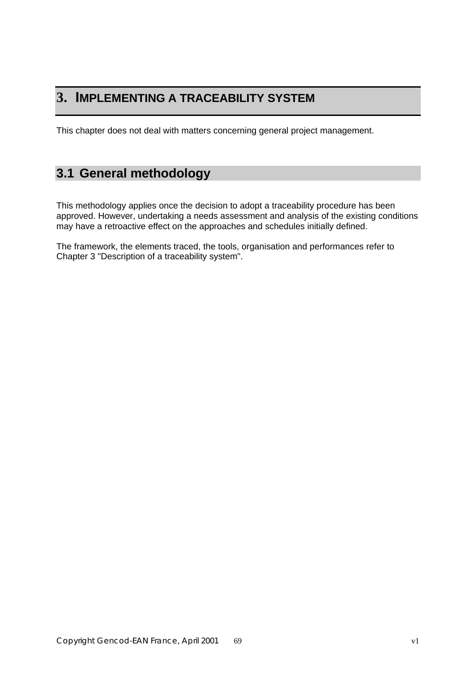# **3. IMPLEMENTING A TRACEABILITY SYSTEM**

This chapter does not deal with matters concerning general project management.

# **3.1 General methodology**

This methodology applies once the decision to adopt a traceability procedure has been approved. However, undertaking a needs assessment and analysis of the existing conditions may have a retroactive effect on the approaches and schedules initially defined.

The framework, the elements traced, the tools, organisation and performances refer to Chapter 3 "Description of a traceability system".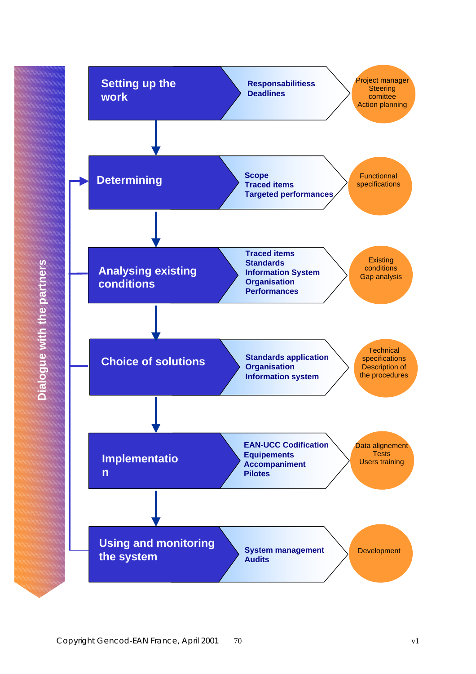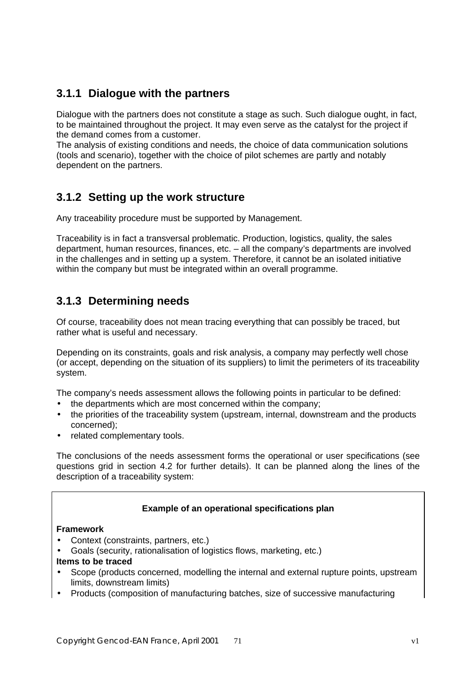# **3.1.1 Dialogue with the partners**

Dialogue with the partners does not constitute a stage as such. Such dialogue ought, in fact, to be maintained throughout the project. It may even serve as the catalyst for the project if the demand comes from a customer.

The analysis of existing conditions and needs, the choice of data communication solutions (tools and scenario), together with the choice of pilot schemes are partly and notably dependent on the partners.

# **3.1.2 Setting up the work structure**

Any traceability procedure must be supported by Management.

Traceability is in fact a transversal problematic. Production, logistics, quality, the sales department, human resources, finances, etc. – all the company's departments are involved in the challenges and in setting up a system. Therefore, it cannot be an isolated initiative within the company but must be integrated within an overall programme.

# **3.1.3 Determining needs**

Of course, traceability does not mean tracing everything that can possibly be traced, but rather what is useful and necessary.

Depending on its constraints, goals and risk analysis, a company may perfectly well chose (or accept, depending on the situation of its suppliers) to limit the perimeters of its traceability system.

The company's needs assessment allows the following points in particular to be defined:

- the departments which are most concerned within the company;
- the priorities of the traceability system (upstream, internal, downstream and the products concerned);
- related complementary tools.

The conclusions of the needs assessment forms the operational or user specifications (see questions grid in section 4.2 for further details). It can be planned along the lines of the description of a traceability system:

### **Example of an operational specifications plan**

### **Framework**

- Context (constraints, partners, etc.)
- Goals (security, rationalisation of logistics flows, marketing, etc.)

### **Items to be traced**

- Scope (products concerned, modelling the internal and external rupture points, upstream limits, downstream limits)
- Products (composition of manufacturing batches, size of successive manufacturing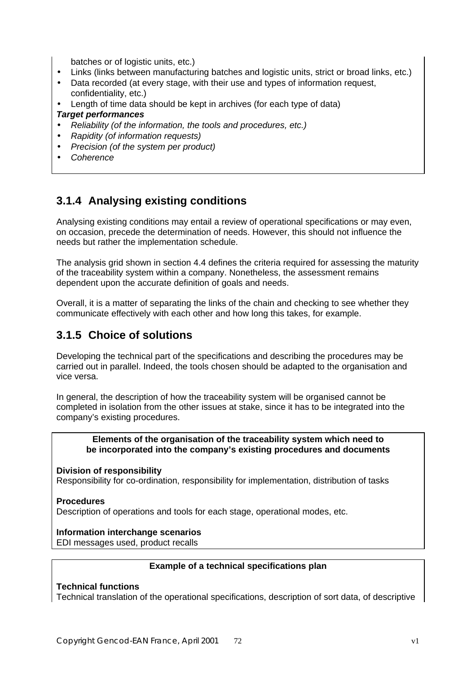batches or of logistic units, etc.)

- Links (links between manufacturing batches and logistic units, strict or broad links, etc.)
- Data recorded (at every stage, with their use and types of information request, confidentiality, etc.)
- Length of time data should be kept in archives (for each type of data)

### *Target performances*

- *Reliability (of the information, the tools and procedures, etc.)*
- *Rapidity (of information requests)*
- *Precision (of the system per product)*
- *Coherence*

# **3.1.4 Analysing existing conditions**

Analysing existing conditions may entail a review of operational specifications or may even, on occasion, precede the determination of needs. However, this should not influence the needs but rather the implementation schedule.

The analysis grid shown in section 4.4 defines the criteria required for assessing the maturity of the traceability system within a company. Nonetheless, the assessment remains dependent upon the accurate definition of goals and needs.

Overall, it is a matter of separating the links of the chain and checking to see whether they communicate effectively with each other and how long this takes, for example.

# **3.1.5 Choice of solutions**

Developing the technical part of the specifications and describing the procedures may be carried out in parallel. Indeed, the tools chosen should be adapted to the organisation and vice versa.

In general, the description of how the traceability system will be organised cannot be completed in isolation from the other issues at stake, since it has to be integrated into the company's existing procedures.

### **Elements of the organisation of the traceability system which need to be incorporated into the company's existing procedures and documents**

### **Division of responsibility**

Responsibility for co-ordination, responsibility for implementation, distribution of tasks

### **Procedures**

Description of operations and tools for each stage, operational modes, etc.

### **Information interchange scenarios**

EDI messages used, product recalls

### **Example of a technical specifications plan**

### **Technical functions**

Technical translation of the operational specifications, description of sort data, of descriptive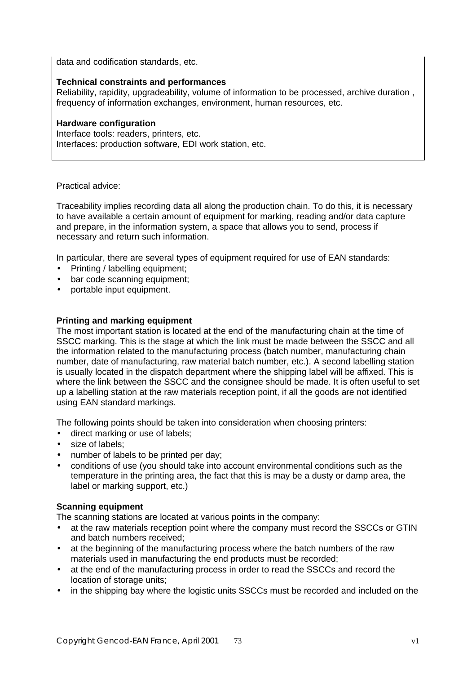data and codification standards, etc.

### **Technical constraints and performances**

Reliability, rapidity, upgradeability, volume of information to be processed, archive duration , frequency of information exchanges, environment, human resources, etc.

### **Hardware configuration**

Interface tools: readers, printers, etc. Interfaces: production software, EDI work station, etc.

### Practical advice:

Traceability implies recording data all along the production chain. To do this, it is necessary to have available a certain amount of equipment for marking, reading and/or data capture and prepare, in the information system, a space that allows you to send, process if necessary and return such information.

In particular, there are several types of equipment required for use of EAN standards:

- Printing / labelling equipment;
- bar code scanning equipment;
- portable input equipment.

### **Printing and marking equipment**

The most important station is located at the end of the manufacturing chain at the time of SSCC marking. This is the stage at which the link must be made between the SSCC and all the information related to the manufacturing process (batch number, manufacturing chain number, date of manufacturing, raw material batch number, etc.). A second labelling station is usually located in the dispatch department where the shipping label will be affixed. This is where the link between the SSCC and the consignee should be made. It is often useful to set up a labelling station at the raw materials reception point, if all the goods are not identified using EAN standard markings.

The following points should be taken into consideration when choosing printers:

- direct marking or use of labels;
- size of labels:
- number of labels to be printed per day;
- conditions of use (you should take into account environmental conditions such as the temperature in the printing area, the fact that this is may be a dusty or damp area, the label or marking support, etc.)

### **Scanning equipment**

The scanning stations are located at various points in the company:

- at the raw materials reception point where the company must record the SSCCs or GTIN and batch numbers received;
- at the beginning of the manufacturing process where the batch numbers of the raw materials used in manufacturing the end products must be recorded;
- at the end of the manufacturing process in order to read the SSCCs and record the location of storage units;
- in the shipping bay where the logistic units SSCCs must be recorded and included on the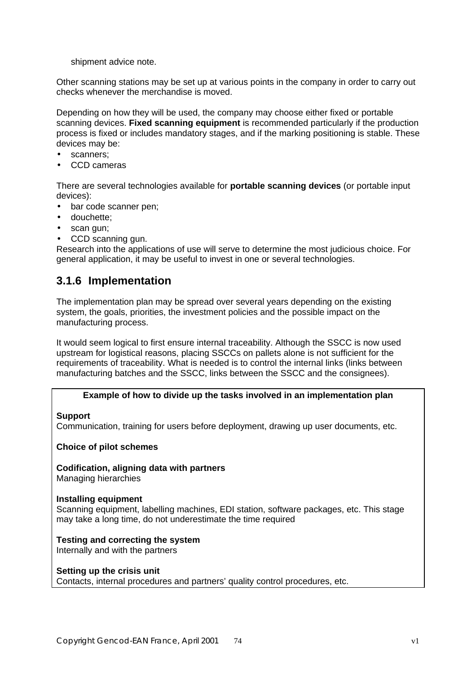shipment advice note.

Other scanning stations may be set up at various points in the company in order to carry out checks whenever the merchandise is moved.

Depending on how they will be used, the company may choose either fixed or portable scanning devices. **Fixed scanning equipment** is recommended particularly if the production process is fixed or includes mandatory stages, and if the marking positioning is stable. These devices may be:

- scanners;
- CCD cameras

There are several technologies available for **portable scanning devices** (or portable input devices):

- bar code scanner pen:
- douchette;
- scan gun;
- CCD scanning gun.

Research into the applications of use will serve to determine the most judicious choice. For general application, it may be useful to invest in one or several technologies.

## **3.1.6 Implementation**

The implementation plan may be spread over several years depending on the existing system, the goals, priorities, the investment policies and the possible impact on the manufacturing process.

It would seem logical to first ensure internal traceability. Although the SSCC is now used upstream for logistical reasons, placing SSCCs on pallets alone is not sufficient for the requirements of traceability. What is needed is to control the internal links (links between manufacturing batches and the SSCC, links between the SSCC and the consignees).

### **Example of how to divide up the tasks involved in an implementation plan**

### **Support**

Communication, training for users before deployment, drawing up user documents, etc.

### **Choice of pilot schemes**

**Codification, aligning data with partners** Managing hierarchies

### **Installing equipment**

Scanning equipment, labelling machines, EDI station, software packages, etc. This stage may take a long time, do not underestimate the time required

**Testing and correcting the system** Internally and with the partners

### **Setting up the crisis unit**

Contacts, internal procedures and partners' quality control procedures, etc.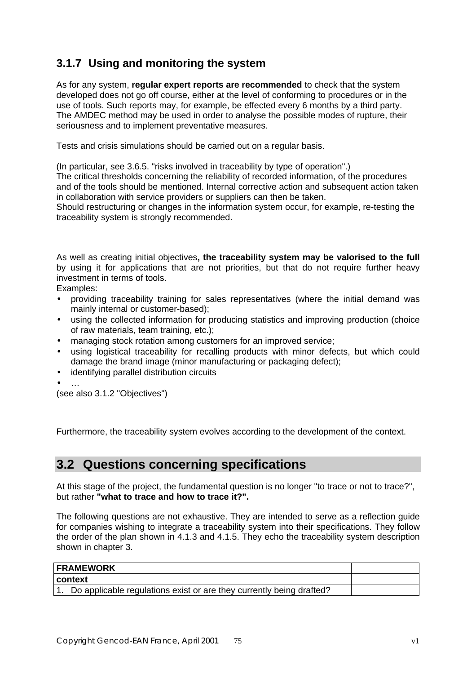## **3.1.7 Using and monitoring the system**

As for any system, **regular expert reports are recommended** to check that the system developed does not go off course, either at the level of conforming to procedures or in the use of tools. Such reports may, for example, be effected every 6 months by a third party. The AMDEC method may be used in order to analyse the possible modes of rupture, their seriousness and to implement preventative measures.

Tests and crisis simulations should be carried out on a regular basis.

(In particular, see 3.6.5. "risks involved in traceability by type of operation".) The critical thresholds concerning the reliability of recorded information, of the procedures and of the tools should be mentioned. Internal corrective action and subsequent action taken in collaboration with service providers or suppliers can then be taken.

Should restructuring or changes in the information system occur, for example, re-testing the traceability system is strongly recommended.

As well as creating initial objectives**, the traceability system may be valorised to the full** by using it for applications that are not priorities, but that do not require further heavy investment in terms of tools.

Examples:

- providing traceability training for sales representatives (where the initial demand was mainly internal or customer-based);
- using the collected information for producing statistics and improving production (choice of raw materials, team training, etc.);
- managing stock rotation among customers for an improved service;
- using logistical traceability for recalling products with minor defects, but which could damage the brand image (minor manufacturing or packaging defect);
- identifying parallel distribution circuits
- …

(see also 3.1.2 "Objectives")

Furthermore, the traceability system evolves according to the development of the context.

## **3.2 Questions concerning specifications**

At this stage of the project, the fundamental question is no longer "to trace or not to trace?", but rather **"what to trace and how to trace it?".**

The following questions are not exhaustive. They are intended to serve as a reflection guide for companies wishing to integrate a traceability system into their specifications. They follow the order of the plan shown in 4.1.3 and 4.1.5. They echo the traceability system description shown in chapter 3.

| <b>FRAMEWORK</b>                                                        |  |
|-------------------------------------------------------------------------|--|
| context                                                                 |  |
| 1. Do applicable regulations exist or are they currently being drafted? |  |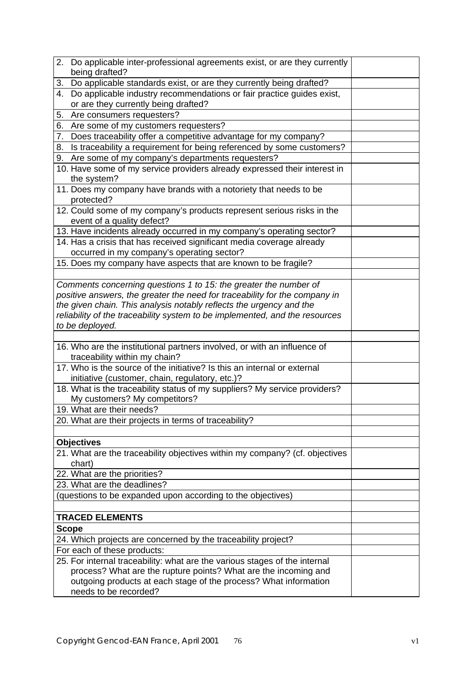| 2. Do applicable inter-professional agreements exist, or are they currently<br>being drafted?                                                      |  |
|----------------------------------------------------------------------------------------------------------------------------------------------------|--|
| Do applicable standards exist, or are they currently being drafted?<br>3.                                                                          |  |
| Do applicable industry recommendations or fair practice guides exist,<br>4.                                                                        |  |
| or are they currently being drafted?                                                                                                               |  |
| Are consumers requesters?<br>5.                                                                                                                    |  |
| 6. Are some of my customers requesters?                                                                                                            |  |
| 7. Does traceability offer a competitive advantage for my company?                                                                                 |  |
| 8. Is traceability a requirement for being referenced by some customers?                                                                           |  |
| 9. Are some of my company's departments requesters?                                                                                                |  |
| 10. Have some of my service providers already expressed their interest in                                                                          |  |
| the system?                                                                                                                                        |  |
| 11. Does my company have brands with a notoriety that needs to be                                                                                  |  |
| protected?                                                                                                                                         |  |
| 12. Could some of my company's products represent serious risks in the                                                                             |  |
| event of a quality defect?                                                                                                                         |  |
| 13. Have incidents already occurred in my company's operating sector?                                                                              |  |
| 14. Has a crisis that has received significant media coverage already                                                                              |  |
| occurred in my company's operating sector?                                                                                                         |  |
| 15. Does my company have aspects that are known to be fragile?                                                                                     |  |
|                                                                                                                                                    |  |
| Comments concerning questions 1 to 15: the greater the number of                                                                                   |  |
| positive answers, the greater the need for traceability for the company in                                                                         |  |
| the given chain. This analysis notably reflects the urgency and the<br>reliability of the traceability system to be implemented, and the resources |  |
| to be deployed.                                                                                                                                    |  |
|                                                                                                                                                    |  |
| 16. Who are the institutional partners involved, or with an influence of                                                                           |  |
| traceability within my chain?                                                                                                                      |  |
| 17. Who is the source of the initiative? Is this an internal or external                                                                           |  |
| initiative (customer, chain, regulatory, etc.)?                                                                                                    |  |
| 18. What is the traceability status of my suppliers? My service providers?                                                                         |  |
| My customers? My competitors?                                                                                                                      |  |
| 19. What are their needs?                                                                                                                          |  |
| 20. What are their projects in terms of traceability?                                                                                              |  |
|                                                                                                                                                    |  |
| <b>Objectives</b>                                                                                                                                  |  |
| 21. What are the traceability objectives within my company? (cf. objectives                                                                        |  |
| chart)                                                                                                                                             |  |
| 22. What are the priorities?                                                                                                                       |  |
| 23. What are the deadlines?                                                                                                                        |  |
| (questions to be expanded upon according to the objectives)                                                                                        |  |
|                                                                                                                                                    |  |
| <b>TRACED ELEMENTS</b>                                                                                                                             |  |
| <b>Scope</b>                                                                                                                                       |  |
| 24. Which projects are concerned by the traceability project?                                                                                      |  |
| For each of these products:<br>25. For internal traceability: what are the various stages of the internal                                          |  |
| process? What are the rupture points? What are the incoming and                                                                                    |  |
| outgoing products at each stage of the process? What information                                                                                   |  |
| needs to be recorded?                                                                                                                              |  |
|                                                                                                                                                    |  |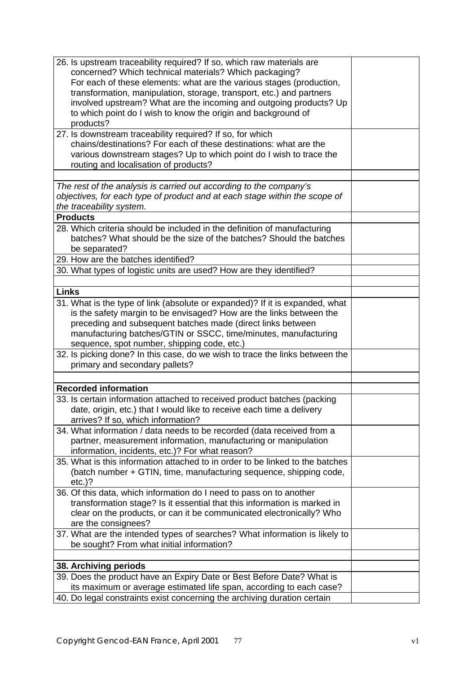| 26. Is upstream traceability required? If so, which raw materials are         |  |
|-------------------------------------------------------------------------------|--|
| concerned? Which technical materials? Which packaging?                        |  |
| For each of these elements: what are the various stages (production,          |  |
| transformation, manipulation, storage, transport, etc.) and partners          |  |
|                                                                               |  |
| involved upstream? What are the incoming and outgoing products? Up            |  |
| to which point do I wish to know the origin and background of                 |  |
| products?                                                                     |  |
| 27. Is downstream traceability required? If so, for which                     |  |
| chains/destinations? For each of these destinations: what are the             |  |
|                                                                               |  |
| various downstream stages? Up to which point do I wish to trace the           |  |
| routing and localisation of products?                                         |  |
|                                                                               |  |
| The rest of the analysis is carried out according to the company's            |  |
| objectives, for each type of product and at each stage within the scope of    |  |
| the traceability system.                                                      |  |
|                                                                               |  |
| <b>Products</b>                                                               |  |
| 28. Which criteria should be included in the definition of manufacturing      |  |
| batches? What should be the size of the batches? Should the batches           |  |
| be separated?                                                                 |  |
| 29. How are the batches identified?                                           |  |
| 30. What types of logistic units are used? How are they identified?           |  |
|                                                                               |  |
|                                                                               |  |
| <b>Links</b>                                                                  |  |
| 31. What is the type of link (absolute or expanded)? If it is expanded, what  |  |
| is the safety margin to be envisaged? How are the links between the           |  |
| preceding and subsequent batches made (direct links between                   |  |
| manufacturing batches/GTIN or SSCC, time/minutes, manufacturing               |  |
|                                                                               |  |
| sequence, spot number, shipping code, etc.)                                   |  |
| 32. Is picking done? In this case, do we wish to trace the links between the  |  |
| primary and secondary pallets?                                                |  |
|                                                                               |  |
| <b>Recorded information</b>                                                   |  |
|                                                                               |  |
| 33. Is certain information attached to received product batches (packing      |  |
| date, origin, etc.) that I would like to receive each time a delivery         |  |
| arrives? If so, which information?                                            |  |
| 34. What information / data needs to be recorded (data received from a        |  |
| partner, measurement information, manufacturing or manipulation               |  |
|                                                                               |  |
| information, incidents, etc.)? For what reason?                               |  |
| 35. What is this information attached to in order to be linked to the batches |  |
| (batch number + GTIN, time, manufacturing sequence, shipping code,            |  |
| $etc.$ )?                                                                     |  |
| 36. Of this data, which information do I need to pass on to another           |  |
|                                                                               |  |
| transformation stage? Is it essential that this information is marked in      |  |
| clear on the products, or can it be communicated electronically? Who          |  |
| are the consignees?                                                           |  |
| 37. What are the intended types of searches? What information is likely to    |  |
| be sought? From what initial information?                                     |  |
|                                                                               |  |
| 38. Archiving periods                                                         |  |
| 39. Does the product have an Expiry Date or Best Before Date? What is         |  |
| its maximum or average estimated life span, according to each case?           |  |
| 40. Do legal constraints exist concerning the archiving duration certain      |  |
|                                                                               |  |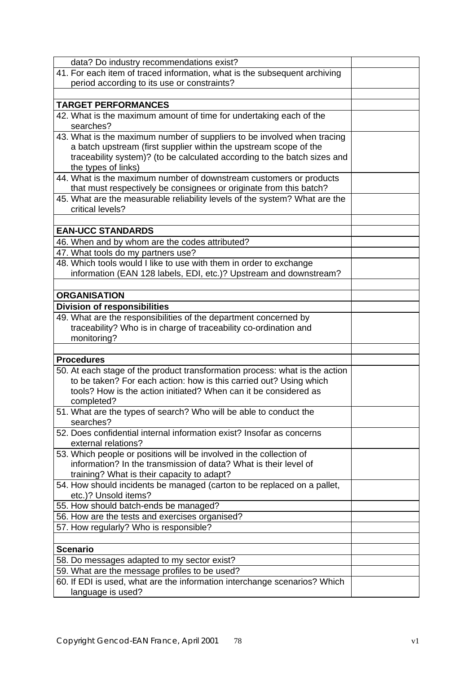| data? Do industry recommendations exist?                                                                                                                                                                                                        |  |
|-------------------------------------------------------------------------------------------------------------------------------------------------------------------------------------------------------------------------------------------------|--|
| 41. For each item of traced information, what is the subsequent archiving                                                                                                                                                                       |  |
| period according to its use or constraints?                                                                                                                                                                                                     |  |
|                                                                                                                                                                                                                                                 |  |
| <b>TARGET PERFORMANCES</b>                                                                                                                                                                                                                      |  |
| 42. What is the maximum amount of time for undertaking each of the<br>searches?                                                                                                                                                                 |  |
| 43. What is the maximum number of suppliers to be involved when tracing<br>a batch upstream (first supplier within the upstream scope of the<br>traceability system)? (to be calculated according to the batch sizes and<br>the types of links) |  |
| 44. What is the maximum number of downstream customers or products<br>that must respectively be consignees or originate from this batch?                                                                                                        |  |
| 45. What are the measurable reliability levels of the system? What are the<br>critical levels?                                                                                                                                                  |  |
| <b>EAN-UCC STANDARDS</b>                                                                                                                                                                                                                        |  |
|                                                                                                                                                                                                                                                 |  |
| 46. When and by whom are the codes attributed?                                                                                                                                                                                                  |  |
| 47. What tools do my partners use?                                                                                                                                                                                                              |  |
| 48. Which tools would I like to use with them in order to exchange<br>information (EAN 128 labels, EDI, etc.)? Upstream and downstream?                                                                                                         |  |
| <b>ORGANISATION</b>                                                                                                                                                                                                                             |  |
| <b>Division of responsibilities</b>                                                                                                                                                                                                             |  |
| 49. What are the responsibilities of the department concerned by<br>traceability? Who is in charge of traceability co-ordination and<br>monitoring?                                                                                             |  |
|                                                                                                                                                                                                                                                 |  |
| <b>Procedures</b>                                                                                                                                                                                                                               |  |
| 50. At each stage of the product transformation process: what is the action<br>to be taken? For each action: how is this carried out? Using which<br>tools? How is the action initiated? When can it be considered as<br>completed?             |  |
| 51. What are the types of search? Who will be able to conduct the<br>searches?                                                                                                                                                                  |  |
| 52. Does confidential internal information exist? Insofar as concerns<br>external relations?                                                                                                                                                    |  |
| 53. Which people or positions will be involved in the collection of<br>information? In the transmission of data? What is their level of<br>training? What is their capacity to adapt?                                                           |  |
| 54. How should incidents be managed (carton to be replaced on a pallet,<br>etc.)? Unsold items?                                                                                                                                                 |  |
| 55. How should batch-ends be managed?                                                                                                                                                                                                           |  |
|                                                                                                                                                                                                                                                 |  |
| 56. How are the tests and exercises organised?                                                                                                                                                                                                  |  |
| 57. How regularly? Who is responsible?                                                                                                                                                                                                          |  |
|                                                                                                                                                                                                                                                 |  |
| <b>Scenario</b>                                                                                                                                                                                                                                 |  |
|                                                                                                                                                                                                                                                 |  |
| 58. Do messages adapted to my sector exist?                                                                                                                                                                                                     |  |
| 59. What are the message profiles to be used?<br>60. If EDI is used, what are the information interchange scenarios? Which                                                                                                                      |  |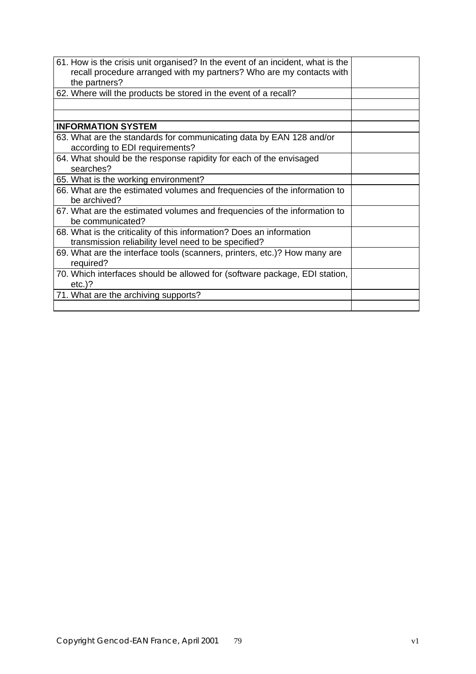| 61. How is the crisis unit organised? In the event of an incident, what is the<br>recall procedure arranged with my partners? Who are my contacts with<br>the partners? |  |
|-------------------------------------------------------------------------------------------------------------------------------------------------------------------------|--|
| 62. Where will the products be stored in the event of a recall?                                                                                                         |  |
|                                                                                                                                                                         |  |
|                                                                                                                                                                         |  |
| <b>INFORMATION SYSTEM</b>                                                                                                                                               |  |
| 63. What are the standards for communicating data by EAN 128 and/or<br>according to EDI requirements?                                                                   |  |
| 64. What should be the response rapidity for each of the envisaged<br>searches?                                                                                         |  |
| 65. What is the working environment?                                                                                                                                    |  |
| 66. What are the estimated volumes and frequencies of the information to<br>be archived?                                                                                |  |
| 67. What are the estimated volumes and frequencies of the information to<br>be communicated?                                                                            |  |
| 68. What is the criticality of this information? Does an information<br>transmission reliability level need to be specified?                                            |  |
| 69. What are the interface tools (scanners, printers, etc.)? How many are<br>required?                                                                                  |  |
| 70. Which interfaces should be allowed for (software package, EDI station,<br>$etc.$ )?                                                                                 |  |
| 71. What are the archiving supports?                                                                                                                                    |  |
|                                                                                                                                                                         |  |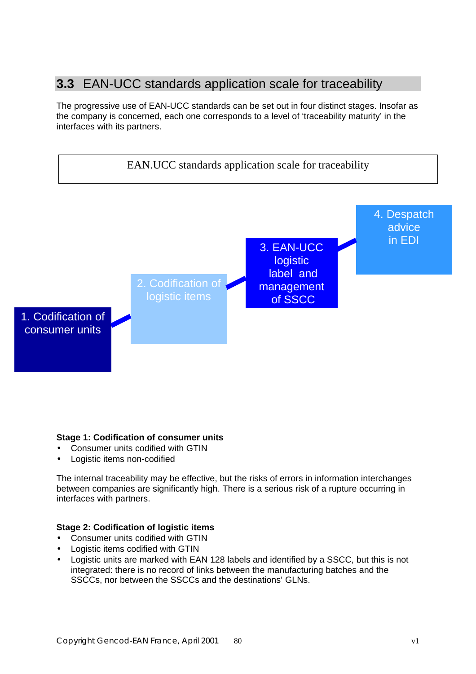## **3.3** EAN-UCC standards application scale for traceability

The progressive use of EAN-UCC standards can be set out in four distinct stages. Insofar as the company is concerned, each one corresponds to a level of 'traceability maturity' in the interfaces with its partners.



### **Stage 1: Codification of consumer units**

- Consumer units codified with GTIN
- Logistic items non-codified

The internal traceability may be effective, but the risks of errors in information interchanges between companies are significantly high. There is a serious risk of a rupture occurring in interfaces with partners.

### **Stage 2: Codification of logistic items**

- Consumer units codified with GTIN
- Logistic items codified with GTIN
- Logistic units are marked with EAN 128 labels and identified by a SSCC, but this is not integrated: there is no record of links between the manufacturing batches and the SSCCs, nor between the SSCCs and the destinations' GLNs.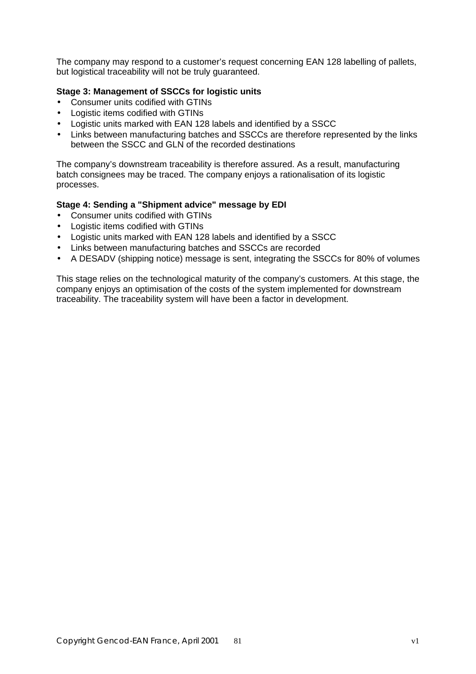The company may respond to a customer's request concerning EAN 128 labelling of pallets, but logistical traceability will not be truly guaranteed.

## **Stage 3: Management of SSCCs for logistic units**

- Consumer units codified with GTINs
- Logistic items codified with GTINs
- Logistic units marked with EAN 128 labels and identified by a SSCC
- Links between manufacturing batches and SSCCs are therefore represented by the links between the SSCC and GLN of the recorded destinations

The company's downstream traceability is therefore assured. As a result, manufacturing batch consignees may be traced. The company enjoys a rationalisation of its logistic processes.

## **Stage 4: Sending a "Shipment advice" message by EDI**

- Consumer units codified with GTINs
- Logistic items codified with GTINs
- Logistic units marked with EAN 128 labels and identified by a SSCC
- Links between manufacturing batches and SSCCs are recorded
- A DESADV (shipping notice) message is sent, integrating the SSCCs for 80% of volumes

This stage relies on the technological maturity of the company's customers. At this stage, the company enjoys an optimisation of the costs of the system implemented for downstream traceability. The traceability system will have been a factor in development.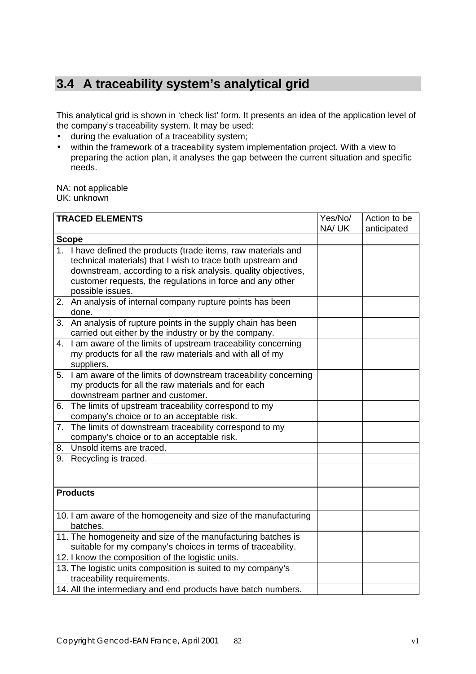# **3.4 A traceability system's analytical grid**

This analytical grid is shown in 'check list' form. It presents an idea of the application level of the company's traceability system. It may be used:

- during the evaluation of a traceability system;
- within the framework of a traceability system implementation project. With a view to preparing the action plan, it analyses the gap between the current situation and specific needs.

NA: not applicable UK: unknown

|    | <b>TRACED ELEMENTS</b>                                                                                                 | Yes/No/ | Action to be |
|----|------------------------------------------------------------------------------------------------------------------------|---------|--------------|
|    |                                                                                                                        | NA/UK   | anticipated  |
|    | <b>Scope</b>                                                                                                           |         |              |
|    | 1. I have defined the products (trade items, raw materials and                                                         |         |              |
|    | technical materials) that I wish to trace both upstream and                                                            |         |              |
|    | downstream, according to a risk analysis, quality objectives,                                                          |         |              |
|    | customer requests, the regulations in force and any other                                                              |         |              |
|    | possible issues.                                                                                                       |         |              |
|    | 2. An analysis of internal company rupture points has been<br>done.                                                    |         |              |
|    | 3. An analysis of rupture points in the supply chain has been<br>carried out either by the industry or by the company. |         |              |
|    | 4. I am aware of the limits of upstream traceability concerning                                                        |         |              |
|    | my products for all the raw materials and with all of my                                                               |         |              |
|    | suppliers.                                                                                                             |         |              |
|    | 5. I am aware of the limits of downstream traceability concerning                                                      |         |              |
|    | my products for all the raw materials and for each                                                                     |         |              |
|    | downstream partner and customer.                                                                                       |         |              |
| 6. | The limits of upstream traceability correspond to my                                                                   |         |              |
|    | company's choice or to an acceptable risk.                                                                             |         |              |
|    | 7. The limits of downstream traceability correspond to my                                                              |         |              |
|    | company's choice or to an acceptable risk.                                                                             |         |              |
| 8. | Unsold items are traced.                                                                                               |         |              |
|    | 9. Recycling is traced.                                                                                                |         |              |
|    |                                                                                                                        |         |              |
|    | <b>Products</b>                                                                                                        |         |              |
|    | 10. I am aware of the homogeneity and size of the manufacturing                                                        |         |              |
|    | batches.                                                                                                               |         |              |
|    | 11. The homogeneity and size of the manufacturing batches is                                                           |         |              |
|    | suitable for my company's choices in terms of traceability.                                                            |         |              |
|    | 12. I know the composition of the logistic units.                                                                      |         |              |
|    | 13. The logistic units composition is suited to my company's                                                           |         |              |
|    | traceability requirements.                                                                                             |         |              |
|    | 14. All the intermediary and end products have batch numbers.                                                          |         |              |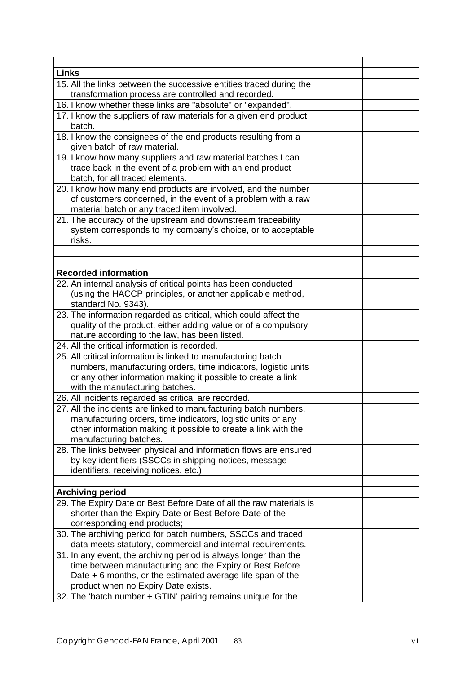| <b>Links</b>                                                                                                                |  |
|-----------------------------------------------------------------------------------------------------------------------------|--|
| 15. All the links between the successive entities traced during the<br>transformation process are controlled and recorded.  |  |
| 16. I know whether these links are "absolute" or "expanded".                                                                |  |
| 17. I know the suppliers of raw materials for a given end product                                                           |  |
| batch.                                                                                                                      |  |
| 18. I know the consignees of the end products resulting from a                                                              |  |
| given batch of raw material.                                                                                                |  |
| 19. I know how many suppliers and raw material batches I can                                                                |  |
| trace back in the event of a problem with an end product                                                                    |  |
| batch, for all traced elements.                                                                                             |  |
| 20. I know how many end products are involved, and the number                                                               |  |
| of customers concerned, in the event of a problem with a raw                                                                |  |
| material batch or any traced item involved.                                                                                 |  |
| 21. The accuracy of the upstream and downstream traceability                                                                |  |
| system corresponds to my company's choice, or to acceptable                                                                 |  |
| risks.                                                                                                                      |  |
|                                                                                                                             |  |
|                                                                                                                             |  |
| <b>Recorded information</b>                                                                                                 |  |
| 22. An internal analysis of critical points has been conducted                                                              |  |
| (using the HACCP principles, or another applicable method,<br>standard No. 9343).                                           |  |
| 23. The information regarded as critical, which could affect the                                                            |  |
| quality of the product, either adding value or of a compulsory                                                              |  |
| nature according to the law, has been listed.                                                                               |  |
| 24. All the critical information is recorded.                                                                               |  |
| 25. All critical information is linked to manufacturing batch                                                               |  |
| numbers, manufacturing orders, time indicators, logistic units                                                              |  |
| or any other information making it possible to create a link                                                                |  |
| with the manufacturing batches.                                                                                             |  |
| 26. All incidents regarded as critical are recorded.                                                                        |  |
| 27. All the incidents are linked to manufacturing batch numbers,                                                            |  |
| manufacturing orders, time indicators, logistic units or any                                                                |  |
| other information making it possible to create a link with the                                                              |  |
| manufacturing batches.                                                                                                      |  |
| 28. The links between physical and information flows are ensured                                                            |  |
| by key identifiers (SSCCs in shipping notices, message                                                                      |  |
| identifiers, receiving notices, etc.)                                                                                       |  |
|                                                                                                                             |  |
| <b>Archiving period</b>                                                                                                     |  |
| 29. The Expiry Date or Best Before Date of all the raw materials is                                                         |  |
| shorter than the Expiry Date or Best Before Date of the                                                                     |  |
| corresponding end products;                                                                                                 |  |
| 30. The archiving period for batch numbers, SSCCs and traced<br>data meets statutory, commercial and internal requirements. |  |
| 31. In any event, the archiving period is always longer than the                                                            |  |
| time between manufacturing and the Expiry or Best Before                                                                    |  |
| Date $+6$ months, or the estimated average life span of the                                                                 |  |
| product when no Expiry Date exists.                                                                                         |  |
| 32. The 'batch number + GTIN' pairing remains unique for the                                                                |  |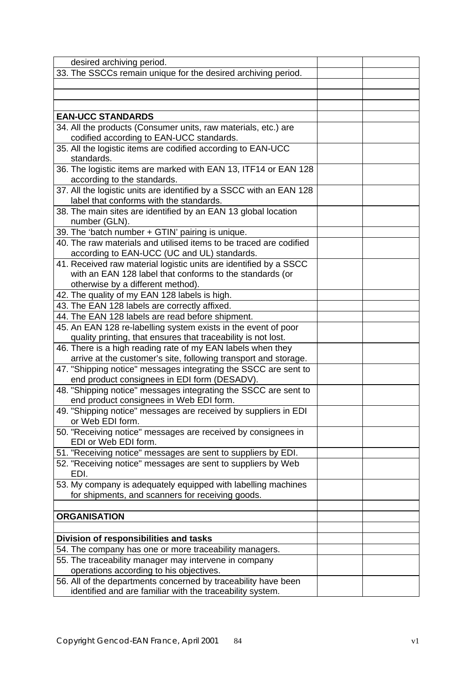| desired archiving period.                                           |  |
|---------------------------------------------------------------------|--|
| 33. The SSCCs remain unique for the desired archiving period.       |  |
|                                                                     |  |
|                                                                     |  |
|                                                                     |  |
| <b>EAN-UCC STANDARDS</b>                                            |  |
| 34. All the products (Consumer units, raw materials, etc.) are      |  |
| codified according to EAN-UCC standards.                            |  |
| 35. All the logistic items are codified according to EAN-UCC        |  |
| standards.                                                          |  |
| 36. The logistic items are marked with EAN 13, ITF14 or EAN 128     |  |
| according to the standards.                                         |  |
| 37. All the logistic units are identified by a SSCC with an EAN 128 |  |
| label that conforms with the standards.                             |  |
| 38. The main sites are identified by an EAN 13 global location      |  |
| number (GLN).                                                       |  |
| 39. The 'batch number + GTIN' pairing is unique.                    |  |
| 40. The raw materials and utilised items to be traced are codified  |  |
| according to EAN-UCC (UC and UL) standards.                         |  |
| 41. Received raw material logistic units are identified by a SSCC   |  |
| with an EAN 128 label that conforms to the standards (or            |  |
| otherwise by a different method).                                   |  |
| 42. The quality of my EAN 128 labels is high.                       |  |
| 43. The EAN 128 labels are correctly affixed.                       |  |
| 44. The EAN 128 labels are read before shipment.                    |  |
| 45. An EAN 128 re-labelling system exists in the event of poor      |  |
| quality printing, that ensures that traceability is not lost.       |  |
| 46. There is a high reading rate of my EAN labels when they         |  |
| arrive at the customer's site, following transport and storage.     |  |
| 47. "Shipping notice" messages integrating the SSCC are sent to     |  |
| end product consignees in EDI form (DESADV).                        |  |
| 48. "Shipping notice" messages integrating the SSCC are sent to     |  |
| end product consignees in Web EDI form.                             |  |
| 49. "Shipping notice" messages are received by suppliers in EDI     |  |
| or Web EDI form.                                                    |  |
| 50. "Receiving notice" messages are received by consignees in       |  |
| EDI or Web EDI form.                                                |  |
| 51. "Receiving notice" messages are sent to suppliers by EDI.       |  |
| 52. "Receiving notice" messages are sent to suppliers by Web        |  |
| EDI.                                                                |  |
| 53. My company is adequately equipped with labelling machines       |  |
| for shipments, and scanners for receiving goods.                    |  |
|                                                                     |  |
| <b>ORGANISATION</b>                                                 |  |
|                                                                     |  |
| Division of responsibilities and tasks                              |  |
| 54. The company has one or more traceability managers.              |  |
| 55. The traceability manager may intervene in company               |  |
| operations according to his objectives.                             |  |
| 56. All of the departments concerned by traceability have been      |  |
| identified and are familiar with the traceability system.           |  |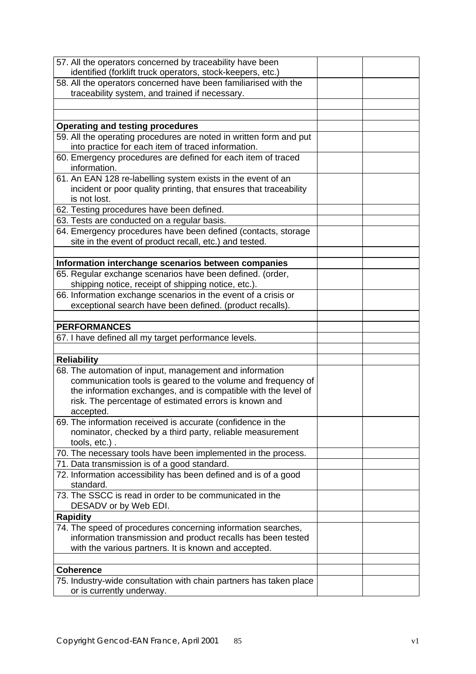| 57. All the operators concerned by traceability have been          |  |
|--------------------------------------------------------------------|--|
| identified (forklift truck operators, stock-keepers, etc.)         |  |
| 58. All the operators concerned have been familiarised with the    |  |
| traceability system, and trained if necessary.                     |  |
|                                                                    |  |
|                                                                    |  |
| <b>Operating and testing procedures</b>                            |  |
| 59. All the operating procedures are noted in written form and put |  |
| into practice for each item of traced information.                 |  |
| 60. Emergency procedures are defined for each item of traced       |  |
| information.                                                       |  |
| 61. An EAN 128 re-labelling system exists in the event of an       |  |
| incident or poor quality printing, that ensures that traceability  |  |
| is not lost.                                                       |  |
| 62. Testing procedures have been defined.                          |  |
| 63. Tests are conducted on a regular basis.                        |  |
| 64. Emergency procedures have been defined (contacts, storage      |  |
| site in the event of product recall, etc.) and tested.             |  |
|                                                                    |  |
| Information interchange scenarios between companies                |  |
| 65. Regular exchange scenarios have been defined. (order,          |  |
| shipping notice, receipt of shipping notice, etc.).                |  |
| 66. Information exchange scenarios in the event of a crisis or     |  |
| exceptional search have been defined. (product recalls).           |  |
|                                                                    |  |
| <b>PERFORMANCES</b>                                                |  |
| 67. I have defined all my target performance levels.               |  |
|                                                                    |  |
| <b>Reliability</b>                                                 |  |
| 68. The automation of input, management and information            |  |
| communication tools is geared to the volume and frequency of       |  |
| the information exchanges, and is compatible with the level of     |  |
| risk. The percentage of estimated errors is known and              |  |
| accepted.                                                          |  |
| 69. The information received is accurate (confidence in the        |  |
| nominator, checked by a third party, reliable measurement          |  |
| tools, etc.).                                                      |  |
| 70. The necessary tools have been implemented in the process.      |  |
| 71. Data transmission is of a good standard.                       |  |
| 72. Information accessibility has been defined and is of a good    |  |
| standard.                                                          |  |
| 73. The SSCC is read in order to be communicated in the            |  |
| DESADV or by Web EDI.                                              |  |
| <b>Rapidity</b>                                                    |  |
| 74. The speed of procedures concerning information searches,       |  |
| information transmission and product recalls has been tested       |  |
|                                                                    |  |
| with the various partners. It is known and accepted.               |  |
|                                                                    |  |
| <b>Coherence</b>                                                   |  |
| 75. Industry-wide consultation with chain partners has taken place |  |
| or is currently underway.                                          |  |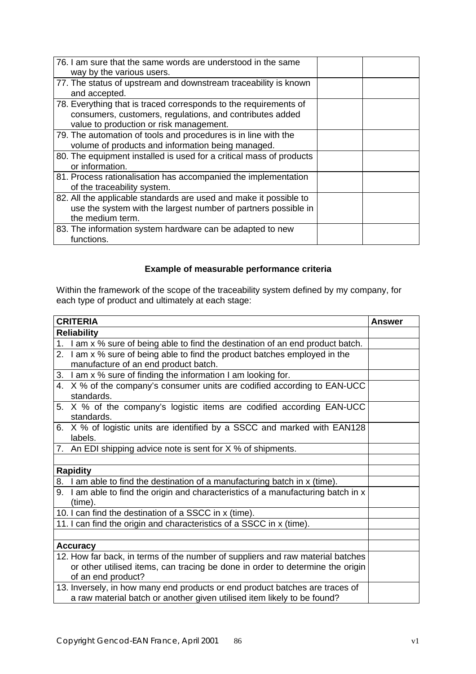| 76. I am sure that the same words are understood in the same<br>way by the various users. |  |
|-------------------------------------------------------------------------------------------|--|
|                                                                                           |  |
| 77. The status of upstream and downstream traceability is known                           |  |
| and accepted.                                                                             |  |
|                                                                                           |  |
| 78. Everything that is traced corresponds to the requirements of                          |  |
| consumers, customers, regulations, and contributes added                                  |  |
| value to production or risk management.                                                   |  |
|                                                                                           |  |
| 79. The automation of tools and procedures is in line with the                            |  |
| volume of products and information being managed.                                         |  |
| 80. The equipment installed is used for a critical mass of products                       |  |
|                                                                                           |  |
| or information.                                                                           |  |
| 81. Process rationalisation has accompanied the implementation                            |  |
| of the traceability system.                                                               |  |
| 82. All the applicable standards are used and make it possible to                         |  |
| use the system with the largest number of partners possible in                            |  |
|                                                                                           |  |
| the medium term.                                                                          |  |
| 83. The information system hardware can be adapted to new                                 |  |
| functions.                                                                                |  |
|                                                                                           |  |

## **Example of measurable performance criteria**

Within the framework of the scope of the traceability system defined by my company, for each type of product and ultimately at each stage:

| <b>CRITERIA</b>                                                                   | <b>Answer</b> |
|-----------------------------------------------------------------------------------|---------------|
| <b>Reliability</b>                                                                |               |
| 1. I am x % sure of being able to find the destination of an end product batch.   |               |
| 2. I am x % sure of being able to find the product batches employed in the        |               |
| manufacture of an end product batch.                                              |               |
| 3. I am x % sure of finding the information I am looking for.                     |               |
| 4. X % of the company's consumer units are codified according to EAN-UCC          |               |
| standards.                                                                        |               |
| 5. X % of the company's logistic items are codified according EAN-UCC             |               |
| standards.                                                                        |               |
| 6. X % of logistic units are identified by a SSCC and marked with EAN128          |               |
| labels.                                                                           |               |
| 7. An EDI shipping advice note is sent for X % of shipments.                      |               |
|                                                                                   |               |
| <b>Rapidity</b>                                                                   |               |
| 8. I am able to find the destination of a manufacturing batch in x (time).        |               |
| 9. I am able to find the origin and characteristics of a manufacturing batch in x |               |
| (time).                                                                           |               |
| 10. I can find the destination of a SSCC in x (time).                             |               |
| 11. I can find the origin and characteristics of a SSCC in x (time).              |               |
|                                                                                   |               |
| <b>Accuracy</b>                                                                   |               |
| 12. How far back, in terms of the number of suppliers and raw material batches    |               |
| or other utilised items, can tracing be done in order to determine the origin     |               |
| of an end product?                                                                |               |
| 13. Inversely, in how many end products or end product batches are traces of      |               |
| a raw material batch or another given utilised item likely to be found?           |               |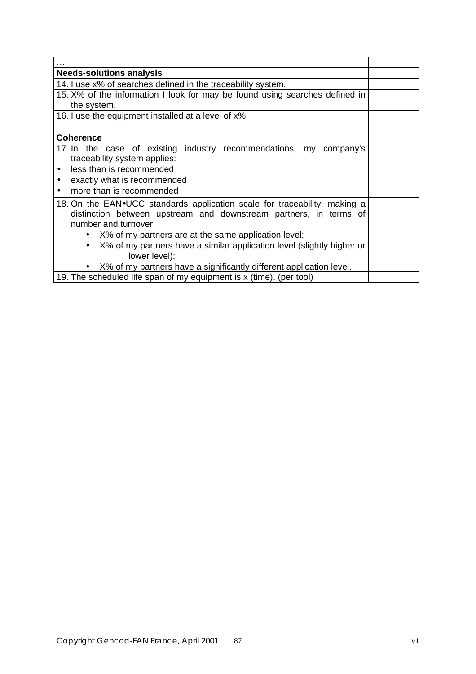| <b>Needs-solutions analysis</b>                                             |  |
|-----------------------------------------------------------------------------|--|
| 14. I use x% of searches defined in the traceability system.                |  |
| 15. X% of the information I look for may be found using searches defined in |  |
| the system.                                                                 |  |
| 16. I use the equipment installed at a level of x%.                         |  |
|                                                                             |  |
| <b>Coherence</b>                                                            |  |
| 17. In the case of existing industry recommendations, my<br>company's       |  |
| traceability system applies:                                                |  |
| less than is recommended                                                    |  |
| exactly what is recommended<br>٠                                            |  |
| more than is recommended                                                    |  |
| 18. On the EAN. UCC standards application scale for traceability, making a  |  |
| distinction between upstream and downstream partners, in terms of           |  |
| number and turnover:                                                        |  |
| • X% of my partners are at the same application level;                      |  |
| X% of my partners have a similar application level (slightly higher or      |  |
| lower level);                                                               |  |
| • X% of my partners have a significantly different application level.       |  |
| 19. The scheduled life span of my equipment is x (time). (per tool)         |  |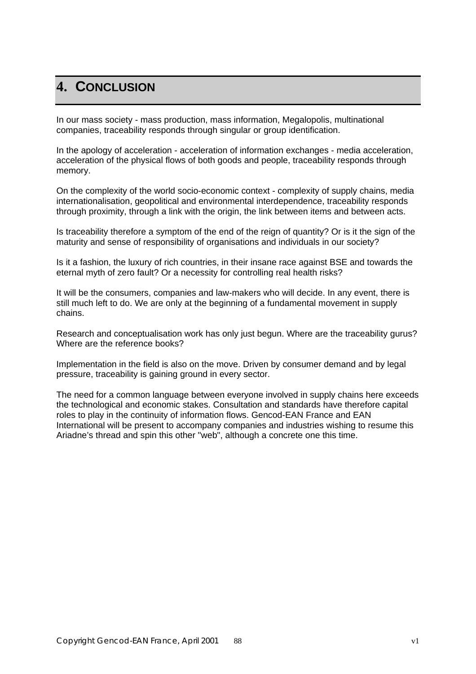# **4. CONCLUSION**

In our mass society - mass production, mass information, Megalopolis, multinational companies, traceability responds through singular or group identification.

In the apology of acceleration - acceleration of information exchanges - media acceleration, acceleration of the physical flows of both goods and people, traceability responds through memory.

On the complexity of the world socio-economic context - complexity of supply chains, media internationalisation, geopolitical and environmental interdependence, traceability responds through proximity, through a link with the origin, the link between items and between acts.

Is traceability therefore a symptom of the end of the reign of quantity? Or is it the sign of the maturity and sense of responsibility of organisations and individuals in our society?

Is it a fashion, the luxury of rich countries, in their insane race against BSE and towards the eternal myth of zero fault? Or a necessity for controlling real health risks?

It will be the consumers, companies and law-makers who will decide. In any event, there is still much left to do. We are only at the beginning of a fundamental movement in supply chains.

Research and conceptualisation work has only just begun. Where are the traceability gurus? Where are the reference books?

Implementation in the field is also on the move. Driven by consumer demand and by legal pressure, traceability is gaining ground in every sector.

The need for a common language between everyone involved in supply chains here exceeds the technological and economic stakes. Consultation and standards have therefore capital roles to play in the continuity of information flows. Gencod-EAN France and EAN International will be present to accompany companies and industries wishing to resume this Ariadne's thread and spin this other "web", although a concrete one this time.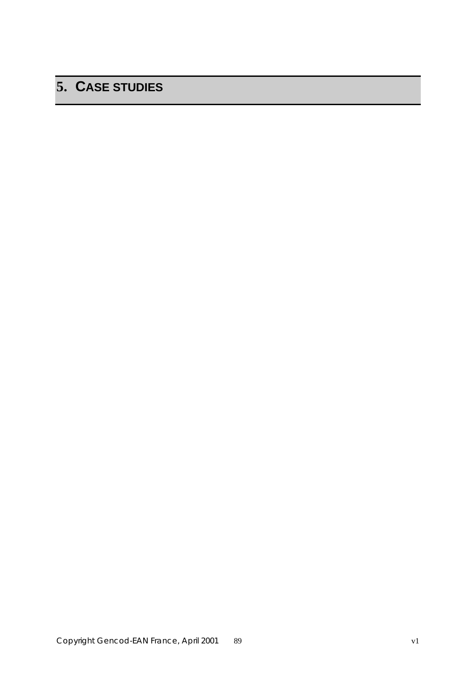# **5. CASE STUDIES**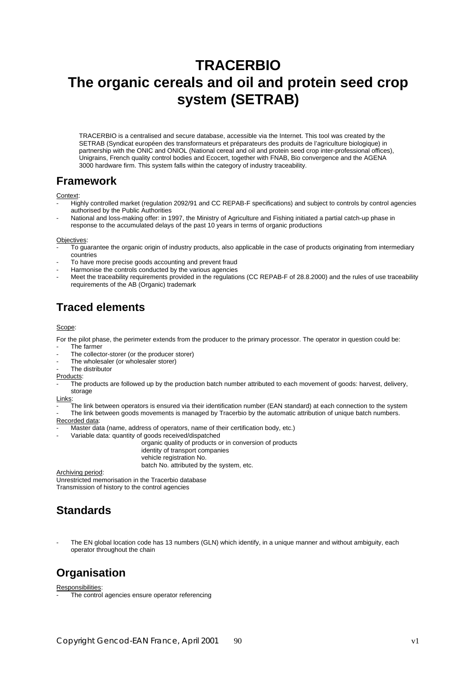# **TRACERBIO The organic cereals and oil and protein seed crop system (SETRAB)**

TRACERBIO is a centralised and secure database, accessible via the Internet. This tool was created by the SETRAB (Syndicat européen des transformateurs et préparateurs des produits de l'agriculture biologique) in partnership with the ONIC and ONIOL (National cereal and oil and protein seed crop inter-professional offices), Unigrains, French quality control bodies and Ecocert, together with FNAB, Bio convergence and the AGENA 3000 hardware firm. This system falls within the category of industry traceability.

## **Framework**

#### Context:

- Highly controlled market (regulation 2092/91 and CC REPAB-F specifications) and subject to controls by control agencies authorised by the Public Authorities
- National and loss-making offer: in 1997, the Ministry of Agriculture and Fishing initiated a partial catch-up phase in response to the accumulated delays of the past 10 years in terms of organic productions

#### Objectives:

- To guarantee the organic origin of industry products, also applicable in the case of products originating from intermediary countries
- To have more precise goods accounting and prevent fraud
- Harmonise the controls conducted by the various agencies
- Meet the traceability requirements provided in the regulations (CC REPAB-F of 28.8.2000) and the rules of use traceability requirements of the AB (Organic) trademark

## **Traced elements**

#### Scope:

- For the pilot phase, the perimeter extends from the producer to the primary processor. The operator in question could be:
- The farmer
- The collector-storer (or the producer storer)
- The wholesaler (or wholesaler storer)
- The distributor
- **Products**
- The products are followed up by the production batch number attributed to each movement of goods: harvest, delivery, storage

Links:

The link between operators is ensured via their identification number (EAN standard) at each connection to the system The link between goods movements is managed by Tracerbio by the automatic attribution of unique batch numbers.

#### Recorded data:

- Master data (name, address of operators, name of their certification body, etc.)
	- Variable data: quantity of goods received/dispatched
		- organic quality of products or in conversion of products identity of transport companies vehicle registration No. batch No. attributed by the system, etc.

Archiving period:

Unrestricted memorisation in the Tracerbio database Transmission of history to the control agencies

## **Standards**

The EN global location code has 13 numbers (GLN) which identify, in a unique manner and without ambiguity, each operator throughout the chain

## **Organisation**

Responsibilities:

The control agencies ensure operator referencing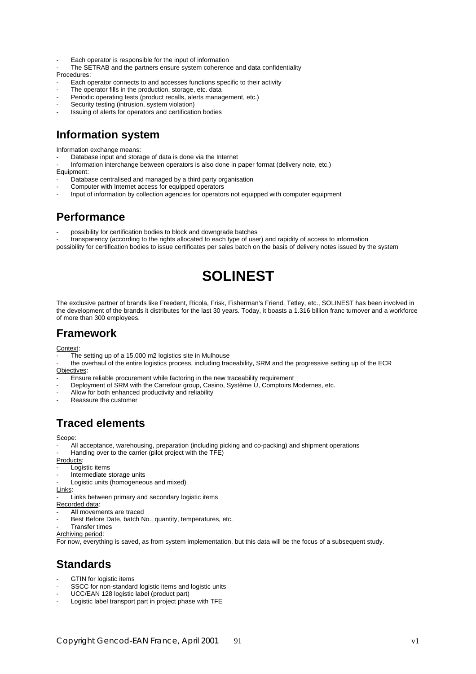- Each operator is responsible for the input of information
- The SETRAB and the partners ensure system coherence and data confidentiality

Procedures:

- Each operator connects to and accesses functions specific to their activity
- The operator fills in the production, storage, etc. data
- Periodic operating tests (product recalls, alerts management, etc.)
- Security testing (intrusion, system violation)
- Issuing of alerts for operators and certification bodies

## **Information system**

Information exchange means:

- Database input and storage of data is done via the Internet
- Information interchange between operators is also done in paper format (delivery note, etc.)
- Equipment:
- Database centralised and managed by a third party organisation
- Computer with Internet access for equipped operators
- Input of information by collection agencies for operators not equipped with computer equipment

## **Performance**

- possibility for certification bodies to block and downgrade batches

- transparency (according to the rights allocated to each type of user) and rapidity of access to information

possibility for certification bodies to issue certificates per sales batch on the basis of delivery notes issued by the system

# **SOLINEST**

The exclusive partner of brands like Freedent, Ricola, Frisk, Fisherman's Friend, Tetley, etc., SOLINEST has been involved in the development of the brands it distributes for the last 30 years. Today, it boasts a 1.316 billion franc turnover and a workforce of more than 300 employees.

## **Framework**

Context:

- $\overline{\text{The}}$  setting up of a 15,000 m2 logistics site in Mulhouse
- the overhaul of the entire logistics process, including traceability, SRM and the progressive setting up of the ECR Objectives:
- **Ensure reliable procurement while factoring in the new traceability requirement**
- Deployment of SRM with the Carrefour group, Casino, Système U, Comptoirs Modernes, etc.
- Allow for both enhanced productivity and reliability
- Reassure the customer

## **Traced elements**

Scope:

- All acceptance, warehousing, preparation (including picking and co-packing) and shipment operations
- Handing over to the carrier (pilot project with the TFE)
- Products:
- Logistic items
- Intermediate storage units
- Logistic units (homogeneous and mixed)

Links:

Links between primary and secondary logistic items

- Recorded data:
- All movements are traced
- Best Before Date, batch No., quantity, temperatures, etc.
- **Transfer times**
- Archiving period:

For now, everything is saved, as from system implementation, but this data will be the focus of a subsequent study.

## **Standards**

- GTIN for logistic items
- SSCC for non-standard logistic items and logistic units
- UCC/EAN 128 logistic label (product part)
- Logistic label transport part in project phase with TFE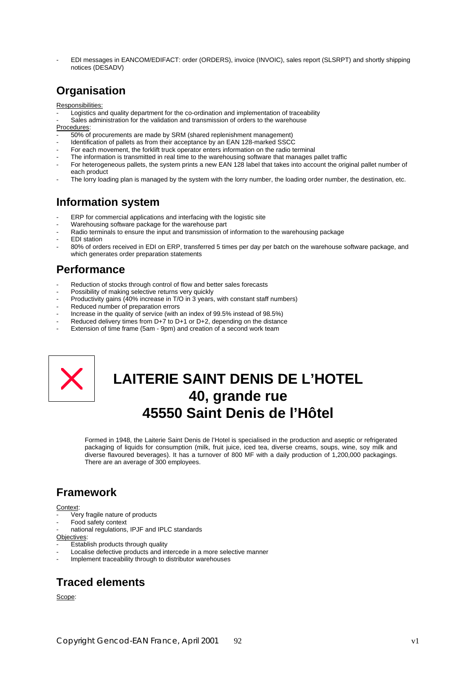- EDI messages in EANCOM/EDIFACT: order (ORDERS), invoice (INVOIC), sales report (SLSRPT) and shortly shipping notices (DESADV)

## **Organisation**

Responsibilities:

- Logistics and quality department for the co-ordination and implementation of traceability
- Sales administration for the validation and transmission of orders to the warehouse

Procedures:

- 50% of procurements are made by SRM (shared replenishment management)
- Identification of pallets as from their acceptance by an EAN 128-marked SSCC
- For each movement, the forklift truck operator enters information on the radio terminal
- The information is transmitted in real time to the warehousing software that manages pallet traffic
- For heterogeneous pallets, the system prints a new EAN 128 label that takes into account the original pallet number of each product
- The lorry loading plan is managed by the system with the lorry number, the loading order number, the destination, etc.

## **Information system**

- ERP for commercial applications and interfacing with the logistic site
- Warehousing software package for the warehouse part
- Radio terminals to ensure the input and transmission of information to the warehousing package
- **FDI** station
- 80% of orders received in EDI on ERP, transferred 5 times per day per batch on the warehouse software package, and which generates order preparation statements

## **Performance**

- Reduction of stocks through control of flow and better sales forecasts
- Possibility of making selective returns very quickly
- Productivity gains (40% increase in T/O in 3 years, with constant staff numbers)
- Reduced number of preparation errors
- Increase in the quality of service (with an index of 99.5% instead of 98.5%)
- Reduced delivery times from  $D+7$  to  $D+1$  or  $D+2$ , depending on the distance
- Extension of time frame (5am 9pm) and creation of a second work team



# **LAITERIE SAINT DENIS DE L'HOTEL 40, grande rue 45550 Saint Denis de l'Hôtel**

Formed in 1948, the Laiterie Saint Denis de l'Hotel is specialised in the production and aseptic or refrigerated packaging of liquids for consumption (milk, fruit juice, iced tea, diverse creams, soups, wine, soy milk and diverse flavoured beverages). It has a turnover of 800 MF with a daily production of 1,200,000 packagings. There are an average of 300 employees.

## **Framework**

#### **Context**

- Very fragile nature of products
- Food safety context
- national regulations, IPJF and IPLC standards

Objectives:

- **Establish products through quality**
- Localise defective products and intercede in a more selective manner
- Implement traceability through to distributor warehouses

## **Traced elements**

Scope: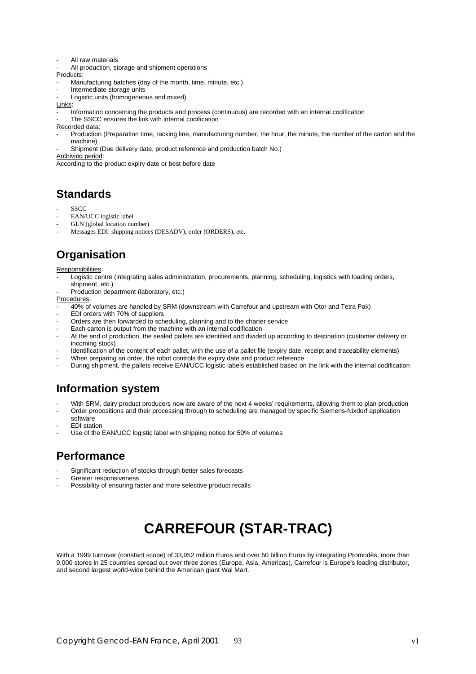- All raw materials
- All production, storage and shipment operations

Products:

- Manufacturing batches (day of the month, time, minute, etc.)
- Intermediate storage units
- Logistic units (homogeneous and mixed)
- Links:
- Information concerning the products and process (continuous) are recorded with an internal codification
- The SSCC ensures the link with internal codification
- Recorded data:
- Production (Preparation time, racking line, manufacturing number, the hour, the minute, the number of the carton and the machine)
- Shipment (Due delivery date, product reference and production batch No.)
- Archiving period:

According to the product expiry date or best before date

## **Standards**

- SSCC
- EAN/UCC logistic label
- GLN (global location number)
- Messages EDI: shipping notices (DESADV), order (ORDERS), etc.

# **Organisation**

- Responsibilities:
- Logistic centre (integrating sales administration, procurements, planning, scheduling, logistics with loading orders, shipment, etc.)
- Production department (laboratory, etc.)
- Procedures:
- 40% of volumes are handled by SRM (downstream with Carrefour and upstream with Otor and Tetra Pak)
- EDI orders with 70% of suppliers
- Orders are then forwarded to scheduling, planning and to the charter service
- Each carton is output from the machine with an internal codification
- At the end of production, the sealed pallets are identified and divided up according to destination (customer delivery or incoming stock)
- Identification of the content of each pallet, with the use of a pallet file (expiry date, receipt and traceability elements)
- When preparing an order, the robot controls the expiry date and product reference
- During shipment, the pallets receive EAN/UCC logistic labels established based on the link with the internal codification

## **Information system**

- With SRM, dairy product producers now are aware of the next 4 weeks' requirements, allowing them to plan production
- Order propositions and their processing through to scheduling are managed by specific Siemens-Nixdorf application software
- **EDI** station
- Use of the EAN/UCC logistic label with shipping notice for 50% of volumes

## **Performance**

- Significant reduction of stocks through better sales forecasts
- Greater responsiveness
- Possibility of ensuring faster and more selective product recalls

# **CARREFOUR (STAR-TRAC)**

With a 1999 turnover (constant scope) of 33,952 million Euros and over 50 billion Euros by integrating Promodès, more than 9,000 stores in 25 countries spread out over three zones (Europe, Asia, Americas), Carrefour is Europe's leading distributor, and second largest world-wide behind the American giant Wal Mart.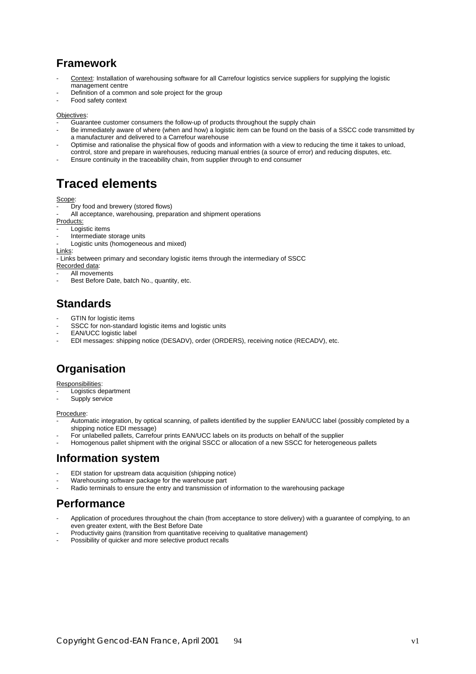## **Framework**

- Context: Installation of warehousing software for all Carrefour logistics service suppliers for supplying the logistic management centre
- Definition of a common and sole project for the group
- Food safety context

#### Objectives:

- Guarantee customer consumers the follow-up of products throughout the supply chain
- Be immediately aware of where (when and how) a logistic item can be found on the basis of a SSCC code transmitted by a manufacturer and delivered to a Carrefour warehouse
- Optimise and rationalise the physical flow of goods and information with a view to reducing the time it takes to unload, control, store and prepare in warehouses, reducing manual entries (a source of error) and reducing disputes, etc.
- Ensure continuity in the traceability chain, from supplier through to end consumer

# **Traced elements**

#### Scope:

- Dry food and brewery (stored flows)
- All acceptance, warehousing, preparation and shipment operations
- Products:
- Logistic items
- Intermediate storage units
- Logistic units (homogeneous and mixed)

Links: - Links between primary and secondary logistic items through the intermediary of SSCC

Recorded data:

- All movements
- Best Before Date, batch No., quantity, etc.

## **Standards**

- GTIN for logistic items
- SSCC for non-standard logistic items and logistic units
- FAN/UCC logistic label
- EDI messages: shipping notice (DESADV), order (ORDERS), receiving notice (RECADV), etc.

# **Organisation**

#### Responsibilities:

- Logistics department
- Supply service

#### Procedure:

- Automatic integration, by optical scanning, of pallets identified by the supplier EAN/UCC label (possibly completed by a shipping notice EDI message)
- For unlabelled pallets, Carrefour prints EAN/UCC labels on its products on behalf of the supplier
- Homogenous pallet shipment with the original SSCC or allocation of a new SSCC for heterogeneous pallets

## **Information system**

- EDI station for upstream data acquisition (shipping notice)
- Warehousing software package for the warehouse part
- Radio terminals to ensure the entry and transmission of information to the warehousing package

## **Performance**

- Application of procedures throughout the chain (from acceptance to store delivery) with a guarantee of complying, to an even greater extent, with the Best Before Date
- Productivity gains (transition from quantitative receiving to qualitative management)
- Possibility of quicker and more selective product recalls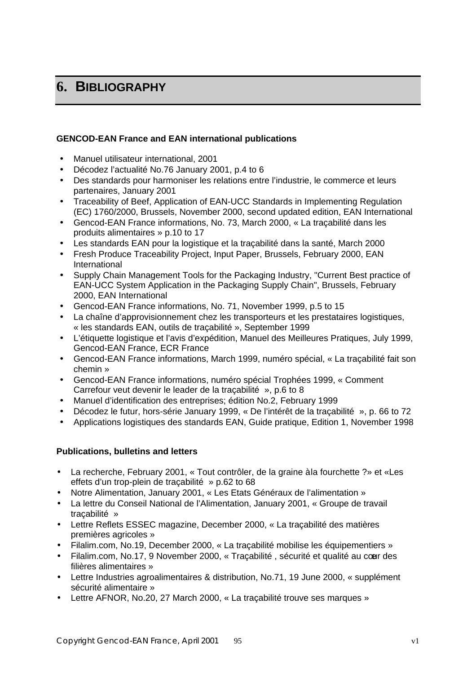# **6. BIBLIOGRAPHY**

## **GENCOD-EAN France and EAN international publications**

- Manuel utilisateur international, 2001
- Décodez l'actualité No.76 January 2001, p.4 to 6
- Des standards pour harmoniser les relations entre l'industrie, le commerce et leurs partenaires, January 2001
- Traceability of Beef, Application of EAN-UCC Standards in Implementing Regulation (EC) 1760/2000, Brussels, November 2000, second updated edition, EAN International
- Gencod-EAN France informations, No. 73, March 2000, « La traçabilité dans les produits alimentaires » p.10 to 17
- Les standards EAN pour la logistique et la traçabilité dans la santé, March 2000
- Fresh Produce Traceability Project, Input Paper, Brussels, February 2000, EAN International
- Supply Chain Management Tools for the Packaging Industry, "Current Best practice of EAN-UCC System Application in the Packaging Supply Chain", Brussels, February 2000, EAN International
- Gencod-EAN France informations, No. 71, November 1999, p.5 to 15
- La chaîne d'approvisionnement chez les transporteurs et les prestataires logistiques, « les standards EAN, outils de traçabilité », September 1999
- L'étiquette logistique et l'avis d'expédition, Manuel des Meilleures Pratiques, July 1999, Gencod-EAN France, ECR France
- Gencod-EAN France informations, March 1999, numéro spécial, « La traçabilité fait son chemin »
- Gencod-EAN France informations, numéro spécial Trophées 1999, « Comment Carrefour veut devenir le leader de la traçabilité », p.6 to 8
- Manuel d'identification des entreprises; édition No.2, February 1999
- Décodez le futur, hors-série January 1999, « De l'intérêt de la traçabilité », p. 66 to 72
- Applications logistiques des standards EAN, Guide pratique, Edition 1, November 1998

## **Publications, bulletins and letters**

- La recherche, February 2001, « Tout contrôler, de la graine à la fourchette ?» et «Les effets d'un trop-plein de traçabilité » p.62 to 68
- Notre Alimentation, January 2001, « Les Etats Généraux de l'alimentation »
- La lettre du Conseil National de l'Alimentation, January 2001, « Groupe de travail traçabilité »
- Lettre Reflets ESSEC magazine, December 2000, « La traçabilité des matières premières agricoles »
- Filalim.com, No.19, December 2000, « La traçabilité mobilise les équipementiers »
- Filalim.com, No.17, 9 November 2000, « Tracabilité, sécurité et qualité au cour des filières alimentaires »
- Lettre Industries agroalimentaires & distribution, No.71, 19 June 2000, « supplément sécurité alimentaire »
- Lettre AFNOR, No.20, 27 March 2000, « La traçabilité trouve ses marques »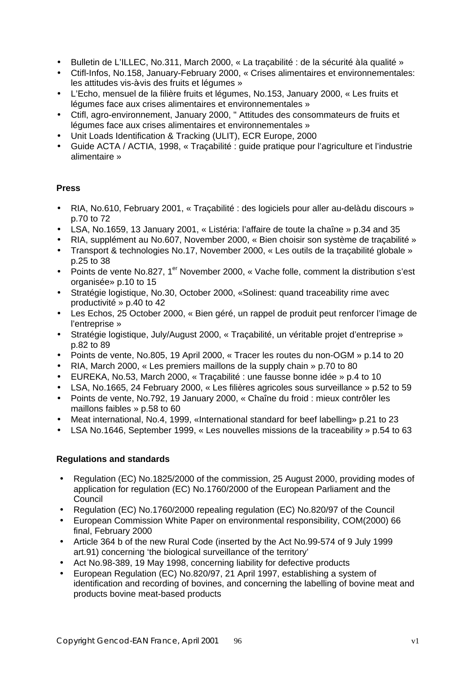- Bulletin de L'ILLEC, No.311, March 2000, « La traçabilité : de la sécurité à la qualité »
- Ctifl-Infos, No.158, January-February 2000, « Crises alimentaires et environnementales: les attitudes vis-à-vis des fruits et légumes »
- L'Echo, mensuel de la filière fruits et légumes, No.153, January 2000, « Les fruits et légumes face aux crises alimentaires et environnementales »
- Ctifl, agro-environnement, January 2000, " Attitudes des consommateurs de fruits et légumes face aux crises alimentaires et environnementales »
- Unit Loads Identification & Tracking (ULIT), ECR Europe, 2000
- Guide ACTA / ACTIA, 1998, « Traçabilité : guide pratique pour l'agriculture et l'industrie alimentaire »

## **Press**

- RIA, No.610, February 2001, « Traçabilité : des logiciels pour aller au-delà du discours » p.70 to 72
- LSA, No.1659, 13 January 2001, « Listéria: l'affaire de toute la chaîne » p.34 and 35
- RIA, supplément au No.607, November 2000, « Bien choisir son système de tracabilité »
- Transport & technologies No.17, November 2000, « Les outils de la traçabilité globale » p.25 to 38
- Points de vente No.827, 1<sup>er</sup> November 2000, « Vache folle, comment la distribution s'est organisée» p.10 to 15
- Stratégie logistique, No.30, October 2000, «Solinest: quand traceability rime avec productivité » p.40 to 42
- Les Echos, 25 October 2000, « Bien géré, un rappel de produit peut renforcer l'image de l'entreprise »
- Stratégie logistique, July/August 2000, « Traçabilité, un véritable projet d'entreprise » p.82 to 89
- Points de vente, No.805, 19 April 2000, « Tracer les routes du non-OGM » p.14 to 20
- RIA, March 2000, « Les premiers maillons de la supply chain » p.70 to 80
- EUREKA, No.53, March 2000, « Traçabilité : une fausse bonne idée » p.4 to 10
- LSA, No.1665, 24 February 2000, « Les filières agricoles sous surveillance » p.52 to 59
- Points de vente, No.792, 19 January 2000, « Chaîne du froid : mieux contrôler les maillons faibles » p.58 to 60
- Meat international, No.4, 1999, «International standard for beef labelling» p.21 to 23
- LSA No.1646, September 1999, « Les nouvelles missions de la traceability » p.54 to 63

## **Regulations and standards**

- Regulation (EC) No.1825/2000 of the commission, 25 August 2000, providing modes of application for regulation (EC) No.1760/2000 of the European Parliament and the Council
- Regulation (EC) No.1760/2000 repealing regulation (EC) No.820/97 of the Council
- European Commission White Paper on environmental responsibility, COM(2000) 66 final, February 2000
- Article 364 b of the new Rural Code (inserted by the Act No.99-574 of 9 July 1999 art.91) concerning 'the biological surveillance of the territory'
- Act No.98-389, 19 May 1998, concerning liability for defective products
- European Regulation (EC) No.820/97, 21 April 1997, establishing a system of identification and recording of bovines, and concerning the labelling of bovine meat and products bovine meat-based products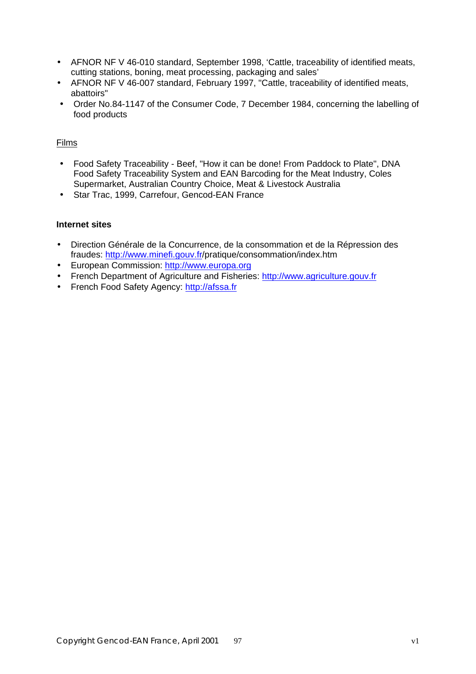- AFNOR NF V 46-010 standard, September 1998, 'Cattle, traceability of identified meats, cutting stations, boning, meat processing, packaging and sales'
- AFNOR NF V 46-007 standard, February 1997, "Cattle, traceability of identified meats, abattoirs"
- Order No.84-1147 of the Consumer Code, 7 December 1984, concerning the labelling of food products

## Films

- Food Safety Traceability Beef, "How it can be done! From Paddock to Plate", DNA Food Safety Traceability System and EAN Barcoding for the Meat Industry, Coles Supermarket, Australian Country Choice, Meat & Livestock Australia
- Star Trac, 1999, Carrefour, Gencod-EAN France

## **Internet sites**

- Direction Générale de la Concurrence, de la consommation et de la Répression des fraudes: http://www.minefi.gouv.fr/pratique/consommation/index.htm
- European Commission: http://www.europa.org
- French Department of Agriculture and Fisheries: http://www.agriculture.gouy.fr
- French Food Safety Agency: http://afssa.fr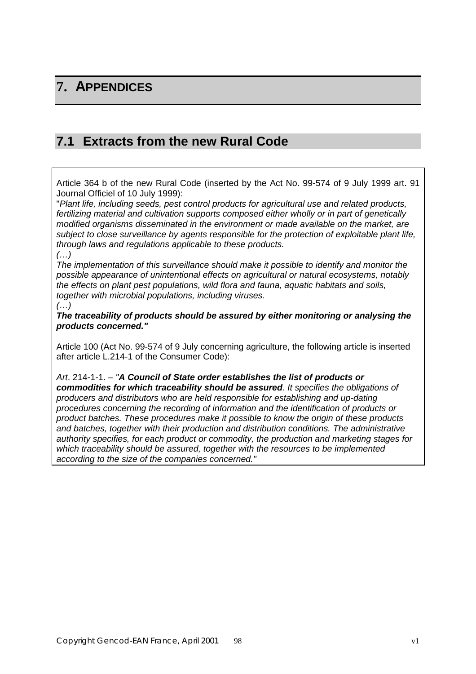# **7. APPENDICES**

## **7.1 Extracts from the new Rural Code**

Article 364 b of the new Rural Code (inserted by the Act No. 99-574 of 9 July 1999 art. 91 Journal Officiel of 10 July 1999):

"*Plant life, including seeds, pest control products for agricultural use and related products, fertilizing material and cultivation supports composed either wholly or in part of genetically modified organisms disseminated in the environment or made available on the market, are subject to close surveillance by agents responsible for the protection of exploitable plant life, through laws and regulations applicable to these products. (…)*

*The implementation of this surveillance should make it possible to identify and monitor the possible appearance of unintentional effects on agricultural or natural ecosystems, notably the effects on plant pest populations, wild flora and fauna, aquatic habitats and soils, together with microbial populations, including viruses.*

#### *(…)*

*The traceability of products should be assured by either monitoring or analysing the products concerned."*

Article 100 (Act No. 99-574 of 9 July concerning agriculture, the following article is inserted after article L.214-1 of the Consumer Code):

*Art*. 214-1-1. – *"A Council of State order establishes the list of products or commodities for which traceability should be assured. It specifies the obligations of producers and distributors who are held responsible for establishing and up-dating procedures concerning the recording of information and the identification of products or product batches. These procedures make it possible to know the origin of these products and batches, together with their production and distribution conditions. The administrative authority specifies, for each product or commodity, the production and marketing stages for which traceability should be assured, together with the resources to be implemented according to the size of the companies concerned."*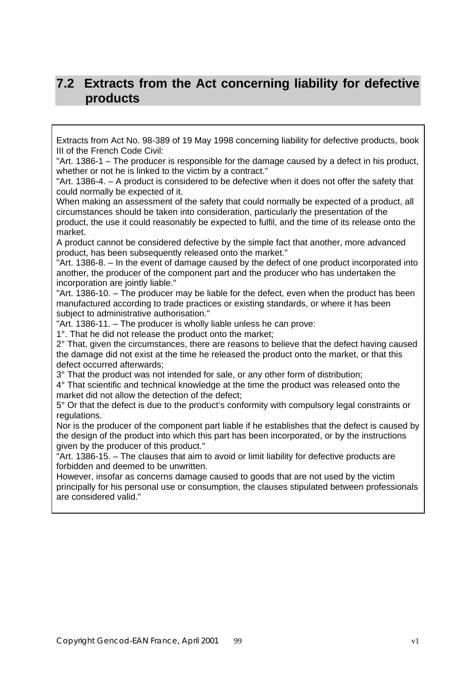## **7.2 Extracts from the Act concerning liability for defective products**

Extracts from Act No. 98-389 of 19 May 1998 concerning liability for defective products, book III of the French Code Civil:

"Art. 1386-1 – The producer is responsible for the damage caused by a defect in his product, whether or not he is linked to the victim by a contract."

"Art. 1386-4. – A product is considered to be defective when it does not offer the safety that could normally be expected of it.

When making an assessment of the safety that could normally be expected of a product, all circumstances should be taken into consideration, particularly the presentation of the product, the use it could reasonably be expected to fulfil, and the time of its release onto the market.

A product cannot be considered defective by the simple fact that another, more advanced product, has been subsequently released onto the market."

"Art. 1386-8. – In the event of damage caused by the defect of one product incorporated into another, the producer of the component part and the producer who has undertaken the incorporation are jointly liable."

"Art. 1386-10. – The producer may be liable for the defect, even when the product has been manufactured according to trade practices or existing standards, or where it has been subject to administrative authorisation."

"Art. 1386-11. – The producer is wholly liable unless he can prove:

1°. That he did not release the product onto the market;

2° That, given the circumstances, there are reasons to believe that the defect having caused the damage did not exist at the time he released the product onto the market, or that this defect occurred afterwards;

3° That the product was not intended for sale, or any other form of distribution;

4° That scientific and technical knowledge at the time the product was released onto the market did not allow the detection of the defect;

5° Or that the defect is due to the product's conformity with compulsory legal constraints or regulations.

Nor is the producer of the component part liable if he establishes that the defect is caused by the design of the product into which this part has been incorporated, or by the instructions given by the producer of this product."

"Art. 1386-15. – The clauses that aim to avoid or limit liability for defective products are forbidden and deemed to be unwritten.

However, insofar as concerns damage caused to goods that are not used by the victim principally for his personal use or consumption, the clauses stipulated between professionals are considered valid."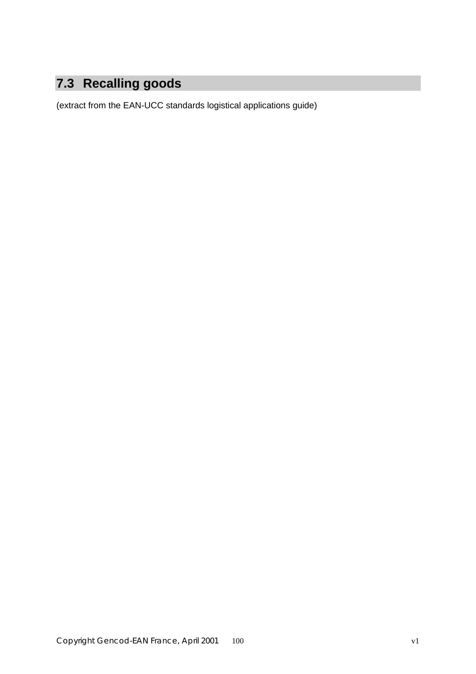# **7.3 Recalling goods**

(extract from the EAN-UCC standards logistical applications guide)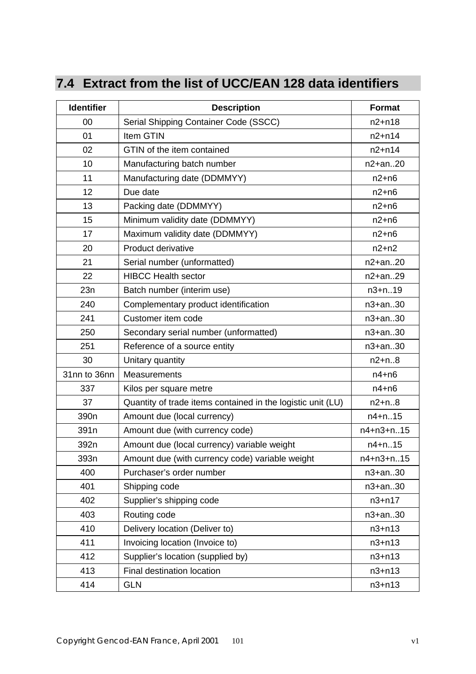# **7.4 Extract from the list of UCC/EAN 128 data identifiers**

| <b>Identifier</b> | <b>Description</b>                                          | <b>Format</b> |
|-------------------|-------------------------------------------------------------|---------------|
| 00                | Serial Shipping Container Code (SSCC)                       | $n2+n18$      |
| 01                | Item GTIN                                                   | $n2 + n14$    |
| 02                | GTIN of the item contained                                  | $n2+n14$      |
| 10                | Manufacturing batch number                                  | $n2+an.20$    |
| 11                | Manufacturing date (DDMMYY)                                 | $n2+n6$       |
| 12                | Due date                                                    | $n2+n6$       |
| 13                | Packing date (DDMMYY)                                       | $n2+n6$       |
| 15                | Minimum validity date (DDMMYY)                              | $n2+n6$       |
| 17                | Maximum validity date (DDMMYY)                              | $n2+n6$       |
| 20                | Product derivative                                          | $n2+n2$       |
| 21                | Serial number (unformatted)                                 | n2+an20       |
| 22                | <b>HIBCC Health sector</b>                                  | $n2+an.29$    |
| 23n               | Batch number (interim use)                                  | $n3 + n.19$   |
| 240               | Complementary product identification                        | $n3+an.30$    |
| 241               | Customer item code                                          | $n3+an.30$    |
| 250               | Secondary serial number (unformatted)                       | n3+an30       |
| 251               | Reference of a source entity                                | $n3+an.30$    |
| 30                | Unitary quantity                                            | $n2 + n.8$    |
| 31nn to 36nn      | Measurements                                                | $n4+n6$       |
| 337               | Kilos per square metre                                      | $n4+n6$       |
| 37                | Quantity of trade items contained in the logistic unit (LU) | $n2 + n.8$    |
| 390 <sub>n</sub>  | Amount due (local currency)                                 | $n4+n.15$     |
| 391 <sub>n</sub>  | Amount due (with currency code)                             | n4+n3+n15     |
| 392n              | Amount due (local currency) variable weight                 | $n4 + n.15$   |
| 393n              | Amount due (with currency code) variable weight             | n4+n3+n15     |
| 400               | Purchaser's order number                                    | $n3+an.30$    |
| 401               | Shipping code                                               | $n3+an.30$    |
| 402               | Supplier's shipping code                                    | $n3 + n17$    |
| 403               | Routing code                                                | $n3+an.30$    |
| 410               | Delivery location (Deliver to)                              | $n3+n13$      |
| 411               | Invoicing location (Invoice to)                             | $n3+n13$      |
| 412               | Supplier's location (supplied by)                           | $n3+n13$      |
| 413               | Final destination location                                  | $n3 + n13$    |
| 414               | <b>GLN</b>                                                  | $n3+n13$      |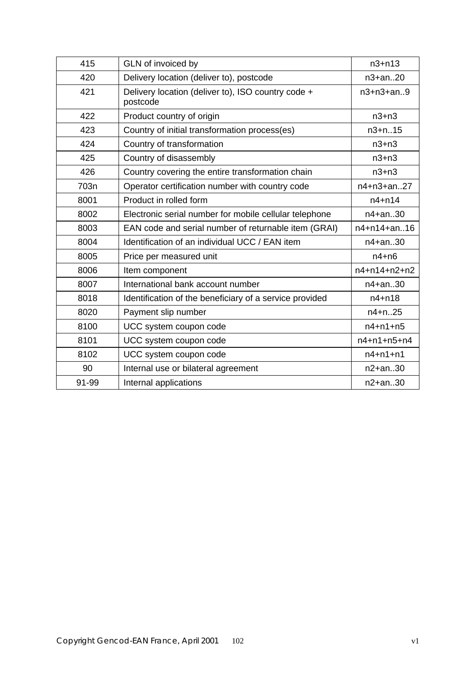| 415  | GLN of invoiced by                                             | $n3 + n13$          |
|------|----------------------------------------------------------------|---------------------|
| 420  | Delivery location (deliver to), postcode                       | $n3+an.20$          |
| 421  | Delivery location (deliver to), ISO country code +<br>postcode | $n3 + n3 + an.9$    |
| 422  | Product country of origin                                      | $n3+n3$             |
| 423  | Country of initial transformation process(es)                  | $n3 + n.15$         |
| 424  | Country of transformation                                      | $n3+n3$             |
| 425  | Country of disassembly                                         | $n3+n3$             |
| 426  | Country covering the entire transformation chain               | $n3+n3$             |
| 703n | Operator certification number with country code                | n4+n3+an27          |
| 8001 | Product in rolled form                                         | $n4+n14$            |
| 8002 | Electronic serial number for mobile cellular telephone         | $n4+an.30$          |
| 8003 | EAN code and serial number of returnable item (GRAI)           | n4+n14+an16         |
| 8004 | Identification of an individual UCC / EAN item                 | $n4+an.30$          |
| 8005 | Price per measured unit                                        | $n4+n6$             |
| 8006 | Item component                                                 | n4+n14+n2+n2        |
| 8007 | International bank account number                              | $n4+an.30$          |
| 8018 | Identification of the beneficiary of a service provided        | $n4+n18$            |
| 8020 | Payment slip number                                            | $n4+n.25$           |
| 8100 |                                                                |                     |
|      | UCC system coupon code                                         | $n4 + n1 + n5$      |
| 8101 | UCC system coupon code                                         | $n4 + n1 + n5 + n4$ |
| 8102 | UCC system coupon code                                         | $n4 + n1 + n1$      |
| 90   | Internal use or bilateral agreement                            | $n2+an.30$          |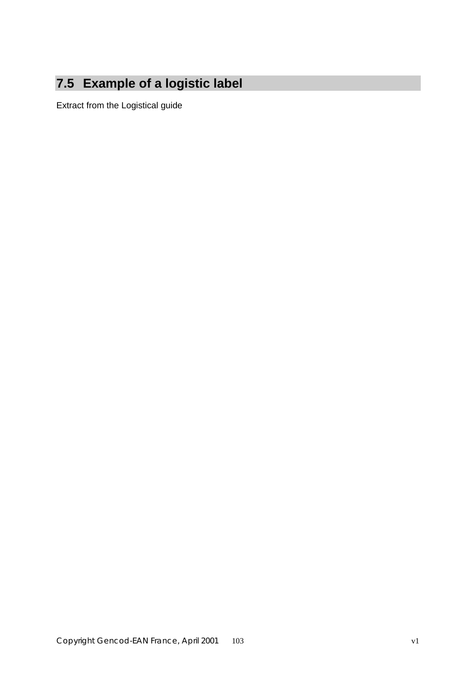# **7.5 Example of a logistic label**

Extract from the Logistical guide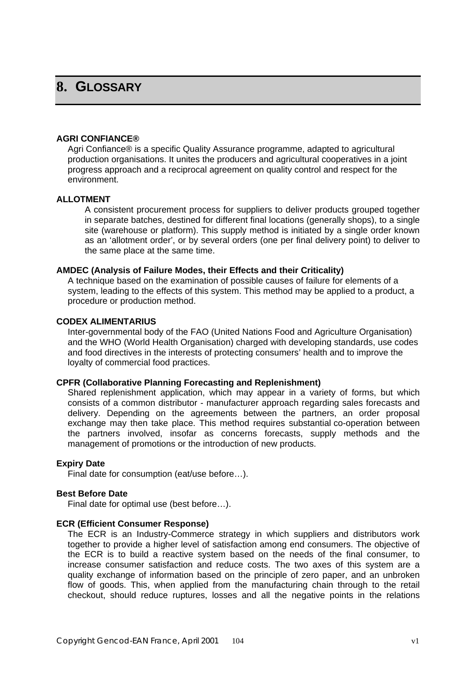## **8. GLOSSARY**

### **AGRI CONFIANCE®**

Agri Confiance® is a specific Quality Assurance programme, adapted to agricultural production organisations. It unites the producers and agricultural cooperatives in a joint progress approach and a reciprocal agreement on quality control and respect for the environment.

### **ALLOTMENT**

A consistent procurement process for suppliers to deliver products grouped together in separate batches, destined for different final locations (generally shops), to a single site (warehouse or platform). This supply method is initiated by a single order known as an 'allotment order', or by several orders (one per final delivery point) to deliver to the same place at the same time.

### **AMDEC (Analysis of Failure Modes, their Effects and their Criticality)**

A technique based on the examination of possible causes of failure for elements of a system, leading to the effects of this system. This method may be applied to a product, a procedure or production method.

#### **CODEX ALIMENTARIUS**

Inter-governmental body of the FAO (United Nations Food and Agriculture Organisation) and the WHO (World Health Organisation) charged with developing standards, use codes and food directives in the interests of protecting consumers' health and to improve the loyalty of commercial food practices.

### **CPFR (Collaborative Planning Forecasting and Replenishment)**

Shared replenishment application, which may appear in a variety of forms, but which consists of a common distributor - manufacturer approach regarding sales forecasts and delivery. Depending on the agreements between the partners, an order proposal exchange may then take place. This method requires substantial co-operation between the partners involved, insofar as concerns forecasts, supply methods and the management of promotions or the introduction of new products.

### **Expiry Date**

Final date for consumption (eat/use before…).

### **Best Before Date**

Final date for optimal use (best before…).

### **ECR (Efficient Consumer Response)**

The ECR is an Industry-Commerce strategy in which suppliers and distributors work together to provide a higher level of satisfaction among end consumers. The objective of the ECR is to build a reactive system based on the needs of the final consumer, to increase consumer satisfaction and reduce costs. The two axes of this system are a quality exchange of information based on the principle of zero paper, and an unbroken flow of goods. This, when applied from the manufacturing chain through to the retail checkout, should reduce ruptures, losses and all the negative points in the relations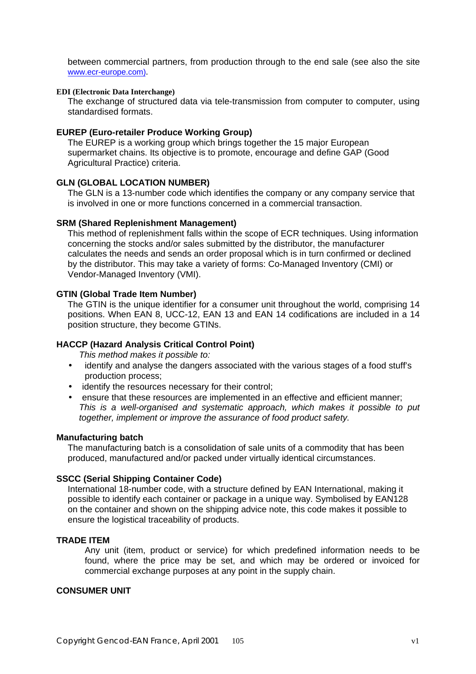between commercial partners, from production through to the end sale (see also the site www.ecr-europe.com).

### **EDI (Electronic Data Interchange)**

The exchange of structured data via tele-transmission from computer to computer, using standardised formats.

### **EUREP (Euro-retailer Produce Working Group)**

The EUREP is a working group which brings together the 15 major European supermarket chains. Its objective is to promote, encourage and define GAP (Good Agricultural Practice) criteria.

### **GLN (GLOBAL LOCATION NUMBER)**

The GLN is a 13-number code which identifies the company or any company service that is involved in one or more functions concerned in a commercial transaction.

#### **SRM (Shared Replenishment Management)**

This method of replenishment falls within the scope of ECR techniques. Using information concerning the stocks and/or sales submitted by the distributor, the manufacturer calculates the needs and sends an order proposal which is in turn confirmed or declined by the distributor. This may take a variety of forms: Co-Managed Inventory (CMI) or Vendor-Managed Inventory (VMI).

### **GTIN (Global Trade Item Number)**

The GTIN is the unique identifier for a consumer unit throughout the world, comprising 14 positions. When EAN 8, UCC-12, EAN 13 and EAN 14 codifications are included in a 14 position structure, they become GTINs.

### **HACCP (Hazard Analysis Critical Control Point)**

*This method makes it possible to:*

- identify and analyse the dangers associated with the various stages of a food stuff's production process;
- identify the resources necessary for their control;
- ensure that these resources are implemented in an effective and efficient manner; *This is a well-organised and systematic approach, which makes it possible to put together, implement or improve the assurance of food product safety.*

#### **Manufacturing batch**

The manufacturing batch is a consolidation of sale units of a commodity that has been produced, manufactured and/or packed under virtually identical circumstances.

### **SSCC (Serial Shipping Container Code)**

International 18-number code, with a structure defined by EAN International, making it possible to identify each container or package in a unique way. Symbolised by EAN128 on the container and shown on the shipping advice note, this code makes it possible to ensure the logistical traceability of products.

## **TRADE ITEM**

Any unit (item, product or service) for which predefined information needs to be found, where the price may be set, and which may be ordered or invoiced for commercial exchange purposes at any point in the supply chain.

#### **CONSUMER UNIT**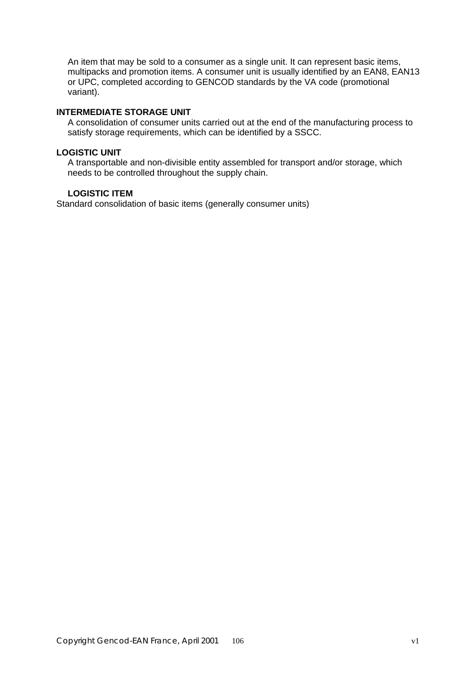An item that may be sold to a consumer as a single unit. It can represent basic items, multipacks and promotion items. A consumer unit is usually identified by an EAN8, EAN13 or UPC, completed according to GENCOD standards by the VA code (promotional variant).

## **INTERMEDIATE STORAGE UNIT**

A consolidation of consumer units carried out at the end of the manufacturing process to satisfy storage requirements, which can be identified by a SSCC.

### **LOGISTIC UNIT**

A transportable and non-divisible entity assembled for transport and/or storage, which needs to be controlled throughout the supply chain.

## **LOGISTIC ITEM**

Standard consolidation of basic items (generally consumer units)